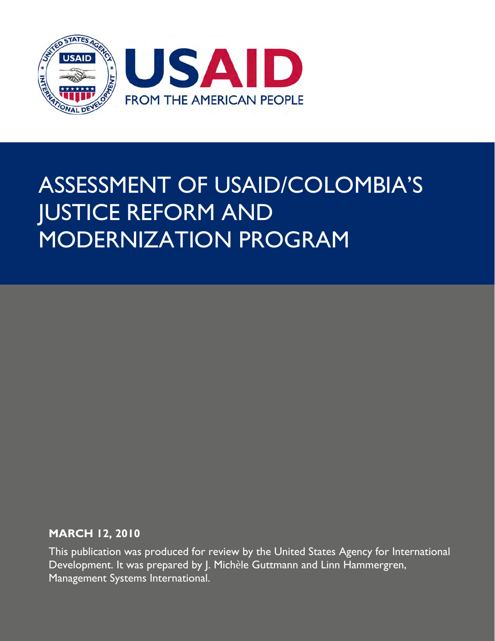

# ASSESSMENT OF USAID/COLOMBIA'S JUSTICE REFORM AND MODERNIZATION PROGRAM

### **MARCH 12, 2010**

This publication was produced for review by the United States Agency for International Development. It was prepared by J. Michèle Guttmann and Linn Hammergren, Management Systems International.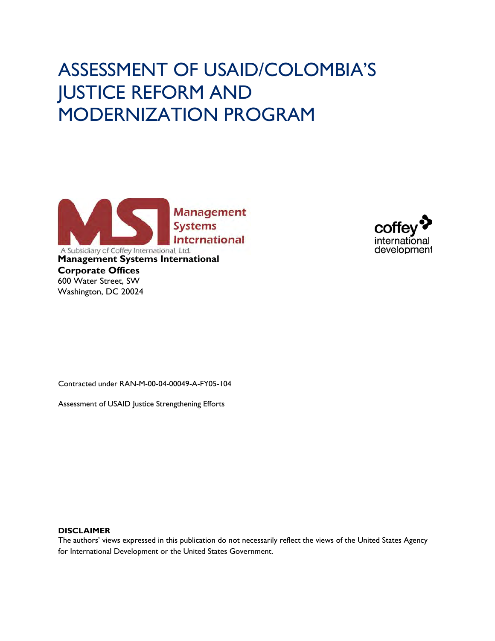# ASSESSMENT OF USAID/COLOMBIA'S JUSTICE REFORM AND MODERNIZATION PROGRAM





Contracted under RAN-M-00-04-00049-A-FY05-104

Assessment of USAID Justice Strengthening Efforts

#### **DISCLAIMER**

The authors' views expressed in this publication do not necessarily reflect the views of the United States Agency for International Development or the United States Government.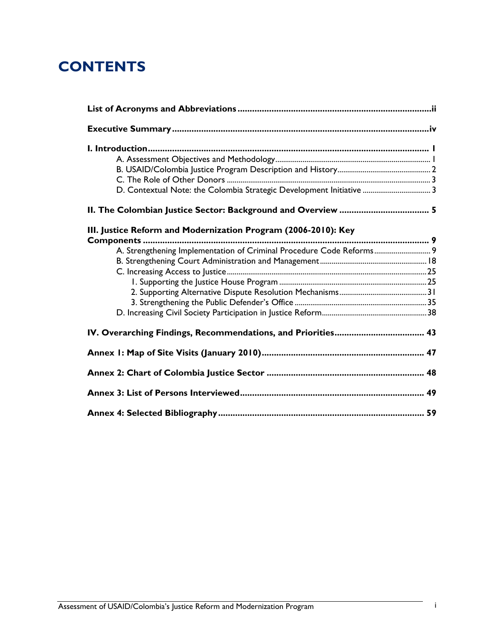# **CONTENTS**

| D. Contextual Note: the Colombia Strategic Development Initiative  3 |
|----------------------------------------------------------------------|
|                                                                      |
| III. Justice Reform and Modernization Program (2006-2010): Key       |
|                                                                      |
| A. Strengthening Implementation of Criminal Procedure Code Reforms 9 |
|                                                                      |
|                                                                      |
|                                                                      |
|                                                                      |
|                                                                      |
|                                                                      |
|                                                                      |
|                                                                      |
|                                                                      |
|                                                                      |
|                                                                      |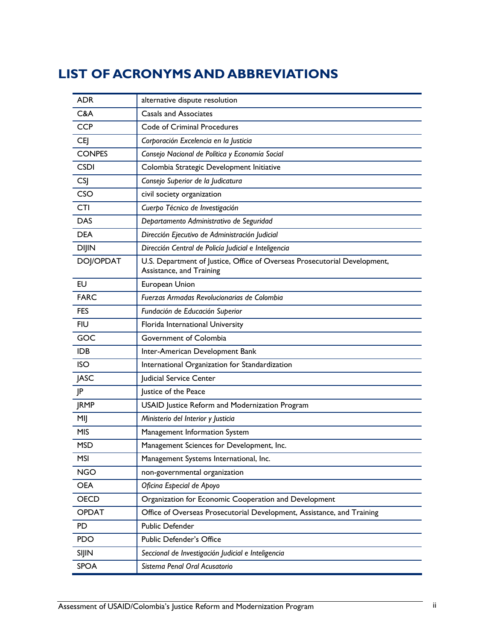# <span id="page-3-0"></span>**LIST OF ACRONYMS AND ABBREVIATIONS**

| <b>ADR</b>    | alternative dispute resolution                                                                        |  |  |  |
|---------------|-------------------------------------------------------------------------------------------------------|--|--|--|
| C&A           | <b>Casals and Associates</b>                                                                          |  |  |  |
| <b>CCP</b>    | Code of Criminal Procedures                                                                           |  |  |  |
| <b>CEJ</b>    | Corporación Excelencia en la Justicia                                                                 |  |  |  |
| <b>CONPES</b> | Consejo Nacional de Política y Economía Social                                                        |  |  |  |
| <b>CSDI</b>   | Colombia Strategic Development Initiative                                                             |  |  |  |
| <b>CSJ</b>    | Consejo Superior de la Judicatura                                                                     |  |  |  |
| <b>CSO</b>    | civil society organization                                                                            |  |  |  |
| <b>CTI</b>    | Cuerpo Técnico de Investigación                                                                       |  |  |  |
| <b>DAS</b>    | Departamento Administrativo de Seguridad                                                              |  |  |  |
| <b>DEA</b>    | Dirección Ejecutivo de Administración Judicial                                                        |  |  |  |
| <b>DIJIN</b>  | Dirección Central de Policía Judicial e Inteligencia                                                  |  |  |  |
| DOJ/OPDAT     | U.S. Department of Justice, Office of Overseas Prosecutorial Development,<br>Assistance, and Training |  |  |  |
| EU            | European Union                                                                                        |  |  |  |
| <b>FARC</b>   | Fuerzas Armadas Revolucionarias de Colombia                                                           |  |  |  |
| <b>FES</b>    | Fundación de Educación Superior                                                                       |  |  |  |
| <b>FIU</b>    | Florida International University                                                                      |  |  |  |
| GOC           | Government of Colombia                                                                                |  |  |  |
| <b>IDB</b>    | Inter-American Development Bank                                                                       |  |  |  |
| <b>ISO</b>    | International Organization for Standardization                                                        |  |  |  |
| <b>JASC</b>   | Judicial Service Center                                                                               |  |  |  |
| JP            | Justice of the Peace                                                                                  |  |  |  |
| <b>JRMP</b>   | USAID Justice Reform and Modernization Program                                                        |  |  |  |
| MIJ           | Ministerio del Interior y Justicia                                                                    |  |  |  |
| <b>MIS</b>    | Management Information System                                                                         |  |  |  |
| <b>MSD</b>    | Management Sciences for Development, Inc.                                                             |  |  |  |
| MSI           | Management Systems International, Inc.                                                                |  |  |  |
| <b>NGO</b>    | non-governmental organization                                                                         |  |  |  |
| <b>OEA</b>    | Oficina Especial de Apoyo                                                                             |  |  |  |
| <b>OECD</b>   | Organization for Economic Cooperation and Development                                                 |  |  |  |
| <b>OPDAT</b>  | Office of Overseas Prosecutorial Development, Assistance, and Training                                |  |  |  |
| PD            | Public Defender                                                                                       |  |  |  |
| <b>PDO</b>    | <b>Public Defender's Office</b>                                                                       |  |  |  |
| <b>SIJIN</b>  | Seccional de Investigación Judicial e Inteligencia                                                    |  |  |  |
| <b>SPOA</b>   | Sistema Penal Oral Acusatorio                                                                         |  |  |  |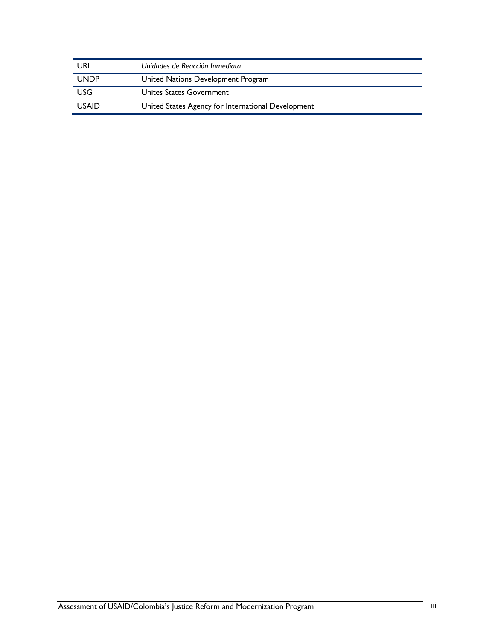| URI          | Unidades de Reacción Inmediata                     |  |
|--------------|----------------------------------------------------|--|
| <b>UNDP</b>  | United Nations Development Program                 |  |
| <b>USG</b>   | Unites States Government                           |  |
| <b>USAID</b> | United States Agency for International Development |  |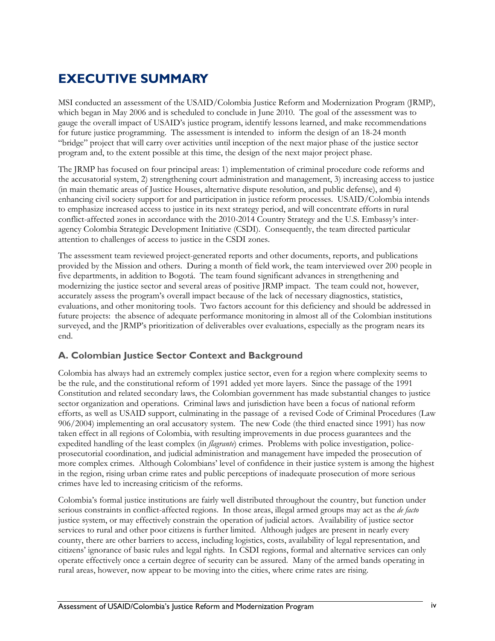# <span id="page-5-0"></span>**EXECUTIVE SUMMARY**

MSI conducted an assessment of the USAID/Colombia Justice Reform and Modernization Program (JRMP), which began in May 2006 and is scheduled to conclude in June 2010. The goal of the assessment was to gauge the overall impact of USAID's justice program, identify lessons learned, and make recommendations for future justice programming. The assessment is intended to inform the design of an 18-24 month "bridge" project that will carry over activities until inception of the next major phase of the justice sector program and, to the extent possible at this time, the design of the next major project phase.

The JRMP has focused on four principal areas: 1) implementation of criminal procedure code reforms and the accusatorial system, 2) strengthening court administration and management, 3) increasing access to justice (in main thematic areas of Justice Houses, alternative dispute resolution, and public defense), and 4) enhancing civil society support for and participation in justice reform processes. USAID/Colombia intends to emphasize increased access to justice in its next strategy period, and will concentrate efforts in rural conflict-affected zones in accordance with the 2010-2014 Country Strategy and the U.S. Embassy's interagency Colombia Strategic Development Initiative (CSDI). Consequently, the team directed particular attention to challenges of access to justice in the CSDI zones.

The assessment team reviewed project-generated reports and other documents, reports, and publications provided by the Mission and others. During a month of field work, the team interviewed over 200 people in five departments, in addition to Bogotá. The team found significant advances in strengthening and modernizing the justice sector and several areas of positive JRMP impact. The team could not, however, accurately assess the program's overall impact because of the lack of necessary diagnostics, statistics, evaluations, and other monitoring tools. Two factors account for this deficiency and should be addressed in future projects: the absence of adequate performance monitoring in almost all of the Colombian institutions surveyed, and the JRMP's prioritization of deliverables over evaluations, especially as the program nears its end.

### **A. Colombian Justice Sector Context and Background**

Colombia has always had an extremely complex justice sector, even for a region where complexity seems to be the rule, and the constitutional reform of 1991 added yet more layers. Since the passage of the 1991 Constitution and related secondary laws, the Colombian government has made substantial changes to justice sector organization and operations. Criminal laws and jurisdiction have been a focus of national reform efforts, as well as USAID support, culminating in the passage of a revised Code of Criminal Procedures (Law 906/2004) implementing an oral accusatory system. The new Code (the third enacted since 1991) has now taken effect in all regions of Colombia, with resulting improvements in due process guarantees and the expedited handling of the least complex (in *flagrante*) crimes. Problems with police investigation, policeprosecutorial coordination, and judicial administration and management have impeded the prosecution of more complex crimes. Although Colombians' level of confidence in their justice system is among the highest in the region, rising urban crime rates and public perceptions of inadequate prosecution of more serious crimes have led to increasing criticism of the reforms.

Colombia's formal justice institutions are fairly well distributed throughout the country, but function under serious constraints in conflict-affected regions. In those areas, illegal armed groups may act as the *de facto* justice system, or may effectively constrain the operation of judicial actors. Availability of justice sector services to rural and other poor citizens is further limited. Although judges are present in nearly every county, there are other barriers to access, including logistics, costs, availability of legal representation, and citizens' ignorance of basic rules and legal rights. In CSDI regions, formal and alternative services can only operate effectively once a certain degree of security can be assured. Many of the armed bands operating in rural areas, however, now appear to be moving into the cities, where crime rates are rising.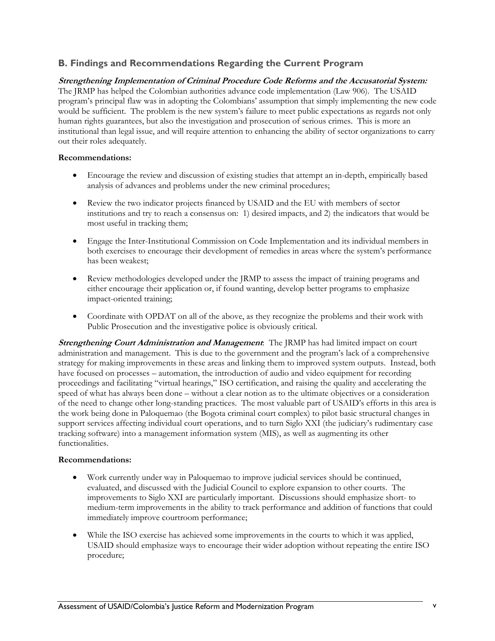### **B. Findings and Recommendations Regarding the Current Program**

### **Strengthening Implementation of Criminal Procedure Code Reforms and the Accusatorial System:**

The JRMP has helped the Colombian authorities advance code implementation (Law 906). The USAID program's principal flaw was in adopting the Colombians' assumption that simply implementing the new code would be sufficient. The problem is the new system's failure to meet public expectations as regards not only human rights guarantees, but also the investigation and prosecution of serious crimes. This is more an institutional than legal issue, and will require attention to enhancing the ability of sector organizations to carry out their roles adequately.

#### **Recommendations:**

- Encourage the review and discussion of existing studies that attempt an in-depth, empirically based analysis of advances and problems under the new criminal procedures;
- Review the two indicator projects financed by USAID and the EU with members of sector institutions and try to reach a consensus on: 1) desired impacts, and 2) the indicators that would be most useful in tracking them;
- Engage the Inter-Institutional Commission on Code Implementation and its individual members in both exercises to encourage their development of remedies in areas where the system's performance has been weakest;
- Review methodologies developed under the JRMP to assess the impact of training programs and either encourage their application or, if found wanting, develop better programs to emphasize impact-oriented training;
- Coordinate with OPDAT on all of the above, as they recognize the problems and their work with Public Prosecution and the investigative police is obviously critical.

**Strengthening Court Administration and Management**: The JRMP has had limited impact on court administration and management. This is due to the government and the program's lack of a comprehensive strategy for making improvements in these areas and linking them to improved system outputs. Instead, both have focused on processes – automation, the introduction of audio and video equipment for recording proceedings and facilitating "virtual hearings," ISO certification, and raising the quality and accelerating the speed of what has always been done – without a clear notion as to the ultimate objectives or a consideration of the need to change other long-standing practices. The most valuable part of USAID's efforts in this area is the work being done in Paloquemao (the Bogota criminal court complex) to pilot basic structural changes in support services affecting individual court operations, and to turn Siglo XXI (the judiciary's rudimentary case tracking software) into a management information system (MIS), as well as augmenting its other functionalities.

#### **Recommendations:**

- Work currently under way in Paloquemao to improve judicial services should be continued, evaluated, and discussed with the Judicial Council to explore expansion to other courts. The improvements to Siglo XXI are particularly important. Discussions should emphasize short- to medium-term improvements in the ability to track performance and addition of functions that could immediately improve courtroom performance;
- While the ISO exercise has achieved some improvements in the courts to which it was applied, USAID should emphasize ways to encourage their wider adoption without repeating the entire ISO procedure;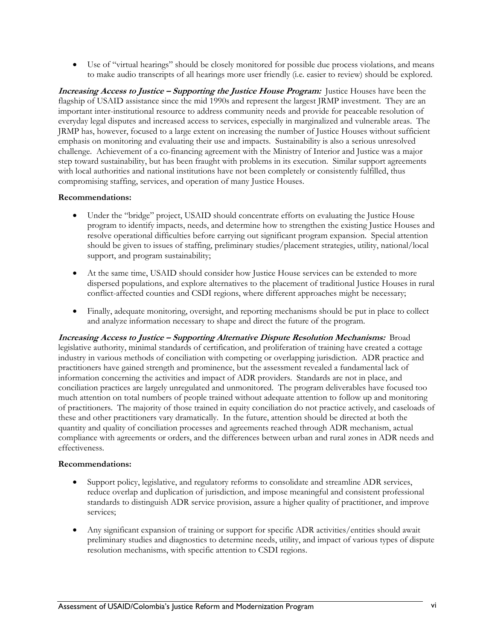• Use of "virtual hearings" should be closely monitored for possible due process violations, and means to make audio transcripts of all hearings more user friendly (i.e. easier to review) should be explored.

**Increasing Access to Justice – Supporting the Justice House Program:** Justice Houses have been the flagship of USAID assistance since the mid 1990s and represent the largest JRMP investment. They are an important inter-institutional resource to address community needs and provide for peaceable resolution of everyday legal disputes and increased access to services, especially in marginalized and vulnerable areas. The JRMP has, however, focused to a large extent on increasing the number of Justice Houses without sufficient emphasis on monitoring and evaluating their use and impacts. Sustainability is also a serious unresolved challenge. Achievement of a co-financing agreement with the Ministry of Interior and Justice was a major step toward sustainability, but has been fraught with problems in its execution. Similar support agreements with local authorities and national institutions have not been completely or consistently fulfilled, thus compromising staffing, services, and operation of many Justice Houses.

#### **Recommendations:**

- Under the "bridge" project, USAID should concentrate efforts on evaluating the Justice House program to identify impacts, needs, and determine how to strengthen the existing Justice Houses and resolve operational difficulties before carrying out significant program expansion. Special attention should be given to issues of staffing, preliminary studies/placement strategies, utility, national/local support, and program sustainability;
- At the same time, USAID should consider how Justice House services can be extended to more dispersed populations, and explore alternatives to the placement of traditional Justice Houses in rural conflict-affected counties and CSDI regions, where different approaches might be necessary;
- Finally, adequate monitoring, oversight, and reporting mechanisms should be put in place to collect and analyze information necessary to shape and direct the future of the program.

**Increasing Access to Justice – Supporting Alternative Dispute Resolution Mechanisms:** Broad legislative authority, minimal standards of certification, and proliferation of training have created a cottage industry in various methods of conciliation with competing or overlapping jurisdiction. ADR practice and practitioners have gained strength and prominence, but the assessment revealed a fundamental lack of information concerning the activities and impact of ADR providers. Standards are not in place, and conciliation practices are largely unregulated and unmonitored. The program deliverables have focused too much attention on total numbers of people trained without adequate attention to follow up and monitoring of practitioners. The majority of those trained in equity conciliation do not practice actively, and caseloads of these and other practitioners vary dramatically. In the future, attention should be directed at both the quantity and quality of conciliation processes and agreements reached through ADR mechanism, actual compliance with agreements or orders, and the differences between urban and rural zones in ADR needs and effectiveness.

#### **Recommendations:**

- Support policy, legislative, and regulatory reforms to consolidate and streamline ADR services, reduce overlap and duplication of jurisdiction, and impose meaningful and consistent professional standards to distinguish ADR service provision, assure a higher quality of practitioner, and improve services;
- Any significant expansion of training or support for specific ADR activities/entities should await preliminary studies and diagnostics to determine needs, utility, and impact of various types of dispute resolution mechanisms, with specific attention to CSDI regions.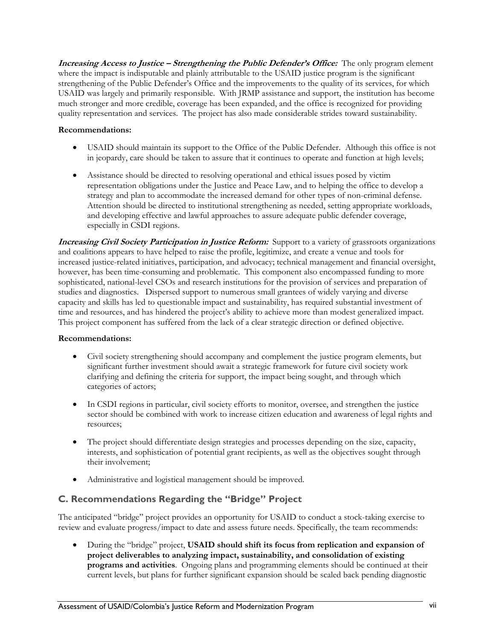**Increasing Access to Justice – Strengthening the Public Defender's Office:** The only program element where the impact is indisputable and plainly attributable to the USAID justice program is the significant strengthening of the Public Defender's Office and the improvements to the quality of its services, for which USAID was largely and primarily responsible. With JRMP assistance and support, the institution has become much stronger and more credible, coverage has been expanded, and the office is recognized for providing quality representation and services. The project has also made considerable strides toward sustainability.

### **Recommendations:**

- USAID should maintain its support to the Office of the Public Defender. Although this office is not in jeopardy, care should be taken to assure that it continues to operate and function at high levels;
- Assistance should be directed to resolving operational and ethical issues posed by victim representation obligations under the Justice and Peace Law, and to helping the office to develop a strategy and plan to accommodate the increased demand for other types of non-criminal defense. Attention should be directed to institutional strengthening as needed, setting appropriate workloads, and developing effective and lawful approaches to assure adequate public defender coverage, especially in CSDI regions.

**Increasing Civil Society Participation in Justice Reform:** Support to a variety of grassroots organizations and coalitions appears to have helped to raise the profile, legitimize, and create a venue and tools for increased justice-related initiatives, participation, and advocacy; technical management and financial oversight, however, has been time-consuming and problematic. This component also encompassed funding to more sophisticated, national-level CSOs and research institutions for the provision of services and preparation of studies and diagnostics. Dispersed support to numerous small grantees of widely varying and diverse capacity and skills has led to questionable impact and sustainability, has required substantial investment of time and resources, and has hindered the project's ability to achieve more than modest generalized impact. This project component has suffered from the lack of a clear strategic direction or defined objective.

#### **Recommendations:**

- Civil society strengthening should accompany and complement the justice program elements, but significant further investment should await a strategic framework for future civil society work clarifying and defining the criteria for support, the impact being sought, and through which categories of actors;
- In CSDI regions in particular, civil society efforts to monitor, oversee, and strengthen the justice sector should be combined with work to increase citizen education and awareness of legal rights and resources;
- The project should differentiate design strategies and processes depending on the size, capacity, interests, and sophistication of potential grant recipients, as well as the objectives sought through their involvement;
- Administrative and logistical management should be improved.

### **C. Recommendations Regarding the "Bridge" Project**

The anticipated "bridge" project provides an opportunity for USAID to conduct a stock-taking exercise to review and evaluate progress/impact to date and assess future needs. Specifically, the team recommends:

• During the "bridge" project, **USAID should shift its focus from replication and expansion of project deliverables to analyzing impact, sustainability, and consolidation of existing programs and activities**. Ongoing plans and programming elements should be continued at their current levels, but plans for further significant expansion should be scaled back pending diagnostic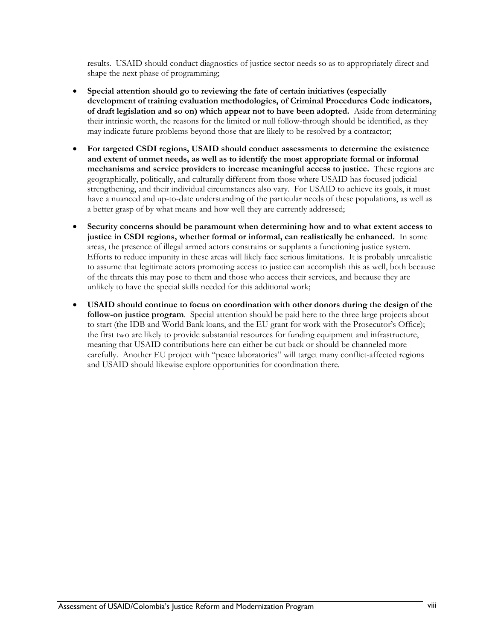results. USAID should conduct diagnostics of justice sector needs so as to appropriately direct and shape the next phase of programming;

- **Special attention should go to reviewing the fate of certain initiatives (especially development of training evaluation methodologies, of Criminal Procedures Code indicators, of draft legislation and so on) which appear not to have been adopted.** Aside from determining their intrinsic worth, the reasons for the limited or null follow-through should be identified, as they may indicate future problems beyond those that are likely to be resolved by a contractor;
- **For targeted CSDI regions, USAID should conduct assessments to determine the existence and extent of unmet needs, as well as to identify the most appropriate formal or informal mechanisms and service providers to increase meaningful access to justice.** These regions are geographically, politically, and culturally different from those where USAID has focused judicial strengthening, and their individual circumstances also vary. For USAID to achieve its goals, it must have a nuanced and up-to-date understanding of the particular needs of these populations, as well as a better grasp of by what means and how well they are currently addressed;
- **Security concerns should be paramount when determining how and to what extent access to justice in CSDI regions, whether formal or informal, can realistically be enhanced.** In some areas, the presence of illegal armed actors constrains or supplants a functioning justice system. Efforts to reduce impunity in these areas will likely face serious limitations. It is probably unrealistic to assume that legitimate actors promoting access to justice can accomplish this as well, both because of the threats this may pose to them and those who access their services, and because they are unlikely to have the special skills needed for this additional work;
- **USAID should continue to focus on coordination with other donors during the design of the follow-on justice program**. Special attention should be paid here to the three large projects about to start (the IDB and World Bank loans, and the EU grant for work with the Prosecutor's Office); the first two are likely to provide substantial resources for funding equipment and infrastructure, meaning that USAID contributions here can either be cut back or should be channeled more carefully. Another EU project with "peace laboratories" will target many conflict-affected regions and USAID should likewise explore opportunities for coordination there.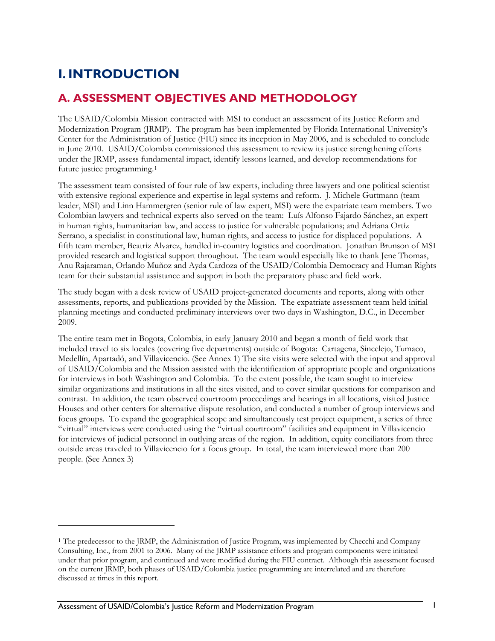# <span id="page-10-0"></span>**I. INTRODUCTION**

### **A. ASSESSMENT OBJECTIVES AND METHODOLOGY**

The USAID/Colombia Mission contracted with MSI to conduct an assessment of its Justice Reform and Modernization Program (JRMP). The program has been implemented by Florida International University's Center for the Administration of Justice (FIU) since its inception in May 2006, and is scheduled to conclude in June 2010. USAID/Colombia commissioned this assessment to review its justice strengthening efforts under the JRMP, assess fundamental impact, identify lessons learned, and develop recommendations for future justice programming.[1](#page-10-1)

The assessment team consisted of four rule of law experts, including three lawyers and one political scientist with extensive regional experience and expertise in legal systems and reform. J. Michele Guttmann (team leader, MSI) and Linn Hammergren (senior rule of law expert, MSI) were the expatriate team members. Two Colombian lawyers and technical experts also served on the team: Luís Alfonso Fajardo Sánchez, an expert in human rights, humanitarian law, and access to justice for vulnerable populations; and Adriana Ortíz Serrano, a specialist in constitutional law, human rights, and access to justice for displaced populations. A fifth team member, Beatriz Alvarez, handled in-country logistics and coordination. Jonathan Brunson of MSI provided research and logistical support throughout. The team would especially like to thank Jene Thomas, Anu Rajaraman, Orlando Muñoz and Ayda Cardoza of the USAID/Colombia Democracy and Human Rights team for their substantial assistance and support in both the preparatory phase and field work.

The study began with a desk review of USAID project-generated documents and reports, along with other assessments, reports, and publications provided by the Mission. The expatriate assessment team held initial planning meetings and conducted preliminary interviews over two days in Washington, D.C., in December 2009.

The entire team met in Bogota, Colombia, in early January 2010 and began a month of field work that included travel to six locales (covering five departments) outside of Bogota: Cartagena, Sincelejo, Tumaco, Medellín, Apartadó, and Villavicencio. (See Annex 1) The site visits were selected with the input and approval of USAID/Colombia and the Mission assisted with the identification of appropriate people and organizations for interviews in both Washington and Colombia. To the extent possible, the team sought to interview similar organizations and institutions in all the sites visited, and to cover similar questions for comparison and contrast. In addition, the team observed courtroom proceedings and hearings in all locations, visited Justice Houses and other centers for alternative dispute resolution, and conducted a number of group interviews and focus groups. To expand the geographical scope and simultaneously test project equipment, a series of three "virtual" interviews were conducted using the "virtual courtroom" facilities and equipment in Villavicencio for interviews of judicial personnel in outlying areas of the region. In addition, equity conciliators from three outside areas traveled to Villavicencio for a focus group. In total, the team interviewed more than 200 people. (See Annex 3)

<u>.</u>

<span id="page-10-1"></span><sup>&</sup>lt;sup>1</sup> The predecessor to the JRMP, the Administration of Justice Program, was implemented by Checchi and Company Consulting, Inc., from 2001 to 2006. Many of the JRMP assistance efforts and program components were initiated under that prior program, and continued and were modified during the FIU contract. Although this assessment focused on the current JRMP, both phases of USAID/Colombia justice programming are interrelated and are therefore discussed at times in this report.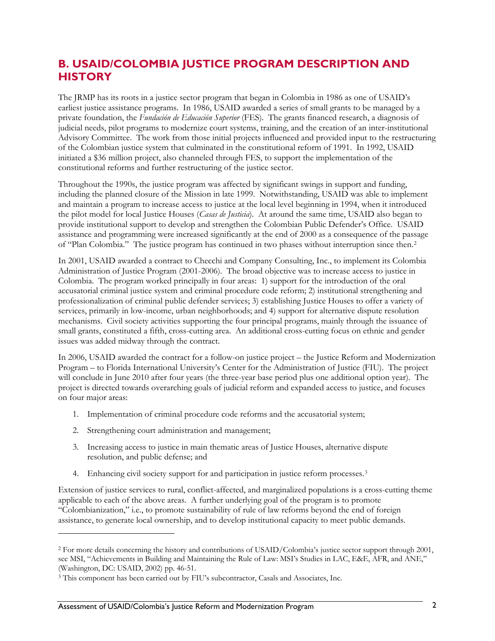### <span id="page-11-0"></span>**B. USAID/COLOMBIA JUSTICE PROGRAM DESCRIPTION AND HISTORY**

The JRMP has its roots in a justice sector program that began in Colombia in 1986 as one of USAID's earliest justice assistance programs. In 1986, USAID awarded a series of small grants to be managed by a private foundation, the *Fundación de Educación Superior* (FES). The grants financed research, a diagnosis of judicial needs, pilot programs to modernize court systems, training, and the creation of an inter-institutional Advisory Committee. The work from those initial projects influenced and provided input to the restructuring of the Colombian justice system that culminated in the constitutional reform of 1991. In 1992, USAID initiated a \$36 million project, also channeled through FES, to support the implementation of the constitutional reforms and further restructuring of the justice sector.

Throughout the 1990s, the justice program was affected by significant swings in support and funding, including the planned closure of the Mission in late 1999. Notwithstanding, USAID was able to implement and maintain a program to increase access to justice at the local level beginning in 1994, when it introduced the pilot model for local Justice Houses (*Casas de Justicia*). At around the same time, USAID also began to provide institutional support to develop and strengthen the Colombian Public Defender's Office. USAID assistance and programming were increased significantly at the end of 2000 as a consequence of the passage of "Plan Colombia." The justice program has continued in two phases without interruption since then.[2](#page-11-1)

In 2001, USAID awarded a contract to Checchi and Company Consulting, Inc., to implement its Colombia Administration of Justice Program (2001-2006). The broad objective was to increase access to justice in Colombia. The program worked principally in four areas: 1) support for the introduction of the oral accusatorial criminal justice system and criminal procedure code reform; 2) institutional strengthening and professionalization of criminal public defender services; 3) establishing Justice Houses to offer a variety of services, primarily in low-income, urban neighborhoods; and 4) support for alternative dispute resolution mechanisms. Civil society activities supporting the four principal programs, mainly through the issuance of small grants, constituted a fifth, cross-cutting area. An additional cross-cutting focus on ethnic and gender issues was added midway through the contract.

In 2006, USAID awarded the contract for a follow-on justice project – the Justice Reform and Modernization Program – to Florida International University's Center for the Administration of Justice (FIU). The project will conclude in June 2010 after four years (the three-year base period plus one additional option year). The project is directed towards overarching goals of judicial reform and expanded access to justice, and focuses on four major areas:

- 1. Implementation of criminal procedure code reforms and the accusatorial system;
- 2. Strengthening court administration and management;

<u>.</u>

- 3. Increasing access to justice in main thematic areas of Justice Houses, alternative dispute resolution, and public defense; and
- 4. Enhancing civil society support for and participation in justice reform processes.<sup>[3](#page-11-2)</sup>

Extension of justice services to rural, conflict-affected, and marginalized populations is a cross-cutting theme applicable to each of the above areas. A further underlying goal of the program is to promote "Colombianization," i.e., to promote sustainability of rule of law reforms beyond the end of foreign assistance, to generate local ownership, and to develop institutional capacity to meet public demands.

<span id="page-11-1"></span><sup>2</sup> For more details concerning the history and contributions of USAID/Colombia's justice sector support through 2001, see MSI, "Achievements in Building and Maintaining the Rule of Law: MSI's Studies in LAC, E&E, AFR, and ANE," (Washington, DC: USAID, 2002) pp. 46-51.

<span id="page-11-2"></span><sup>3</sup> This component has been carried out by FIU's subcontractor, Casals and Associates, Inc.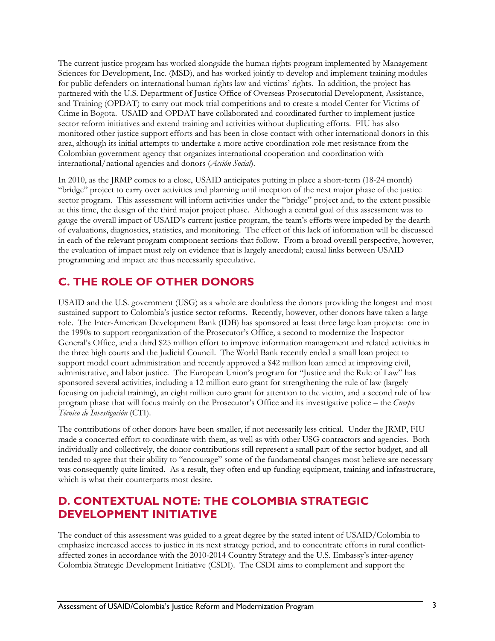<span id="page-12-0"></span>The current justice program has worked alongside the human rights program implemented by Management Sciences for Development, Inc. (MSD), and has worked jointly to develop and implement training modules for public defenders on international human rights law and victims' rights. In addition, the project has partnered with the U.S. Department of Justice Office of Overseas Prosecutorial Development, Assistance, and Training (OPDAT) to carry out mock trial competitions and to create a model Center for Victims of Crime in Bogota. USAID and OPDAT have collaborated and coordinated further to implement justice sector reform initiatives and extend training and activities without duplicating efforts. FIU has also monitored other justice support efforts and has been in close contact with other international donors in this area, although its initial attempts to undertake a more active coordination role met resistance from the Colombian government agency that organizes international cooperation and coordination with international/national agencies and donors (*Acción Social*).

In 2010, as the JRMP comes to a close, USAID anticipates putting in place a short-term (18-24 month) "bridge" project to carry over activities and planning until inception of the next major phase of the justice sector program. This assessment will inform activities under the "bridge" project and, to the extent possible at this time, the design of the third major project phase. Although a central goal of this assessment was to gauge the overall impact of USAID's current justice program, the team's efforts were impeded by the dearth of evaluations, diagnostics, statistics, and monitoring. The effect of this lack of information will be discussed in each of the relevant program component sections that follow. From a broad overall perspective, however, the evaluation of impact must rely on evidence that is largely anecdotal; causal links between USAID programming and impact are thus necessarily speculative.

### **C. THE ROLE OF OTHER DONORS**

USAID and the U.S. government (USG) as a whole are doubtless the donors providing the longest and most sustained support to Colombia's justice sector reforms. Recently, however, other donors have taken a large role. The Inter-American Development Bank (IDB) has sponsored at least three large loan projects: one in the 1990s to support reorganization of the Prosecutor's Office, a second to modernize the Inspector General's Office, and a third \$25 million effort to improve information management and related activities in the three high courts and the Judicial Council. The World Bank recently ended a small loan project to support model court administration and recently approved a \$42 million loan aimed at improving civil, administrative, and labor justice. The European Union's program for "Justice and the Rule of Law" has sponsored several activities, including a 12 million euro grant for strengthening the rule of law (largely focusing on judicial training), an eight million euro grant for attention to the victim, and a second rule of law program phase that will focus mainly on the Prosecutor's Office and its investigative police – the *Cuerpo Técnico de Investigación* (CTI).

The contributions of other donors have been smaller, if not necessarily less critical. Under the JRMP, FIU made a concerted effort to coordinate with them, as well as with other USG contractors and agencies. Both individually and collectively, the donor contributions still represent a small part of the sector budget, and all tended to agree that their ability to "encourage" some of the fundamental changes most believe are necessary was consequently quite limited. As a result, they often end up funding equipment, training and infrastructure, which is what their counterparts most desire.

### **D. CONTEXTUAL NOTE: THE COLOMBIA STRATEGIC DEVELOPMENT INITIATIVE**

The conduct of this assessment was guided to a great degree by the stated intent of USAID/Colombia to emphasize increased access to justice in its next strategy period, and to concentrate efforts in rural conflictaffected zones in accordance with the 2010-2014 Country Strategy and the U.S. Embassy's inter-agency Colombia Strategic Development Initiative (CSDI). The CSDI aims to complement and support the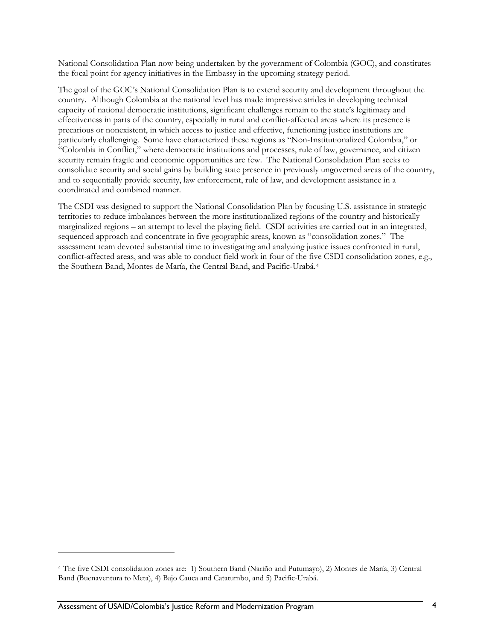<span id="page-13-0"></span>National Consolidation Plan now being undertaken by the government of Colombia (GOC), and constitutes the focal point for agency initiatives in the Embassy in the upcoming strategy period.

The goal of the GOC's National Consolidation Plan is to extend security and development throughout the country. Although Colombia at the national level has made impressive strides in developing technical capacity of national democratic institutions, significant challenges remain to the state's legitimacy and effectiveness in parts of the country, especially in rural and conflict-affected areas where its presence is precarious or nonexistent, in which access to justice and effective, functioning justice institutions are particularly challenging. Some have characterized these regions as "Non-Institutionalized Colombia," or "Colombia in Conflict," where democratic institutions and processes, rule of law, governance, and citizen security remain fragile and economic opportunities are few. The National Consolidation Plan seeks to consolidate security and social gains by building state presence in previously ungoverned areas of the country, and to sequentially provide security, law enforcement, rule of law, and development assistance in a coordinated and combined manner.

The CSDI was designed to support the National Consolidation Plan by focusing U.S. assistance in strategic territories to reduce imbalances between the more institutionalized regions of the country and historically marginalized regions – an attempt to level the playing field. CSDI activities are carried out in an integrated, sequenced approach and concentrate in five geographic areas, known as "consolidation zones." The assessment team devoted substantial time to investigating and analyzing justice issues confronted in rural, conflict-affected areas, and was able to conduct field work in four of the five CSDI consolidation zones, e.g., the Southern Band, Montes de María, the Central Band, and Pacific-Urabá.[4](#page-13-0)

<sup>4</sup> The five CSDI consolidation zones are: 1) Southern Band (Nariño and Putumayo), 2) Montes de María, 3) Central Band (Buenaventura to Meta), 4) Bajo Cauca and Catatumbo, and 5) Pacific-Urabá.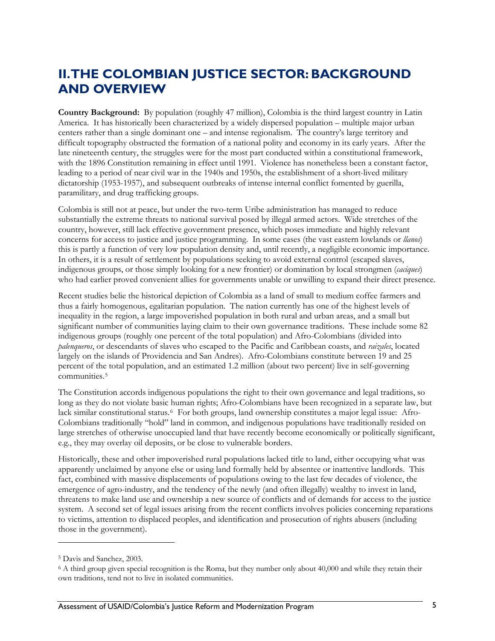## <span id="page-14-0"></span>**II. THE COLOMBIAN JUSTICE SECTOR: BACKGROUND AND OVERVIEW**

**Country Background:** By population (roughly 47 million), Colombia is the third largest country in Latin America. It has historically been characterized by a widely dispersed population – multiple major urban centers rather than a single dominant one – and intense regionalism. The country's large territory and difficult topography obstructed the formation of a national polity and economy in its early years. After the late nineteenth century, the struggles were for the most part conducted within a constitutional framework, with the 1896 Constitution remaining in effect until 1991. Violence has nonetheless been a constant factor, leading to a period of near civil war in the 1940s and 1950s, the establishment of a short-lived military dictatorship (1953-1957), and subsequent outbreaks of intense internal conflict fomented by guerilla, paramilitary, and drug trafficking groups.

Colombia is still not at peace, but under the two-term Uribe administration has managed to reduce substantially the extreme threats to national survival posed by illegal armed actors. Wide stretches of the country, however, still lack effective government presence, which poses immediate and highly relevant concerns for access to justice and justice programming. In some cases (the vast eastern lowlands or *llanos*) this is partly a function of very low population density and, until recently, a negligible economic importance. In others, it is a result of settlement by populations seeking to avoid external control (escaped slaves, indigenous groups, or those simply looking for a new frontier) or domination by local strongmen (*caciques*) who had earlier proved convenient allies for governments unable or unwilling to expand their direct presence.

Recent studies belie the historical depiction of Colombia as a land of small to medium coffee farmers and thus a fairly homogenous, egalitarian population. The nation currently has one of the highest levels of inequality in the region, a large impoverished population in both rural and urban areas, and a small but significant number of communities laying claim to their own governance traditions. These include some 82 indigenous groups (roughly one percent of the total population) and Afro-Colombians (divided into *palenqueros*, or descendants of slaves who escaped to the Pacific and Caribbean coasts, and *raizales*, located largely on the islands of Providencia and San Andres). Afro-Colombians constitute between 19 and 25 percent of the total population, and an estimated 1.2 million (about two percent) live in self-governing communities.[5](#page-14-0)

The Constitution accords indigenous populations the right to their own governance and legal traditions, so long as they do not violate basic human rights; Afro-Colombians have been recognized in a separate law, but lack similar constitutional status.<sup>[6](#page-14-0)</sup> For both groups, land ownership constitutes a major legal issue: Afro-Colombians traditionally "hold" land in common, and indigenous populations have traditionally resided on large stretches of otherwise unoccupied land that have recently become economically or politically significant, e.g., they may overlay oil deposits, or be close to vulnerable borders.

Historically, these and other impoverished rural populations lacked title to land, either occupying what was apparently unclaimed by anyone else or using land formally held by absentee or inattentive landlords. This fact, combined with massive displacements of populations owing to the last few decades of violence, the emergence of agro-industry, and the tendency of the newly (and often illegally) wealthy to invest in land, threatens to make land use and ownership a new source of conflicts and of demands for access to the justice system. A second set of legal issues arising from the recent conflicts involves policies concerning reparations to victims, attention to displaced peoples, and identification and prosecution of rights abusers (including those in the government).

<sup>5</sup> Davis and Sanchez, 2003.

<sup>6</sup> A third group given special recognition is the Roma, but they number only about 40,000 and while they retain their own traditions, tend not to live in isolated communities.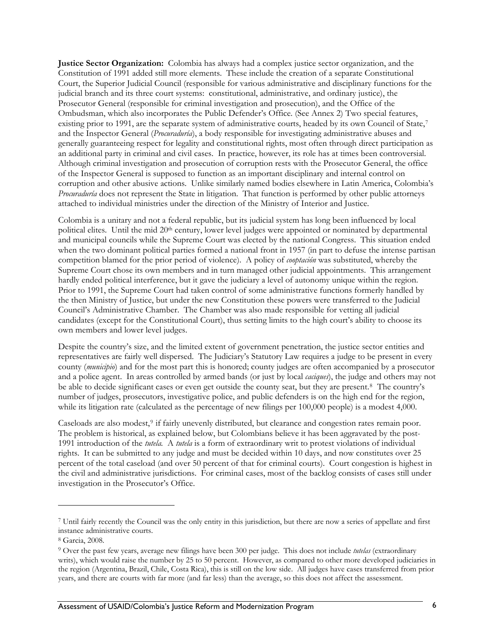<span id="page-15-0"></span>**Justice Sector Organization:** Colombia has always had a complex justice sector organization, and the Constitution of 1991 added still more elements. These include the creation of a separate Constitutional Court, the Superior Judicial Council (responsible for various administrative and disciplinary functions for the judicial branch and its three court systems: constitutional, administrative, and ordinary justice), the Prosecutor General (responsible for criminal investigation and prosecution), and the Office of the Ombudsman, which also incorporates the Public Defender's Office. (See Annex 2) Two special features, existing prior to 1991, are the separate system of administrative courts, headed by its own Council of State,[7](#page-15-0) and the Inspector General (*Procuraduría*), a body responsible for investigating administrative abuses and generally guaranteeing respect for legality and constitutional rights, most often through direct participation as an additional party in criminal and civil cases. In practice, however, its role has at times been controversial. Although criminal investigation and prosecution of corruption rests with the Prosecutor General, the office of the Inspector General is supposed to function as an important disciplinary and internal control on corruption and other abusive actions. Unlike similarly named bodies elsewhere in Latin America, Colombia's *Procuraduría* does not represent the State in litigation. That function is performed by other public attorneys attached to individual ministries under the direction of the Ministry of Interior and Justice.

Colombia is a unitary and not a federal republic, but its judicial system has long been influenced by local political elites. Until the mid 20th century, lower level judges were appointed or nominated by departmental and municipal councils while the Supreme Court was elected by the national Congress. This situation ended when the two dominant political parties formed a national front in 1957 (in part to defuse the intense partisan competition blamed for the prior period of violence). A policy of *cooptación* was substituted, whereby the Supreme Court chose its own members and in turn managed other judicial appointments. This arrangement hardly ended political interference, but it gave the judiciary a level of autonomy unique within the region. Prior to 1991, the Supreme Court had taken control of some administrative functions formerly handled by the then Ministry of Justice, but under the new Constitution these powers were transferred to the Judicial Council's Administrative Chamber. The Chamber was also made responsible for vetting all judicial candidates (except for the Constitutional Court), thus setting limits to the high court's ability to choose its own members and lower level judges.

Despite the country's size, and the limited extent of government penetration, the justice sector entities and representatives are fairly well dispersed. The Judiciary's Statutory Law requires a judge to be present in every county (*municipio*) and for the most part this is honored; county judges are often accompanied by a prosecutor and a police agent. In areas controlled by armed bands (or just by local *caciques*), the judge and others may not be able to decide significant cases or even get outside the county seat, but they are present.[8](#page-15-0) The country's number of judges, prosecutors, investigative police, and public defenders is on the high end for the region, while its litigation rate (calculated as the percentage of new filings per 100,000 people) is a modest 4,000.

Caseloads are also modest,<sup>[9](#page-15-0)</sup> if fairly unevenly distributed, but clearance and congestion rates remain poor. The problem is historical, as explained below, but Colombians believe it has been aggravated by the post-1991 introduction of the *tutela.* A *tutela* is a form of extraordinary writ to protest violations of individual rights. It can be submitted to any judge and must be decided within 10 days, and now constitutes over 25 percent of the total caseload (and over 50 percent of that for criminal courts). Court congestion is highest in the civil and administrative jurisdictions. For criminal cases, most of the backlog consists of cases still under investigation in the Prosecutor's Office.

<sup>7</sup> Until fairly recently the Council was the only entity in this jurisdiction, but there are now a series of appellate and first instance administrative courts.

<sup>8</sup> Garcia, 2008.

<sup>9</sup> Over the past few years, average new filings have been 300 per judge. This does not include *tutelas* (extraordinary writs), which would raise the number by 25 to 50 percent. However, as compared to other more developed judiciaries in the region (Argentina, Brazil, Chile, Costa Rica), this is still on the low side. All judges have cases transferred from prior years, and there are courts with far more (and far less) than the average, so this does not affect the assessment.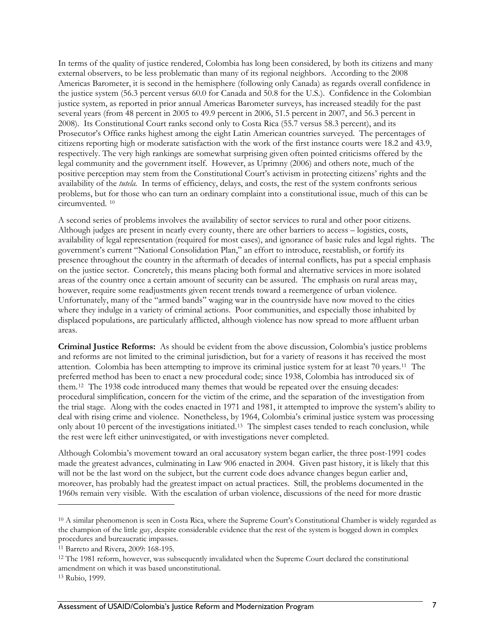<span id="page-16-0"></span>In terms of the quality of justice rendered, Colombia has long been considered, by both its citizens and many external observers, to be less problematic than many of its regional neighbors. According to the 2008 Americas Barometer, it is second in the hemisphere (following only Canada) as regards overall confidence in the justice system (56.3 percent versus 60.0 for Canada and 50.8 for the U.S.). Confidence in the Colombian justice system, as reported in prior annual Americas Barometer surveys, has increased steadily for the past several years (from 48 percent in 2005 to 49.9 percent in 2006, 51.5 percent in 2007, and 56.3 percent in 2008). Its Constitutional Court ranks second only to Costa Rica (55.7 versus 58.3 percent), and its Prosecutor's Office ranks highest among the eight Latin American countries surveyed. The percentages of citizens reporting high or moderate satisfaction with the work of the first instance courts were 18.2 and 43.9, respectively. The very high rankings are somewhat surprising given often pointed criticisms offered by the legal community and the government itself. However, as Uprimny (2006) and others note, much of the positive perception may stem from the Constitutional Court's activism in protecting citizens' rights and the availability of the *tutela.* In terms of efficiency, delays, and costs, the rest of the system confronts serious problems, but for those who can turn an ordinary complaint into a constitutional issue, much of this can be circumvented. [10](#page-16-0)

A second series of problems involves the availability of sector services to rural and other poor citizens. Although judges are present in nearly every county, there are other barriers to access – logistics, costs, availability of legal representation (required for most cases), and ignorance of basic rules and legal rights. The government's current "National Consolidation Plan," an effort to introduce, reestablish, or fortify its presence throughout the country in the aftermath of decades of internal conflicts, has put a special emphasis on the justice sector. Concretely, this means placing both formal and alternative services in more isolated areas of the country once a certain amount of security can be assured. The emphasis on rural areas may, however, require some readjustments given recent trends toward a reemergence of urban violence. Unfortunately, many of the "armed bands" waging war in the countryside have now moved to the cities where they indulge in a variety of criminal actions. Poor communities, and especially those inhabited by displaced populations, are particularly afflicted, although violence has now spread to more affluent urban areas.

**Criminal Justice Reforms:** As should be evident from the above discussion, Colombia's justice problems and reforms are not limited to the criminal jurisdiction, but for a variety of reasons it has received the most attention. Colombia has been attempting to improve its criminal justice system for at least 70 years.[11](#page-16-0) The preferred method has been to enact a new procedural code; since 1938, Colombia has introduced six of them.[12](#page-16-0) The 1938 code introduced many themes that would be repeated over the ensuing decades: procedural simplification, concern for the victim of the crime, and the separation of the investigation from the trial stage. Along with the codes enacted in 1971 and 1981, it attempted to improve the system's ability to deal with rising crime and violence. Nonetheless, by 1964, Colombia's criminal justice system was processing only about 10 percent of the investigations initiated.[13](#page-16-0) The simplest cases tended to reach conclusion, while the rest were left either uninvestigated, or with investigations never completed.

Although Colombia's movement toward an oral accusatory system began earlier, the three post-1991 codes made the greatest advances, culminating in Law 906 enacted in 2004. Given past history, it is likely that this will not be the last word on the subject, but the current code does advance changes begun earlier and, moreover, has probably had the greatest impact on actual practices. Still, the problems documented in the 1960s remain very visible. With the escalation of urban violence, discussions of the need for more drastic

<sup>10</sup> A similar phenomenon is seen in Costa Rica, where the Supreme Court's Constitutional Chamber is widely regarded as the champion of the little guy, despite considerable evidence that the rest of the system is bogged down in complex

<sup>&</sup>lt;sup>11</sup> Barreto and Rivera, 2009: 168-195.

<sup>12</sup> The 1981 reform, however, was subsequently invalidated when the Supreme Court declared the constitutional amendment on which it was based unconstitutional.

<sup>13</sup> Rubio, 1999.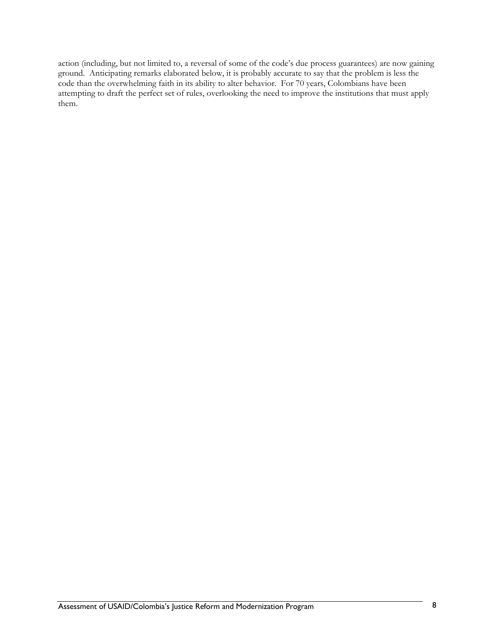action (including, but not limited to, a reversal of some of the code's due process guarantees) are now gaining ground. Anticipating remarks elaborated below, it is probably accurate to say that the problem is less the code than the overwhelming faith in its ability to alter behavior. For 70 years, Colombians have been attempting to draft the perfect set of rules, overlooking the need to improve the institutions that must apply them.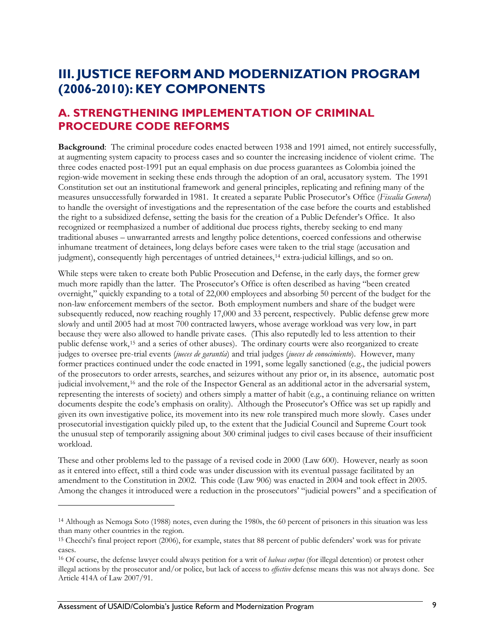## <span id="page-18-0"></span>**III. JUSTICE REFORM AND MODERNIZATION PROGRAM (2006-2010): KEY COMPONENTS**

### **A. STRENGTHENING IMPLEMENTATION OF CRIMINAL PROCEDURE CODE REFORMS**

**Background**: The criminal procedure codes enacted between 1938 and 1991 aimed, not entirely successfully, at augmenting system capacity to process cases and so counter the increasing incidence of violent crime. The three codes enacted post-1991 put an equal emphasis on due process guarantees as Colombia joined the region-wide movement in seeking these ends through the adoption of an oral, accusatory system. The 1991 Constitution set out an institutional framework and general principles, replicating and refining many of the measures unsuccessfully forwarded in 1981. It created a separate Public Prosecutor's Office (*Fiscalía General*) to handle the oversight of investigations and the representation of the case before the courts and established the right to a subsidized defense, setting the basis for the creation of a Public Defender's Office. It also recognized or reemphasized a number of additional due process rights, thereby seeking to end many traditional abuses – unwarranted arrests and lengthy police detentions, coerced confessions and otherwise inhumane treatment of detainees, long delays before cases were taken to the trial stage (accusation and judgment), consequently high percentages of untried detainees,[14](#page-18-0) extra-judicial killings, and so on.

While steps were taken to create both Public Prosecution and Defense, in the early days, the former grew much more rapidly than the latter. The Prosecutor's Office is often described as having "been created overnight," quickly expanding to a total of 22,000 employees and absorbing 50 percent of the budget for the non-law enforcement members of the sector. Both employment numbers and share of the budget were subsequently reduced, now reaching roughly 17,000 and 33 percent, respectively. Public defense grew more slowly and until 2005 had at most 700 contracted lawyers, whose average workload was very low, in part because they were also allowed to handle private cases. (This also reputedly led to less attention to their public defense work,[15](#page-18-0) and a series of other abuses). The ordinary courts were also reorganized to create judges to oversee pre-trial events (*jueces de garantía*) and trial judges (*jueces de conocimiento*). However, many former practices continued under the code enacted in 1991, some legally sanctioned (e.g., the judicial powers of the prosecutors to order arrests, searches, and seizures without any prior or, in its absence, automatic post judicial involvement,[16](#page-18-0) and the role of the Inspector General as an additional actor in the adversarial system, representing the interests of society) and others simply a matter of habit (e.g., a continuing reliance on written documents despite the code's emphasis on orality). Although the Prosecutor's Office was set up rapidly and given its own investigative police, its movement into its new role transpired much more slowly. Cases under prosecutorial investigation quickly piled up, to the extent that the Judicial Council and Supreme Court took the unusual step of temporarily assigning about 300 criminal judges to civil cases because of their insufficient workload.

These and other problems led to the passage of a revised code in 2000 (Law 600). However, nearly as soon as it entered into effect, still a third code was under discussion with its eventual passage facilitated by an amendment to the Constitution in 2002. This code (Law 906) was enacted in 2004 and took effect in 2005. Among the changes it introduced were a reduction in the prosecutors' "judicial powers" and a specification of

<sup>14</sup> Although as Nemoga Soto (1988) notes, even during the 1980s, the 60 percent of prisoners in this situation was less than many other countries in the region.

<sup>15</sup> Checchi's final project report (2006), for example, states that 88 percent of public defenders' work was for private cases.

<sup>16</sup> Of course, the defense lawyer could always petition for a writ of *habeas corpus* (for illegal detention) or protest other illegal actions by the prosecutor and/or police, but lack of access to *effective* defense means this was not always done. See Article 414A of Law 2007/91.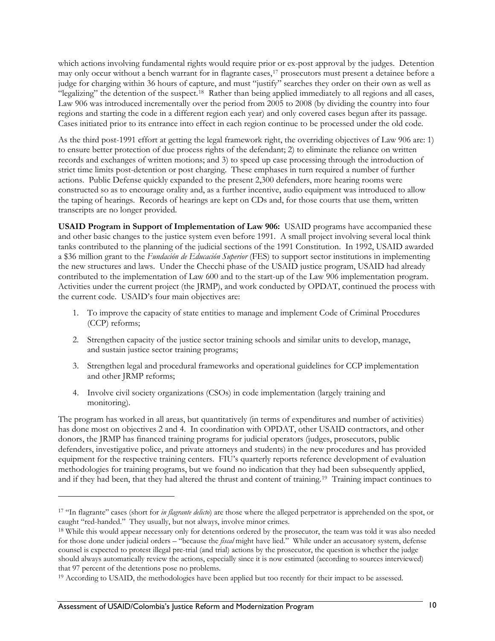<span id="page-19-0"></span>which actions involving fundamental rights would require prior or ex-post approval by the judges. Detention may only occur without a bench warrant for in flagrante cases,[17](#page-19-0) prosecutors must present a detainee before a judge for charging within 36 hours of capture, and must "justify" searches they order on their own as well as "legalizing" the detention of the suspect.[18](#page-19-0) Rather than being applied immediately to all regions and all cases, Law 906 was introduced incrementally over the period from 2005 to 2008 (by dividing the country into four regions and starting the code in a different region each year) and only covered cases begun after its passage. Cases initiated prior to its entrance into effect in each region continue to be processed under the old code.

As the third post-1991 effort at getting the legal framework right, the overriding objectives of Law 906 are: 1) to ensure better protection of due process rights of the defendant; 2) to eliminate the reliance on written records and exchanges of written motions; and 3) to speed up case processing through the introduction of strict time limits post-detention or post charging. These emphases in turn required a number of further actions. Public Defense quickly expanded to the present 2,300 defenders, more hearing rooms were constructed so as to encourage orality and, as a further incentive, audio equipment was introduced to allow the taping of hearings. Records of hearings are kept on CDs and, for those courts that use them, written transcripts are no longer provided.

**USAID Program in Support of Implementation of Law 906:** USAID programs have accompanied these and other basic changes to the justice system even before 1991. A small project involving several local think tanks contributed to the planning of the judicial sections of the 1991 Constitution. In 1992, USAID awarded a \$36 million grant to the *Fundación de Educación Superior* (FES) to support sector institutions in implementing the new structures and laws. Under the Checchi phase of the USAID justice program, USAID had already contributed to the implementation of Law 600 and to the start-up of the Law 906 implementation program. Activities under the current project (the JRMP), and work conducted by OPDAT, continued the process with the current code. USAID's four main objectives are:

- 1. To improve the capacity of state entities to manage and implement Code of Criminal Procedures (CCP) reforms;
- 2. Strengthen capacity of the justice sector training schools and similar units to develop, manage, and sustain justice sector training programs;
- 3. Strengthen legal and procedural frameworks and operational guidelines for CCP implementation and other JRMP reforms;
- 4. Involve civil society organizations (CSOs) in code implementation (largely training and monitoring).

The program has worked in all areas, but quantitatively (in terms of expenditures and number of activities) has done most on objectives 2 and 4. In coordination with OPDAT, other USAID contractors, and other donors, the JRMP has financed training programs for judicial operators (judges, prosecutors, public defenders, investigative police, and private attorneys and students) in the new procedures and has provided equipment for the respective training centers. FIU's quarterly reports reference development of evaluation methodologies for training programs, but we found no indication that they had been subsequently applied, and if they had been, that they had altered the thrust and content of training.[19](#page-19-0) Training impact continues to

<sup>17 &</sup>quot;In flagrante" cases (short for *in flagrante delicto*) are those where the alleged perpetrator is apprehended on the spot, or caught "red-handed." They usually, but not always, involve minor crimes.

<sup>18</sup> While this would appear necessary only for detentions ordered by the prosecutor, the team was told it was also needed for those done under judicial orders – "because the *fiscal* might have lied." While under an accusatory system, defense counsel is expected to protest illegal pre-trial (and trial) actions by the prosecutor, the question is whether the judge should always automatically review the actions, especially since it is now estimated (according to sources interviewed) that 97 percent of the detentions pose no problems.

<sup>&</sup>lt;sup>19</sup> According to USAID, the methodologies have been applied but too recently for their impact to be assessed.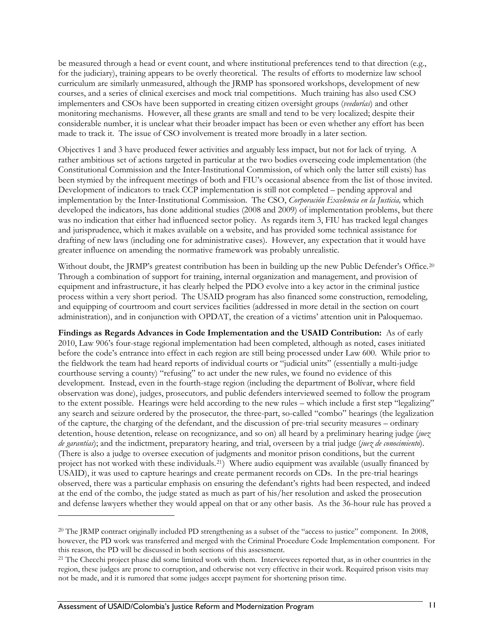<span id="page-20-0"></span>be measured through a head or event count, and where institutional preferences tend to that direction (e.g., for the judiciary), training appears to be overly theoretical. The results of efforts to modernize law school curriculum are similarly unmeasured, although the JRMP has sponsored workshops, development of new courses, and a series of clinical exercises and mock trial competitions. Much training has also used CSO implementers and CSOs have been supported in creating citizen oversight groups (*veedurías*) and other monitoring mechanisms. However, all these grants are small and tend to be very localized; despite their considerable number, it is unclear what their broader impact has been or even whether any effort has been made to track it. The issue of CSO involvement is treated more broadly in a later section.

Objectives 1 and 3 have produced fewer activities and arguably less impact, but not for lack of trying. A rather ambitious set of actions targeted in particular at the two bodies overseeing code implementation (the Constitutional Commission and the Inter-Institutional Commission, of which only the latter still exists) has been stymied by the infrequent meetings of both and FIU's occasional absence from the list of those invited. Development of indicators to track CCP implementation is still not completed – pending approval and implementation by the Inter-Institutional Commission. The CSO, *Corporación Excelencia en la Justicia,* which developed the indicators, has done additional studies (2008 and 2009) of implementation problems, but there was no indication that either had influenced sector policy. As regards item 3, FIU has tracked legal changes and jurisprudence, which it makes available on a website, and has provided some technical assistance for drafting of new laws (including one for administrative cases). However, any expectation that it would have greater influence on amending the normative framework was probably unrealistic.

Without doubt, the JRMP's greatest contribution has been in building up the new Public Defender's Office.<sup>[20](#page-20-0)</sup> Through a combination of support for training, internal organization and management, and provision of equipment and infrastructure, it has clearly helped the PDO evolve into a key actor in the criminal justice process within a very short period. The USAID program has also financed some construction, remodeling, and equipping of courtroom and court services facilities (addressed in more detail in the section on court administration), and in conjunction with OPDAT, the creation of a victims' attention unit in Paloquemao.

**Findings as Regards Advances in Code Implementation and the USAID Contribution:** As of early 2010, Law 906's four-stage regional implementation had been completed, although as noted, cases initiated before the code's entrance into effect in each region are still being processed under Law 600. While prior to the fieldwork the team had heard reports of individual courts or "judicial units" (essentially a multi-judge courthouse serving a county) "refusing" to act under the new rules, we found no evidence of this development. Instead, even in the fourth-stage region (including the department of Bolívar, where field observation was done), judges, prosecutors*,* and public defenders interviewed seemed to follow the program to the extent possible. Hearings were held according to the new rules – which include a first step "legalizing" any search and seizure ordered by the prosecutor*,* the three-part, so-called "combo" hearings (the legalization of the capture, the charging of the defendant, and the discussion of pre-trial security measures – ordinary detention, house detention, release on recognizance, and so on) all heard by a preliminary hearing judge (*juez de garantías*); and the indictment, preparatory hearing, and trial, overseen by a trial judge (*juez de conocimiento*). (There is also a judge to oversee execution of judgments and monitor prison conditions, but the current project has not worked with these individuals.[21](#page-20-0)) Where audio equipment was available (usually financed by USAID), it was used to capture hearings and create permanent records on CDs. In the pre-trial hearings observed, there was a particular emphasis on ensuring the defendant's rights had been respected, and indeed at the end of the combo, the judge stated as much as part of his/her resolution and asked the prosecution and defense lawyers whether they would appeal on that or any other basis. As the 36-hour rule has proved a

<sup>20</sup> The JRMP contract originally included PD strengthening as a subset of the "access to justice" component. In 2008, however, the PD work was transferred and merged with the Criminal Procedure Code Implementation component. For this reason, the PD will be discussed in both sections of this assessment. 21 The Checchi project phase did some limited work with them. Interviewees reported that, as in other countries in the

region, these judges are prone to corruption, and otherwise not very effective in their work. Required prison visits may not be made, and it is rumored that some judges accept payment for shortening prison time.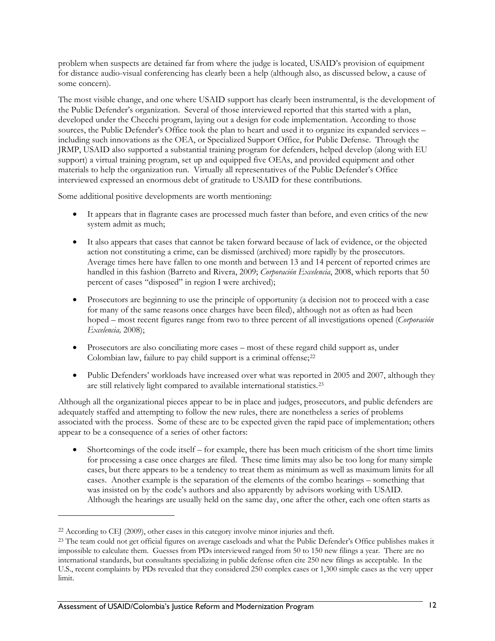<span id="page-21-0"></span>problem when suspects are detained far from where the judge is located, USAID's provision of equipment for distance audio-visual conferencing has clearly been a help (although also, as discussed below, a cause of some concern).

The most visible change, and one where USAID support has clearly been instrumental, is the development of the Public Defender's organization. Several of those interviewed reported that this started with a plan, developed under the Checchi program, laying out a design for code implementation. According to those sources, the Public Defender's Office took the plan to heart and used it to organize its expanded services – including such innovations as the OEA, or Specialized Support Office, for Public Defense. Through the JRMP, USAID also supported a substantial training program for defenders, helped develop (along with EU support) a virtual training program, set up and equipped five OEAs, and provided equipment and other materials to help the organization run. Virtually all representatives of the Public Defender's Office interviewed expressed an enormous debt of gratitude to USAID for these contributions.

Some additional positive developments are worth mentioning:

- It appears that in flagrante cases are processed much faster than before, and even critics of the new system admit as much;
- It also appears that cases that cannot be taken forward because of lack of evidence, or the objected action not constituting a crime, can be dismissed (archived) more rapidly by the prosecutors. Average times here have fallen to one month and between 13 and 14 percent of reported crimes are handled in this fashion (Barreto and Rivera, 2009; *Corporación Excelencia*, 2008, which reports that 50 percent of cases "disposed" in region I were archived);
- Prosecutors are beginning to use the principle of opportunity (a decision not to proceed with a case for many of the same reasons once charges have been filed), although not as often as had been hoped – most recent figures range from two to three percent of all investigations opened (*Corporación Excelencia,* 2008);
- Prosecutors are also conciliating more cases most of these regard child support as, under Colombian law, failure to pay child support is a criminal offense;<sup>[22](#page-21-0)</sup>
- Public Defenders' workloads have increased over what was reported in 2005 and 2007, although they are still relatively light compared to available international statistics.[23](#page-21-0)

Although all the organizational pieces appear to be in place and judges, prosecutors, and public defenders are adequately staffed and attempting to follow the new rules, there are nonetheless a series of problems associated with the process. Some of these are to be expected given the rapid pace of implementation; others appear to be a consequence of a series of other factors:

• Shortcomings of the code itself – for example, there has been much criticism of the short time limits for processing a case once charges are filed. These time limits may also be too long for many simple cases, but there appears to be a tendency to treat them as minimum as well as maximum limits for all cases. Another example is the separation of the elements of the combo hearings – something that was insisted on by the code's authors and also apparently by advisors working with USAID. Although the hearings are usually held on the same day, one after the other, each one often starts as

<u>.</u>

<sup>22</sup> According to CEJ (2009), other cases in this category involve minor injuries and theft.

<sup>&</sup>lt;sup>23</sup> The team could not get official figures on average caseloads and what the Public Defender's Office publishes makes it impossible to calculate them. Guesses from PDs interviewed ranged from 50 to 150 new filings a year. There are no international standards, but consultants specializing in public defense often cite 250 new filings as acceptable. In the U.S., recent complaints by PDs revealed that they considered 250 complex cases or 1,300 simple cases as the very upper limit.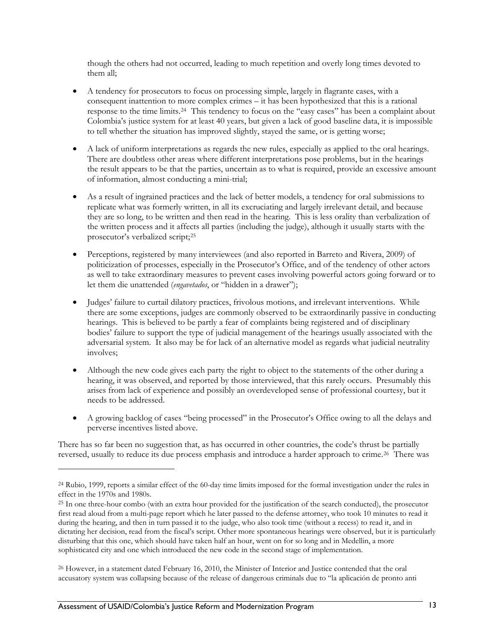<span id="page-22-0"></span>though the others had not occurred, leading to much repetition and overly long times devoted to them all;

- A tendency for prosecutors to focus on processing simple, largely in flagrante cases, with a consequent inattention to more complex crimes – it has been hypothesized that this is a rational response to the time limits.[24](#page-22-0) This tendency to focus on the "easy cases" has been a complaint about Colombia's justice system for at least 40 years, but given a lack of good baseline data, it is impossible to tell whether the situation has improved slightly, stayed the same, or is getting worse;
- A lack of uniform interpretations as regards the new rules, especially as applied to the oral hearings. There are doubtless other areas where different interpretations pose problems, but in the hearings the result appears to be that the parties, uncertain as to what is required, provide an excessive amount of information, almost conducting a mini-trial;
- As a result of ingrained practices and the lack of better models, a tendency for oral submissions to replicate what was formerly written, in all its excruciating and largely irrelevant detail, and because they are so long, to be written and then read in the hearing. This is less orality than verbalization of the written process and it affects all parties (including the judge), although it usually starts with the prosecutor's verbalized script;[25](#page-22-0)
- Perceptions, registered by many interviewees (and also reported in Barreto and Rivera, 2009) of politicization of processes, especially in the Prosecutor's Office, and of the tendency of other actors as well to take extraordinary measures to prevent cases involving powerful actors going forward or to let them die unattended (*engavetados*, or "hidden in a drawer");
- Judges' failure to curtail dilatory practices, frivolous motions, and irrelevant interventions. While there are some exceptions, judges are commonly observed to be extraordinarily passive in conducting hearings. This is believed to be partly a fear of complaints being registered and of disciplinary bodies' failure to support the type of judicial management of the hearings usually associated with the adversarial system. It also may be for lack of an alternative model as regards what judicial neutrality involves;
- Although the new code gives each party the right to object to the statements of the other during a hearing, it was observed, and reported by those interviewed, that this rarely occurs. Presumably this arises from lack of experience and possibly an overdeveloped sense of professional courtesy, but it needs to be addressed.
- A growing backlog of cases "being processed" in the Prosecutor's Office owing to all the delays and perverse incentives listed above.

There has so far been no suggestion that, as has occurred in other countries, the code's thrust be partially reversed, usually to reduce its due process emphasis and introduce a harder approach to crime.<sup>[26](#page-22-0)</sup> There was

<sup>24</sup> Rubio, 1999, reports a similar effect of the 60-day time limits imposed for the formal investigation under the rules in effect in the 1970s and 1980s.

<sup>25</sup> In one three-hour combo (with an extra hour provided for the justification of the search conducted), the prosecutor first read aloud from a multi-page report which he later passed to the defense attorney, who took 10 minutes to read it during the hearing, and then in turn passed it to the judge, who also took time (without a recess) to read it, and in dictating her decision, read from the fiscal's script. Other more spontaneous hearings were observed, but it is particularly disturbing that this one, which should have taken half an hour, went on for so long and in Medellin, a more sophisticated city and one which introduced the new code in the second stage of implementation.

<sup>26</sup> However, in a statement dated February 16, 2010, the Minister of Interior and Justice contended that the oral accusatory system was collapsing because of the release of dangerous criminals due to "la aplicación de pronto anti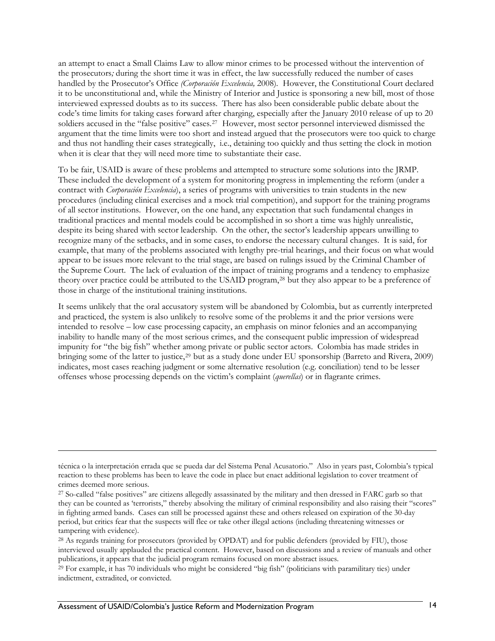<span id="page-23-0"></span>an attempt to enact a Small Claims Law to allow minor crimes to be processed without the intervention of the prosecutors*;* during the short time it was in effect, the law successfully reduced the number of cases handled by the Prosecutor's Office *(Corporación Excelencia,* 2008)*.* However, the Constitutional Court declared it to be unconstitutional and, while the Ministry of Interior and Justice is sponsoring a new bill, most of those interviewed expressed doubts as to its success. There has also been considerable public debate about the code's time limits for taking cases forward after charging, especially after the January 2010 release of up to 20 soldiers accused in the "false positive" cases.<sup>[27](#page-23-0)</sup> However, most sector personnel interviewed dismissed the argument that the time limits were too short and instead argued that the prosecutors were too quick to charge and thus not handling their cases strategically, i.e., detaining too quickly and thus setting the clock in motion when it is clear that they will need more time to substantiate their case.

To be fair, USAID is aware of these problems and attempted to structure some solutions into the JRMP. These included the development of a system for monitoring progress in implementing the reform (under a contract with *Corporación Excelencia*), a series of programs with universities to train students in the new procedures (including clinical exercises and a mock trial competition), and support for the training programs of all sector institutions. However, on the one hand, any expectation that such fundamental changes in traditional practices and mental models could be accomplished in so short a time was highly unrealistic, despite its being shared with sector leadership. On the other, the sector's leadership appears unwilling to recognize many of the setbacks, and in some cases, to endorse the necessary cultural changes. It is said, for example, that many of the problems associated with lengthy pre-trial hearings, and their focus on what would appear to be issues more relevant to the trial stage, are based on rulings issued by the Criminal Chamber of the Supreme Court. The lack of evaluation of the impact of training programs and a tendency to emphasize theory over practice could be attributed to the USAID program,[28](#page-23-0) but they also appear to be a preference of those in charge of the institutional training institutions.

It seems unlikely that the oral accusatory system will be abandoned by Colombia, but as currently interpreted and practiced, the system is also unlikely to resolve some of the problems it and the prior versions were intended to resolve – low case processing capacity, an emphasis on minor felonies and an accompanying inability to handle many of the most serious crimes, and the consequent public impression of widespread impunity for "the big fish" whether among private or public sector actors. Colombia has made strides in bringing some of the latter to justice,<sup>[29](#page-23-0)</sup> but as a study done under EU sponsorship (Barreto and Rivera, 2009) indicates, most cases reaching judgment or some alternative resolution (e.g. conciliation) tend to be lesser offenses whose processing depends on the victim's complaint (*querellas*) or in flagrante crimes.

técnica o la interpretación errada que se pueda dar del Sistema Penal Acusatorio." Also in years past, Colombia's typical reaction to these problems has been to leave the code in place but enact additional legislation to cover treatment of crimes deemed more serious.

<sup>27</sup> So-called "false positives" are citizens allegedly assassinated by the military and then dressed in FARC garb so that they can be counted as 'terrorists," thereby absolving the military of criminal responsibility and also raising their "scores" in fighting armed bands. Cases can still be processed against these and others released on expiration of the 30-day period, but critics fear that the suspects will flee or take other illegal actions (including threatening witnesses or tampering with evidence).

<sup>28</sup> As regards training for prosecutors (provided by OPDAT) and for public defenders (provided by FIU), those interviewed usually applauded the practical content. However, based on discussions and a review of manuals and other publications, it appears that the judicial program remains focused on more abstract issues.

<sup>29</sup> For example, it has 70 individuals who might be considered "big fish" (politicians with paramilitary ties) under indictment, extradited, or convicted.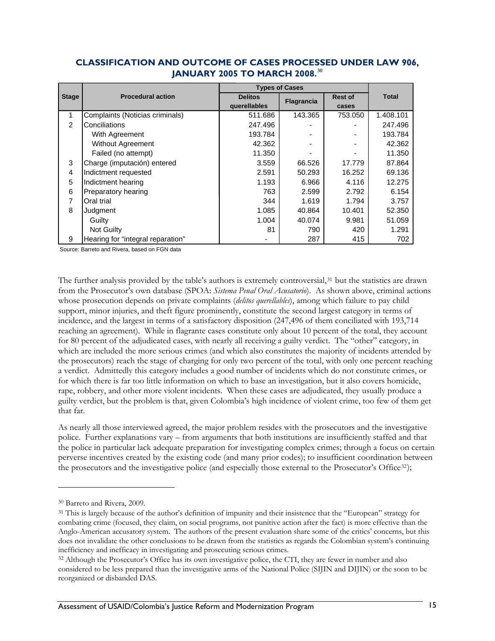|              | <b>Procedural action</b>          | <b>Types of Cases</b> |                   |                |              |
|--------------|-----------------------------------|-----------------------|-------------------|----------------|--------------|
| <b>Stage</b> |                                   | <b>Delitos</b>        | <b>Flagrancia</b> | <b>Rest of</b> | <b>Total</b> |
|              |                                   | querellables          |                   | cases          |              |
| 1            | Complaints (Noticias criminals)   | 511.686               | 143.365           | 753.050        | 1.408.101    |
| 2            | Conciliations                     | 247.496               |                   |                | 247.496      |
|              | With Agreement                    | 193.784               |                   |                | 193.784      |
|              | <b>Without Agreement</b>          | 42.362                |                   |                | 42.362       |
|              | Failed (no attempt)               | 11.350                |                   |                | 11.350       |
| 3            | Charge (imputación) entered       | 3.559                 | 66.526            | 17.779         | 87.864       |
| 4            | Indictment requested              | 2.591                 | 50.293            | 16.252         | 69.136       |
| 5            | Indictment hearing                | 1.193                 | 6.966             | 4.116          | 12.275       |
| 6            | Preparatory hearing               | 763                   | 2.599             | 2.792          | 6.154        |
| 7            | Oral trial                        | 344                   | 1.619             | 1.794          | 3.757        |
| 8            | Judgment                          | 1.085                 | 40.864            | 10.401         | 52.350       |
|              | Guilty                            | 1.004                 | 40.074            | 9.981          | 51.059       |
|              | Not Guilty                        | 81                    | 790               | 420            | 1.291        |
| 9            | Hearing for "integral reparation" |                       | 287               | 415            | 702          |

### <span id="page-24-0"></span>**CLASSIFICATION AND OUTCOME OF CASES PROCESSED UNDER LAW 906, JANUARY 2005 TO MARCH 2008.[30](#page-24-0)**

Source: Barreto and Rivera, based on FGN data

The further analysis provided by the table's authors is extremely controversial,<sup>[31](#page-24-0)</sup> but the statistics are drawn from the Prosecutor's own database (SPOA: *Sistema Penal Oral Acusatorio*). As shown above, criminal actions whose prosecution depends on private complaints (*delitos querellables*), among which failure to pay child support, minor injuries, and theft figure prominently, constitute the second largest category in terms of incidence, and the largest in terms of a satisfactory disposition (247,496 of them conciliated with 193,714 reaching an agreement). While in flagrante cases constitute only about 10 percent of the total, they account for 80 percent of the adjudicated cases, with nearly all receiving a guilty verdict. The "other" category, in which are included the more serious crimes (and which also constitutes the majority of incidents attended by the prosecutors) reach the stage of charging for only two percent of the total, with only one percent reaching a verdict. Admittedly this category includes a good number of incidents which do not constitute crimes, or for which there is far too little information on which to base an investigation, but it also covers homicide, rape, robbery, and other more violent incidents. When these cases are adjudicated, they usually produce a guilty verdict, but the problem is that, given Colombia's high incidence of violent crime, too few of them get that far.

As nearly all those interviewed agreed, the major problem resides with the prosecutors and the investigative police. Further explanations vary – from arguments that both institutions are insufficiently staffed and that the police in particular lack adequate preparation for investigating complex crimes; through a focus on certain perverse incentives created by the existing code (and many prior codes); to insufficient coordination between the prosecutors and the investigative police (and especially those external to the Prosecutor's Office<sup>[32](#page-24-0)</sup>);

<sup>30</sup> Barreto and Rivera, 2009.

<sup>31</sup> This is largely because of the author's definition of impunity and their insistence that the "European" strategy for combating crime (focused, they claim, on social programs, not punitive action after the fact) is more effective than the Anglo-American accusatory system. The authors of the present evaluation share some of the critics' concerns, but this does not invalidate the other conclusions to be drawn from the statistics as regards the Colombian system's continuing inefficiency and inefficacy in investigating and prosecuting serious crimes.

<sup>32</sup> Although the Prosecutor's Office has its own investigative police, the CTI, they are fewer in number and also considered to be less prepared than the investigative arms of the National Police (SIJIN and DIJIN) or the soon to be reorganized or disbanded DAS.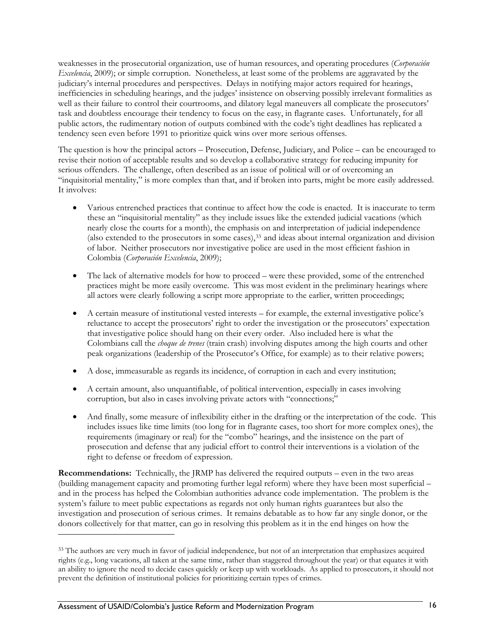<span id="page-25-0"></span>weaknesses in the prosecutorial organization, use of human resources, and operating procedures (*Corporación Excelencia*, 2009); or simple corruption. Nonetheless, at least some of the problems are aggravated by the judiciary's internal procedures and perspectives. Delays in notifying major actors required for hearings, inefficiencies in scheduling hearings, and the judges' insistence on observing possibly irrelevant formalities as well as their failure to control their courtrooms, and dilatory legal maneuvers all complicate the prosecutors' task and doubtless encourage their tendency to focus on the easy, in flagrante cases. Unfortunately, for all public actors, the rudimentary notion of outputs combined with the code's tight deadlines has replicated a tendency seen even before 1991 to prioritize quick wins over more serious offenses.

The question is how the principal actors – Prosecution, Defense, Judiciary, and Police – can be encouraged to revise their notion of acceptable results and so develop a collaborative strategy for reducing impunity for serious offenders. The challenge, often described as an issue of political will or of overcoming an "inquisitorial mentality," is more complex than that, and if broken into parts, might be more easily addressed. It involves:

- Various entrenched practices that continue to affect how the code is enacted. It is inaccurate to term these an "inquisitorial mentality" as they include issues like the extended judicial vacations (which nearly close the courts for a month), the emphasis on and interpretation of judicial independence (also extended to the prosecutors in some cases)[,33](#page-25-0) and ideas about internal organization and division of labor. Neither prosecutors nor investigative police are used in the most efficient fashion in Colombia (*Corporación Excelencia*, 2009);
- The lack of alternative models for how to proceed were these provided, some of the entrenched practices might be more easily overcome. This was most evident in the preliminary hearings where all actors were clearly following a script more appropriate to the earlier, written proceedings;
- A certain measure of institutional vested interests for example, the external investigative police's reluctance to accept the prosecutors' right to order the investigation or the prosecutors' expectation that investigative police should hang on their every order. Also included here is what the Colombians call the *choque de trenes* (train crash) involving disputes among the high courts and other peak organizations (leadership of the Prosecutor's Office, for example) as to their relative powers;
- A dose, immeasurable as regards its incidence, of corruption in each and every institution;
- A certain amount, also unquantifiable, of political intervention, especially in cases involving corruption, but also in cases involving private actors with "connections;"
- And finally, some measure of inflexibility either in the drafting or the interpretation of the code. This includes issues like time limits (too long for in flagrante cases, too short for more complex ones), the requirements (imaginary or real) for the "combo" hearings, and the insistence on the part of prosecution and defense that any judicial effort to control their interventions is a violation of the right to defense or freedom of expression.

**Recommendations:** Technically, the JRMP has delivered the required outputs – even in the two areas (building management capacity and promoting further legal reform) where they have been most superficial – and in the process has helped the Colombian authorities advance code implementation. The problem is the system's failure to meet public expectations as regards not only human rights guarantees but also the investigation and prosecution of serious crimes. It remains debatable as to how far any single donor, or the donors collectively for that matter, can go in resolving this problem as it in the end hinges on how the

<u>.</u>

<sup>33</sup> The authors are very much in favor of judicial independence, but not of an interpretation that emphasizes acquired rights (e.g., long vacations, all taken at the same time, rather than staggered throughout the year) or that equates it with an ability to ignore the need to decide cases quickly or keep up with workloads. As applied to prosecutors, it should not prevent the definition of institutional policies for prioritizing certain types of crimes.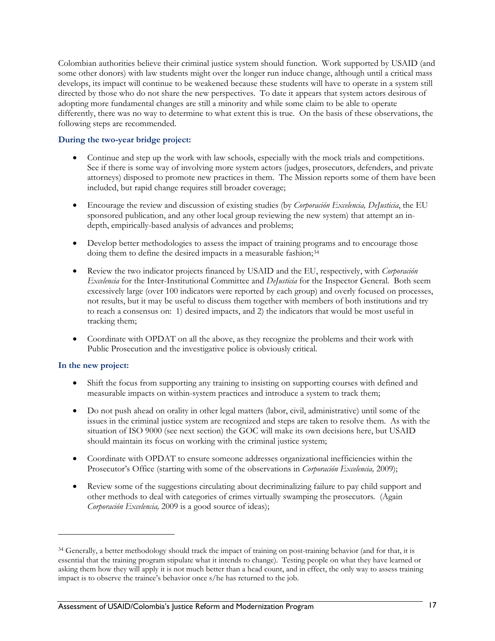<span id="page-26-0"></span>Colombian authorities believe their criminal justice system should function. Work supported by USAID (and some other donors) with law students might over the longer run induce change, although until a critical mass develops, its impact will continue to be weakened because these students will have to operate in a system still directed by those who do not share the new perspectives. To date it appears that system actors desirous of adopting more fundamental changes are still a minority and while some claim to be able to operate differently, there was no way to determine to what extent this is true. On the basis of these observations, the following steps are recommended.

### **During the two-year bridge project:**

- Continue and step up the work with law schools, especially with the mock trials and competitions. See if there is some way of involving more system actors (judges, prosecutors, defenders, and private attorneys) disposed to promote new practices in them. The Mission reports some of them have been included, but rapid change requires still broader coverage;
- Encourage the review and discussion of existing studies (by *Corporación Excelencia, DeJusticia*, the EU sponsored publication, and any other local group reviewing the new system) that attempt an indepth, empirically-based analysis of advances and problems;
- Develop better methodologies to assess the impact of training programs and to encourage those doing them to define the desired impacts in a measurable fashion;<sup>[34](#page-26-0)</sup>
- Review the two indicator projects financed by USAID and the EU, respectively, with *Corporación Excelencia* for the Inter-Institutional Committee and *DeJusticia* for the Inspector General. Both seem excessively large (over 100 indicators were reported by each group) and overly focused on processes, not results, but it may be useful to discuss them together with members of both institutions and try to reach a consensus on: 1) desired impacts, and 2) the indicators that would be most useful in tracking them;
- Coordinate with OPDAT on all the above, as they recognize the problems and their work with Public Prosecution and the investigative police is obviously critical.

#### **In the new project:**

<u>.</u>

- Shift the focus from supporting any training to insisting on supporting courses with defined and measurable impacts on within-system practices and introduce a system to track them;
- Do not push ahead on orality in other legal matters (labor, civil, administrative) until some of the issues in the criminal justice system are recognized and steps are taken to resolve them. As with the situation of ISO 9000 (see next section) the GOC will make its own decisions here, but USAID should maintain its focus on working with the criminal justice system;
- Coordinate with OPDAT to ensure someone addresses organizational inefficiencies within the Prosecutor's Office (starting with some of the observations in *Corporación Excelencia,* 2009);
- Review some of the suggestions circulating about decriminalizing failure to pay child support and other methods to deal with categories of crimes virtually swamping the prosecutors*.* (Again *Corporación Excelencia,* 2009 is a good source of ideas);

<sup>&</sup>lt;sup>34</sup> Generally, a better methodology should track the impact of training on post-training behavior (and for that, it is essential that the training program stipulate what it intends to change). Testing people on what they have learned or asking them how they will apply it is not much better than a head count, and in effect, the only way to assess training impact is to observe the trainee's behavior once s/he has returned to the job.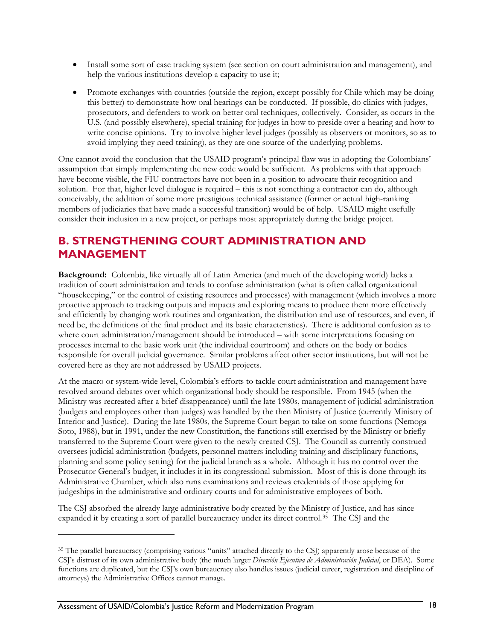- <span id="page-27-0"></span>• Install some sort of case tracking system (see section on court administration and management), and help the various institutions develop a capacity to use it;
- Promote exchanges with countries (outside the region, except possibly for Chile which may be doing this better) to demonstrate how oral hearings can be conducted. If possible, do clinics with judges, prosecutors*,* and defenders to work on better oral techniques, collectively. Consider, as occurs in the U.S. (and possibly elsewhere), special training for judges in how to preside over a hearing and how to write concise opinions. Try to involve higher level judges (possibly as observers or monitors, so as to avoid implying they need training), as they are one source of the underlying problems.

One cannot avoid the conclusion that the USAID program's principal flaw was in adopting the Colombians' assumption that simply implementing the new code would be sufficient. As problems with that approach have become visible, the FIU contractors have not been in a position to advocate their recognition and solution. For that, higher level dialogue is required – this is not something a contractor can do, although conceivably, the addition of some more prestigious technical assistance (former or actual high-ranking members of judiciaries that have made a successful transition) would be of help. USAID might usefully consider their inclusion in a new project, or perhaps most appropriately during the bridge project.

### **B. STRENGTHENING COURT ADMINISTRATION AND MANAGEMENT**

**Background:** Colombia, like virtually all of Latin America (and much of the developing world) lacks a tradition of court administration and tends to confuse administration (what is often called organizational "housekeeping," or the control of existing resources and processes) with management (which involves a more proactive approach to tracking outputs and impacts and exploring means to produce them more effectively and efficiently by changing work routines and organization, the distribution and use of resources, and even, if need be, the definitions of the final product and its basic characteristics). There is additional confusion as to where court administration/management should be introduced – with some interpretations focusing on processes internal to the basic work unit (the individual courtroom) and others on the body or bodies responsible for overall judicial governance. Similar problems affect other sector institutions, but will not be covered here as they are not addressed by USAID projects.

At the macro or system-wide level, Colombia's efforts to tackle court administration and management have revolved around debates over which organizational body should be responsible. From 1945 (when the Ministry was recreated after a brief disappearance) until the late 1980s, management of judicial administration (budgets and employees other than judges) was handled by the then Ministry of Justice (currently Ministry of Interior and Justice). During the late 1980s, the Supreme Court began to take on some functions (Nemoga Soto, 1988), but in 1991, under the new Constitution, the functions still exercised by the Ministry or briefly transferred to the Supreme Court were given to the newly created CSJ. The Council as currently construed oversees judicial administration (budgets, personnel matters including training and disciplinary functions, planning and some policy setting) for the judicial branch as a whole. Although it has no control over the Prosecutor General's budget, it includes it in its congressional submission. Most of this is done through its Administrative Chamber, which also runs examinations and reviews credentials of those applying for judgeships in the administrative and ordinary courts and for administrative employees of both.

The CSJ absorbed the already large administrative body created by the Ministry of Justice, and has since expanded it by creating a sort of parallel bureaucracy under its direct control.[35](#page-27-0) The CSJ and the

<sup>35</sup> The parallel bureaucracy (comprising various "units" attached directly to the CSJ) apparently arose because of the CSJ's distrust of its own administrative body (the much larger *Dirección Ejecutiva de Administración Judicial*, or DEA). Some functions are duplicated, but the CSJ's own bureaucracy also handles issues (judicial career, registration and discipline of attorneys) the Administrative Offices cannot manage.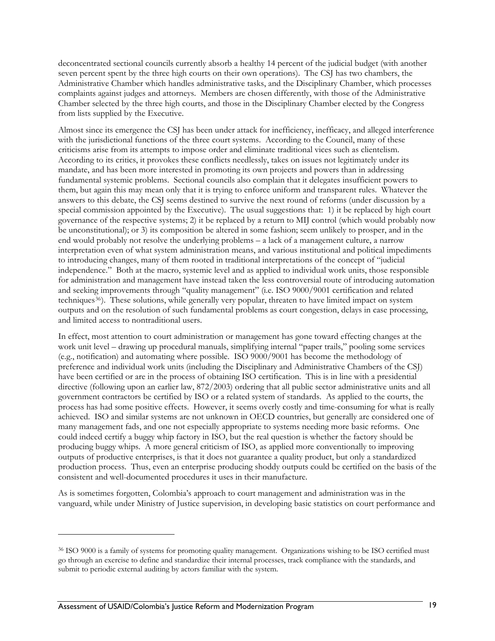<span id="page-28-0"></span>deconcentrated sectional councils currently absorb a healthy 14 percent of the judicial budget (with another seven percent spent by the three high courts on their own operations). The CSJ has two chambers, the Administrative Chamber which handles administrative tasks, and the Disciplinary Chamber, which processes complaints against judges and attorneys. Members are chosen differently, with those of the Administrative Chamber selected by the three high courts, and those in the Disciplinary Chamber elected by the Congress from lists supplied by the Executive.

Almost since its emergence the CSJ has been under attack for inefficiency, inefficacy, and alleged interference with the jurisdictional functions of the three court systems. According to the Council, many of these criticisms arise from its attempts to impose order and eliminate traditional vices such as clientelism. According to its critics, it provokes these conflicts needlessly, takes on issues not legitimately under its mandate, and has been more interested in promoting its own projects and powers than in addressing fundamental systemic problems. Sectional councils also complain that it delegates insufficient powers to them, but again this may mean only that it is trying to enforce uniform and transparent rules. Whatever the answers to this debate, the CSJ seems destined to survive the next round of reforms (under discussion by a special commission appointed by the Executive). The usual suggestions that: 1) it be replaced by high court governance of the respective systems; 2) it be replaced by a return to MIJ control (which would probably now be unconstitutional); or 3) its composition be altered in some fashion; seem unlikely to prosper, and in the end would probably not resolve the underlying problems – a lack of a management culture, a narrow interpretation even of what system administration means, and various institutional and political impediments to introducing changes, many of them rooted in traditional interpretations of the concept of "judicial independence." Both at the macro, systemic level and as applied to individual work units, those responsible for administration and management have instead taken the less controversial route of introducing automation and seeking improvements through "quality management" (i.e. ISO 9000/9001 certification and related techniques<sup>[36](#page-28-0)</sup>). These solutions, while generally very popular, threaten to have limited impact on system outputs and on the resolution of such fundamental problems as court congestion, delays in case processing, and limited access to nontraditional users.

In effect, most attention to court administration or management has gone toward effecting changes at the work unit level – drawing up procedural manuals, simplifying internal "paper trails," pooling some services (e.g., notification) and automating where possible. ISO 9000/9001 has become the methodology of preference and individual work units (including the Disciplinary and Administrative Chambers of the CSJ) have been certified or are in the process of obtaining ISO certification. This is in line with a presidential directive (following upon an earlier law,  $872/2003$ ) ordering that all public sector administrative units and all government contractors be certified by ISO or a related system of standards. As applied to the courts, the process has had some positive effects. However, it seems overly costly and time-consuming for what is really achieved. ISO and similar systems are not unknown in OECD countries, but generally are considered one of many management fads, and one not especially appropriate to systems needing more basic reforms. One could indeed certify a buggy whip factory in ISO, but the real question is whether the factory should be producing buggy whips. A more general criticism of ISO, as applied more conventionally to improving outputs of productive enterprises, is that it does not guarantee a quality product, but only a standardized production process. Thus, even an enterprise producing shoddy outputs could be certified on the basis of the consistent and well-documented procedures it uses in their manufacture.

As is sometimes forgotten, Colombia's approach to court management and administration was in the vanguard, while under Ministry of Justice supervision, in developing basic statistics on court performance and

<sup>36</sup> ISO 9000 is a family of systems for promoting quality management. Organizations wishing to be ISO certified must go through an exercise to define and standardize their internal processes, track compliance with the standards, and submit to periodic external auditing by actors familiar with the system.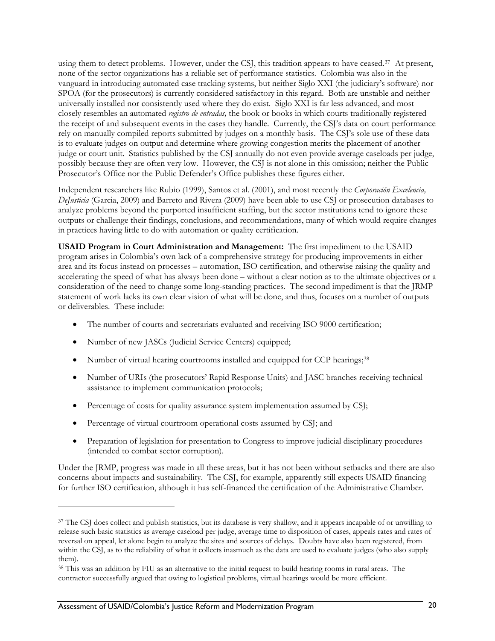<span id="page-29-0"></span>using them to detect problems. However, under the CSJ, this tradition appears to have ceased.<sup>[37](#page-29-0)</sup> At present, none of the sector organizations has a reliable set of performance statistics. Colombia was also in the vanguard in introducing automated case tracking systems, but neither Siglo XXI (the judiciary's software) nor SPOA (for the prosecutors) is currently considered satisfactory in this regard. Both are unstable and neither universally installed nor consistently used where they do exist. Siglo XXI is far less advanced, and most closely resembles an automated *registro de entradas,* the book or books in which courts traditionally registered the receipt of and subsequent events in the cases they handle. Currently, the CSJ's data on court performance rely on manually compiled reports submitted by judges on a monthly basis. The CSJ's sole use of these data is to evaluate judges on output and determine where growing congestion merits the placement of another judge or court unit. Statistics published by the CSJ annually do not even provide average caseloads per judge, possibly because they are often very low. However, the CSJ is not alone in this omission; neither the Public Prosecutor's Office nor the Public Defender's Office publishes these figures either.

Independent researchers like Rubio (1999), Santos et al. (2001), and most recently the *Corporación Excelencia, DeJusticia* (Garcia, 2009) and Barreto and Rivera (2009) have been able to use CSJ or prosecution databases to analyze problems beyond the purported insufficient staffing, but the sector institutions tend to ignore these outputs or challenge their findings, conclusions, and recommendations, many of which would require changes in practices having little to do with automation or quality certification.

**USAID Program in Court Administration and Management:** The first impediment to the USAID program arises in Colombia's own lack of a comprehensive strategy for producing improvements in either area and its focus instead on processes – automation, ISO certification, and otherwise raising the quality and accelerating the speed of what has always been done – without a clear notion as to the ultimate objectives or a consideration of the need to change some long-standing practices. The second impediment is that the JRMP statement of work lacks its own clear vision of what will be done, and thus, focuses on a number of outputs or deliverables. These include:

- The number of courts and secretariats evaluated and receiving ISO 9000 certification;
- Number of new JASCs (Judicial Service Centers) equipped;
- Number of virtual hearing courtrooms installed and equipped for CCP hearings;<sup>[38](#page-29-0)</sup>
- Number of URIs (the prosecutors' Rapid Response Units) and JASC branches receiving technical assistance to implement communication protocols;
- Percentage of costs for quality assurance system implementation assumed by CSJ;
- Percentage of virtual courtroom operational costs assumed by CSJ; and
- Preparation of legislation for presentation to Congress to improve judicial disciplinary procedures (intended to combat sector corruption).

Under the JRMP, progress was made in all these areas, but it has not been without setbacks and there are also concerns about impacts and sustainability. The CSJ, for example, apparently still expects USAID financing for further ISO certification, although it has self-financed the certification of the Administrative Chamber.

<u>.</u>

<sup>&</sup>lt;sup>37</sup> The CSJ does collect and publish statistics, but its database is very shallow, and it appears incapable of or unwilling to release such basic statistics as average caseload per judge, average time to disposition of cases, appeals rates and rates of reversal on appeal, let alone begin to analyze the sites and sources of delays. Doubts have also been registered, from within the CSJ, as to the reliability of what it collects inasmuch as the data are used to evaluate judges (who also supply them).

<sup>38</sup> This was an addition by FIU as an alternative to the initial request to build hearing rooms in rural areas. The contractor successfully argued that owing to logistical problems, virtual hearings would be more efficient.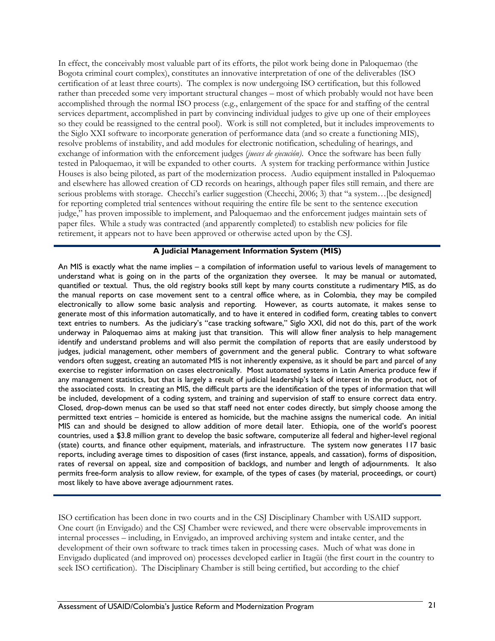In effect, the conceivably most valuable part of its efforts, the pilot work being done in Paloquemao (the Bogota criminal court complex), constitutes an innovative interpretation of one of the deliverables (ISO certification of at least three courts). The complex is now undergoing ISO certification, but this followed rather than preceded some very important structural changes – most of which probably would not have been accomplished through the normal ISO process (e.g., enlargement of the space for and staffing of the central services department, accomplished in part by convincing individual judges to give up one of their employees so they could be reassigned to the central pool). Work is still not completed, but it includes improvements to the Siglo XXI software to incorporate generation of performance data (and so create a functioning MIS), resolve problems of instability, and add modules for electronic notification, scheduling of hearings, and exchange of information with the enforcement judges (*jueces de ejecución)*. Once the software has been fully tested in Paloquemao, it will be expanded to other courts. A system for tracking performance within Justice Houses is also being piloted, as part of the modernization process. Audio equipment installed in Paloquemao and elsewhere has allowed creation of CD records on hearings, although paper files still remain, and there are serious problems with storage. Checchi's earlier suggestion (Checchi, 2006; 3) that "a system... [be designed] for reporting completed trial sentences without requiring the entire file be sent to the sentence execution judge," has proven impossible to implement, and Paloquemao and the enforcement judges maintain sets of paper files. While a study was contracted (and apparently completed) to establish new policies for file retirement, it appears not to have been approved or otherwise acted upon by the CSJ.

#### **A Judicial Management Information System (MIS)**

An MIS is exactly what the name implies – a compilation of information useful to various levels of management to understand what is going on in the parts of the organization they oversee. It may be manual or automated, quantified or textual. Thus, the old registry books still kept by many courts constitute a rudimentary MIS, as do the manual reports on case movement sent to a central office where, as in Colombia, they may be compiled electronically to allow some basic analysis and reporting. However, as courts automate, it makes sense to generate most of this information automatically, and to have it entered in codified form, creating tables to convert text entries to numbers. As the judiciary's "case tracking software," Siglo XXI, did not do this, part of the work underway in Paloquemao aims at making just that transition. This will allow finer analysis to help management identify and understand problems and will also permit the compilation of reports that are easily understood by judges, judicial management, other members of government and the general public. Contrary to what software vendors often suggest, creating an automated MIS is not inherently expensive, as it should be part and parcel of any exercise to register information on cases electronically. Most automated systems in Latin America produce few if any management statistics, but that is largely a result of judicial leadership's lack of interest in the product, not of the associated costs. In creating an MIS, the difficult parts are the identification of the types of information that will be included, development of a coding system, and training and supervision of staff to ensure correct data entry. Closed, drop-down menus can be used so that staff need not enter codes directly, but simply choose among the permitted text entries – homicide is entered as homicide, but the machine assigns the numerical code. An initial MIS can and should be designed to allow addition of more detail later. Ethiopia, one of the world's poorest countries, used a \$3.8 million grant to develop the basic software, computerize all federal and higher-level regional (state) courts, and finance other equipment, materials, and infrastructure. The system now generates 117 basic reports, including average times to disposition of cases (first instance, appeals, and cassation), forms of disposition, rates of reversal on appeal, size and composition of backlogs, and number and length of adjournments. It also permits free-form analysis to allow review, for example, of the types of cases (by material, proceedings, or court) most likely to have above average adjournment rates.

ISO certification has been done in two courts and in the CSJ Disciplinary Chamber with USAID support. One court (in Envigado) and the CSJ Chamber were reviewed, and there were observable improvements in internal processes – including, in Envigado, an improved archiving system and intake center, and the development of their own software to track times taken in processing cases. Much of what was done in Envigado duplicated (and improved on) processes developed earlier in Itagüi (the first court in the country to seek ISO certification). The Disciplinary Chamber is still being certified, but according to the chief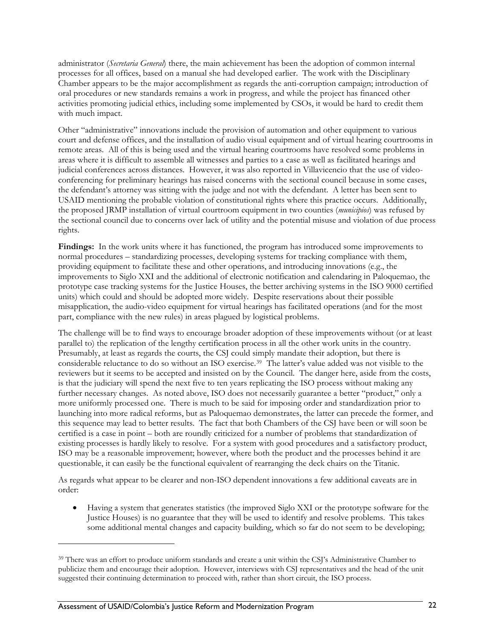<span id="page-31-0"></span>administrator (*Secretaria General*) there, the main achievement has been the adoption of common internal processes for all offices, based on a manual she had developed earlier. The work with the Disciplinary Chamber appears to be the major accomplishment as regards the anti-corruption campaign; introduction of oral procedures or new standards remains a work in progress, and while the project has financed other activities promoting judicial ethics, including some implemented by CSOs, it would be hard to credit them with much impact.

Other "administrative" innovations include the provision of automation and other equipment to various court and defense offices, and the installation of audio visual equipment and of virtual hearing courtrooms in remote areas. All of this is being used and the virtual hearing courtrooms have resolved some problems in areas where it is difficult to assemble all witnesses and parties to a case as well as facilitated hearings and judicial conferences across distances. However, it was also reported in Villavicencio that the use of videoconferencing for preliminary hearings has raised concerns with the sectional council because in some cases, the defendant's attorney was sitting with the judge and not with the defendant. A letter has been sent to USAID mentioning the probable violation of constitutional rights where this practice occurs. Additionally, the proposed JRMP installation of virtual courtroom equipment in two counties (*municipios*) was refused by the sectional council due to concerns over lack of utility and the potential misuse and violation of due process rights.

**Findings:** In the work units where it has functioned, the program has introduced some improvements to normal procedures – standardizing processes, developing systems for tracking compliance with them, providing equipment to facilitate these and other operations, and introducing innovations (e.g., the improvements to Siglo XXI and the additional of electronic notification and calendaring in Paloquemao, the prototype case tracking systems for the Justice Houses, the better archiving systems in the ISO 9000 certified units) which could and should be adopted more widely. Despite reservations about their possible misapplication, the audio-video equipment for virtual hearings has facilitated operations (and for the most part, compliance with the new rules) in areas plagued by logistical problems.

The challenge will be to find ways to encourage broader adoption of these improvements without (or at least parallel to) the replication of the lengthy certification process in all the other work units in the country. Presumably, at least as regards the courts, the CSJ could simply mandate their adoption, but there is considerable reluctance to do so without an ISO exercise.[39](#page-31-0) The latter's value added was not visible to the reviewers but it seems to be accepted and insisted on by the Council. The danger here, aside from the costs, is that the judiciary will spend the next five to ten years replicating the ISO process without making any further necessary changes. As noted above, ISO does not necessarily guarantee a better "product," only a more uniformly processed one. There is much to be said for imposing order and standardization prior to launching into more radical reforms, but as Paloquemao demonstrates, the latter can precede the former, and this sequence may lead to better results. The fact that both Chambers of the CSJ have been or will soon be certified is a case in point – both are roundly criticized for a number of problems that standardization of existing processes is hardly likely to resolve. For a system with good procedures and a satisfactory product, ISO may be a reasonable improvement; however, where both the product and the processes behind it are questionable, it can easily be the functional equivalent of rearranging the deck chairs on the Titanic.

As regards what appear to be clearer and non-ISO dependent innovations a few additional caveats are in order:

• Having a system that generates statistics (the improved Siglo XXI or the prototype software for the Justice Houses) is no guarantee that they will be used to identify and resolve problems. This takes some additional mental changes and capacity building, which so far do not seem to be developing;

<u>.</u>

<sup>39</sup> There was an effort to produce uniform standards and create a unit within the CSJ's Administrative Chamber to publicize them and encourage their adoption. However, interviews with CSJ representatives and the head of the unit suggested their continuing determination to proceed with, rather than short circuit, the ISO process.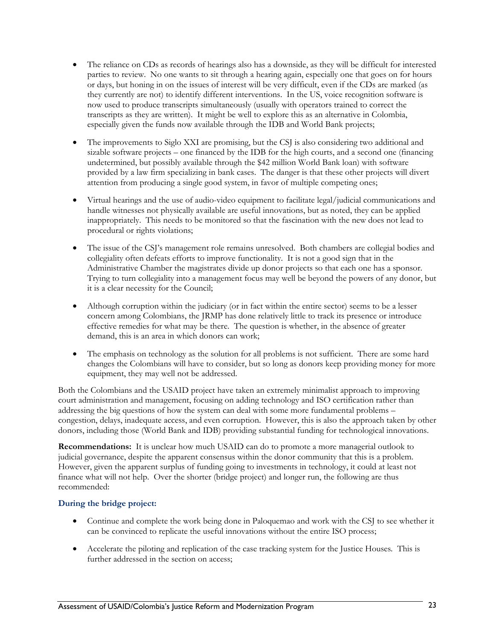- The reliance on CDs as records of hearings also has a downside, as they will be difficult for interested parties to review. No one wants to sit through a hearing again, especially one that goes on for hours or days, but honing in on the issues of interest will be very difficult, even if the CDs are marked (as they currently are not) to identify different interventions. In the US, voice recognition software is now used to produce transcripts simultaneously (usually with operators trained to correct the transcripts as they are written). It might be well to explore this as an alternative in Colombia, especially given the funds now available through the IDB and World Bank projects;
- The improvements to Siglo XXI are promising, but the CSJ is also considering two additional and sizable software projects – one financed by the IDB for the high courts, and a second one (financing undetermined, but possibly available through the \$42 million World Bank loan) with software provided by a law firm specializing in bank cases. The danger is that these other projects will divert attention from producing a single good system, in favor of multiple competing ones;
- Virtual hearings and the use of audio-video equipment to facilitate legal/judicial communications and handle witnesses not physically available are useful innovations, but as noted, they can be applied inappropriately. This needs to be monitored so that the fascination with the new does not lead to procedural or rights violations;
- The issue of the CSJ's management role remains unresolved. Both chambers are collegial bodies and collegiality often defeats efforts to improve functionality. It is not a good sign that in the Administrative Chamber the magistrates divide up donor projects so that each one has a sponsor. Trying to turn collegiality into a management focus may well be beyond the powers of any donor, but it is a clear necessity for the Council;
- Although corruption within the judiciary (or in fact within the entire sector) seems to be a lesser concern among Colombians, the JRMP has done relatively little to track its presence or introduce effective remedies for what may be there. The question is whether, in the absence of greater demand, this is an area in which donors can work;
- The emphasis on technology as the solution for all problems is not sufficient. There are some hard changes the Colombians will have to consider, but so long as donors keep providing money for more equipment, they may well not be addressed.

Both the Colombians and the USAID project have taken an extremely minimalist approach to improving court administration and management, focusing on adding technology and ISO certification rather than addressing the big questions of how the system can deal with some more fundamental problems – congestion, delays, inadequate access, and even corruption. However, this is also the approach taken by other donors, including those (World Bank and IDB) providing substantial funding for technological innovations.

**Recommendations:** It is unclear how much USAID can do to promote a more managerial outlook to judicial governance, despite the apparent consensus within the donor community that this is a problem. However, given the apparent surplus of funding going to investments in technology, it could at least not finance what will not help. Over the shorter (bridge project) and longer run, the following are thus recommended:

### **During the bridge project:**

- Continue and complete the work being done in Paloquemao and work with the CSJ to see whether it can be convinced to replicate the useful innovations without the entire ISO process;
- Accelerate the piloting and replication of the case tracking system for the Justice Houses*.* This is further addressed in the section on access;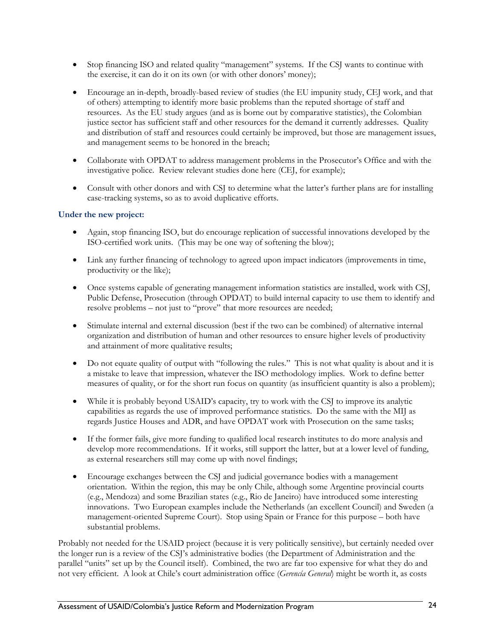- Stop financing ISO and related quality "management" systems. If the CSJ wants to continue with the exercise, it can do it on its own (or with other donors' money);
- Encourage an in-depth, broadly-based review of studies (the EU impunity study, CEJ work, and that of others) attempting to identify more basic problems than the reputed shortage of staff and resources. As the EU study argues (and as is borne out by comparative statistics), the Colombian justice sector has sufficient staff and other resources for the demand it currently addresses. Quality and distribution of staff and resources could certainly be improved, but those are management issues, and management seems to be honored in the breach;
- Collaborate with OPDAT to address management problems in the Prosecutor's Office and with the investigative police. Review relevant studies done here (CEJ, for example);
- Consult with other donors and with CSJ to determine what the latter's further plans are for installing case-tracking systems, so as to avoid duplicative efforts.

#### **Under the new project:**

- Again, stop financing ISO, but do encourage replication of successful innovations developed by the ISO-certified work units. (This may be one way of softening the blow);
- Link any further financing of technology to agreed upon impact indicators (improvements in time, productivity or the like);
- Once systems capable of generating management information statistics are installed, work with CSJ, Public Defense, Prosecution (through OPDAT) to build internal capacity to use them to identify and resolve problems – not just to "prove" that more resources are needed;
- Stimulate internal and external discussion (best if the two can be combined) of alternative internal organization and distribution of human and other resources to ensure higher levels of productivity and attainment of more qualitative results;
- Do not equate quality of output with "following the rules." This is not what quality is about and it is a mistake to leave that impression, whatever the ISO methodology implies. Work to define better measures of quality, or for the short run focus on quantity (as insufficient quantity is also a problem);
- While it is probably beyond USAID's capacity, try to work with the CSJ to improve its analytic capabilities as regards the use of improved performance statistics. Do the same with the MIJ as regards Justice Houses and ADR, and have OPDAT work with Prosecution on the same tasks;
- If the former fails, give more funding to qualified local research institutes to do more analysis and develop more recommendations. If it works, still support the latter, but at a lower level of funding, as external researchers still may come up with novel findings;
- Encourage exchanges between the CSJ and judicial governance bodies with a management orientation. Within the region, this may be only Chile, although some Argentine provincial courts (e.g., Mendoza) and some Brazilian states (e.g., Rio de Janeiro) have introduced some interesting innovations. Two European examples include the Netherlands (an excellent Council) and Sweden (a management-oriented Supreme Court). Stop using Spain or France for this purpose – both have substantial problems.

Probably not needed for the USAID project (because it is very politically sensitive), but certainly needed over the longer run is a review of the CSJ's administrative bodies (the Department of Administration and the parallel "units" set up by the Council itself). Combined, the two are far too expensive for what they do and not very efficient. A look at Chile's court administration office (*Gerencía General*) might be worth it, as costs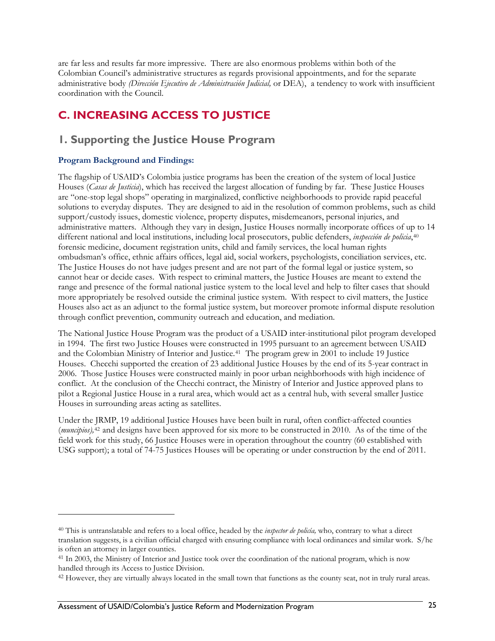<span id="page-34-0"></span>are far less and results far more impressive. There are also enormous problems within both of the Colombian Council's administrative structures as regards provisional appointments, and for the separate administrative body *(Dirección Ejecutivo de Administración Judicial,* or DEA), a tendency to work with insufficient coordination with the Council.

### **C. INCREASING ACCESS TO JUSTICE**

### **1. Supporting the Justice House Program**

### **Program Background and Findings:**

<u>.</u>

The flagship of USAID's Colombia justice programs has been the creation of the system of local Justice Houses (*Casas de Justicia*), which has received the largest allocation of funding by far. These Justice Houses are "one-stop legal shops" operating in marginalized, conflictive neighborhoods to provide rapid peaceful solutions to everyday disputes. They are designed to aid in the resolution of common problems, such as child support/custody issues, domestic violence, property disputes, misdemeanors, personal injuries, and administrative matters. Although they vary in design, Justice Houses normally incorporate offices of up to 14 different national and local institutions, including local prosecutors, public defenders, *inspección de policia*,[40](#page-34-0) forensic medicine, document registration units, child and family services, the local human rights ombudsman's office, ethnic affairs offices, legal aid, social workers, psychologists, conciliation services, etc. The Justice Houses do not have judges present and are not part of the formal legal or justice system, so cannot hear or decide cases. With respect to criminal matters, the Justice Houses are meant to extend the range and presence of the formal national justice system to the local level and help to filter cases that should more appropriately be resolved outside the criminal justice system. With respect to civil matters, the Justice Houses also act as an adjunct to the formal justice system, but moreover promote informal dispute resolution through conflict prevention, community outreach and education, and mediation.

The National Justice House Program was the product of a USAID inter-institutional pilot program developed in 1994. The first two Justice Houses were constructed in 1995 pursuant to an agreement between USAID and the Colombian Ministry of Interior and Justice.<sup>[41](#page-34-0)</sup> The program grew in 2001 to include 19 Justice Houses. Checchi supported the creation of 23 additional Justice Houses by the end of its 5-year contract in 2006. Those Justice Houses were constructed mainly in poor urban neighborhoods with high incidence of conflict. At the conclusion of the Checchi contract, the Ministry of Interior and Justice approved plans to pilot a Regional Justice House in a rural area, which would act as a central hub, with several smaller Justice Houses in surrounding areas acting as satellites.

Under the JRMP, 19 additional Justice Houses have been built in rural, often conflict-affected counties (*muncipios),*[42](#page-34-0) and designs have been approved for six more to be constructed in 2010. As of the time of the field work for this study, 66 Justice Houses were in operation throughout the country (60 established with USG support); a total of 74-75 Justices Houses will be operating or under construction by the end of 2011.

<sup>40</sup> This is untranslatable and refers to a local office, headed by the *inspector de policía,* who, contrary to what a direct translation suggests, is a civilian official charged with ensuring compliance with local ordinances and similar work. S/he is often an attorney in larger counties.

<sup>41</sup> In 2003, the Ministry of Interior and Justice took over the coordination of the national program, which is now handled through its Access to Justice Division.

<sup>&</sup>lt;sup>42</sup> However, they are virtually always located in the small town that functions as the county seat, not in truly rural areas.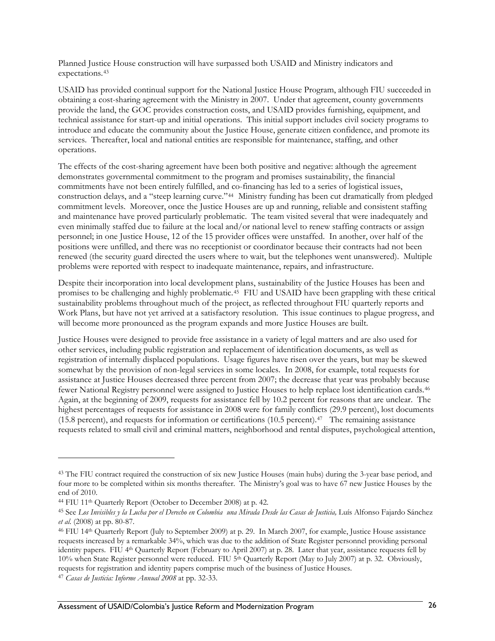<span id="page-35-0"></span>Planned Justice House construction will have surpassed both USAID and Ministry indicators and expectations.[43](#page-35-0)

USAID has provided continual support for the National Justice House Program, although FIU succeeded in obtaining a cost-sharing agreement with the Ministry in 2007. Under that agreement, county governments provide the land, the GOC provides construction costs, and USAID provides furnishing, equipment, and technical assistance for start-up and initial operations. This initial support includes civil society programs to introduce and educate the community about the Justice House, generate citizen confidence, and promote its services. Thereafter, local and national entities are responsible for maintenance, staffing, and other operations.

The effects of the cost-sharing agreement have been both positive and negative: although the agreement demonstrates governmental commitment to the program and promises sustainability, the financial commitments have not been entirely fulfilled, and co-financing has led to a series of logistical issues, construction delays, and a "steep learning curve."[44](#page-35-0) Ministry funding has been cut dramatically from pledged commitment levels. Moreover, once the Justice Houses are up and running, reliable and consistent staffing and maintenance have proved particularly problematic. The team visited several that were inadequately and even minimally staffed due to failure at the local and/or national level to renew staffing contracts or assign personnel; in one Justice House, 12 of the 15 provider offices were unstaffed. In another, over half of the positions were unfilled, and there was no receptionist or coordinator because their contracts had not been renewed (the security guard directed the users where to wait, but the telephones went unanswered). Multiple problems were reported with respect to inadequate maintenance, repairs, and infrastructure.

Despite their incorporation into local development plans, sustainability of the Justice Houses has been and promises to be challenging and highly problematic.[45](#page-35-0) FIU and USAID have been grappling with these critical sustainability problems throughout much of the project, as reflected throughout FIU quarterly reports and Work Plans, but have not yet arrived at a satisfactory resolution. This issue continues to plague progress, and will become more pronounced as the program expands and more Justice Houses are built.

Justice Houses were designed to provide free assistance in a variety of legal matters and are also used for other services, including public registration and replacement of identification documents, as well as registration of internally displaced populations. Usage figures have risen over the years, but may be skewed somewhat by the provision of non-legal services in some locales. In 2008, for example, total requests for assistance at Justice Houses decreased three percent from 2007; the decrease that year was probably because fewer National Registry personnel were assigned to Justice Houses to help replace lost identification cards.[46](#page-35-0) Again, at the beginning of 2009, requests for assistance fell by 10.2 percent for reasons that are unclear. The highest percentages of requests for assistance in 2008 were for family conflicts (29.9 percent), lost documents (15.8 percent), and requests for information or certifications (10.5 percent).[47](#page-35-0) The remaining assistance requests related to small civil and criminal matters, neighborhood and rental disputes, psychological attention,

<sup>&</sup>lt;sup>43</sup> The FIU contract required the construction of six new Justice Houses (main hubs) during the 3-year base period, and four more to be completed within six months thereafter. The Ministry's goal was to have 67 new Justice Houses by the end of 2010.

<sup>44</sup> FIU 11th Quarterly Report (October to December 2008) at p. 42.

<sup>45</sup> See *Los Invisibles y la Lucha por el Derecho en Colombia una Mirada Desde las Casas de Justicia,* Luís Alfonso Fajardo Sánchez *et al.* (2008) at pp. 80-87.

<sup>46</sup> FIU 14th Quarterly Report (July to September 2009) at p. 29. In March 2007, for example, Justice House assistance requests increased by a remarkable 34%, which was due to the addition of State Register personnel providing personal identity papers. FIU 4th Quarterly Report (February to April 2007) at p. 28. Later that year, assistance requests fell by 10% when State Register personnel were reduced. FIU 5th Quarterly Report (May to July 2007) at p. 32. Obviously, requests for registration and identity papers comprise much of the business of Justice Houses.

<sup>47</sup> *Casas de Justicia: Informe Annual 2008* at pp. 32-33.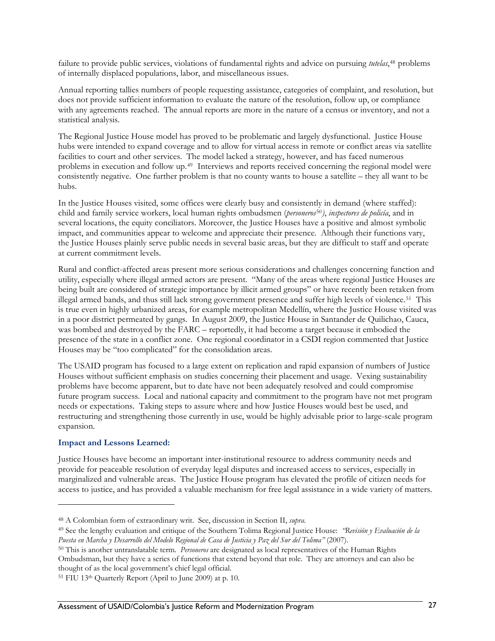<span id="page-36-0"></span>failure to provide public services, violations of fundamental rights and advice on pursuing *tutelas*,[48](#page-36-0) problems of internally displaced populations, labor, and miscellaneous issues.

Annual reporting tallies numbers of people requesting assistance, categories of complaint, and resolution, but does not provide sufficient information to evaluate the nature of the resolution, follow up, or compliance with any agreements reached. The annual reports are more in the nature of a census or inventory, and not a statistical analysis.

The Regional Justice House model has proved to be problematic and largely dysfunctional. Justice House hubs were intended to expand coverage and to allow for virtual access in remote or conflict areas via satellite facilities to court and other services. The model lacked a strategy, however, and has faced numerous problems in execution and follow up.[49](#page-36-0) Interviews and reports received concerning the regional model were consistently negative. One further problem is that no county wants to house a satellite – they all want to be hubs.

In the Justice Houses visited, some offices were clearly busy and consistently in demand (where staffed): child and family service workers, local human rights ombudsmen (*personeros*[50](#page-36-0)*)*, *inspectores de policía*, and in several locations, the equity conciliators. Moreover, the Justice Houses have a positive and almost symbolic impact, and communities appear to welcome and appreciate their presence. Although their functions vary, the Justice Houses plainly serve public needs in several basic areas, but they are difficult to staff and operate at current commitment levels.

Rural and conflict-affected areas present more serious considerations and challenges concerning function and utility, especially where illegal armed actors are present. "Many of the areas where regional Justice Houses are being built are considered of strategic importance by illicit armed groups" or have recently been retaken from illegal armed bands, and thus still lack strong government presence and suffer high levels of violence.[51](#page-36-0) This is true even in highly urbanized areas, for example metropolitan Medellín, where the Justice House visited was in a poor district permeated by gangs. In August 2009, the Justice House in Santander de Quilichao, Cauca, was bombed and destroyed by the FARC – reportedly, it had become a target because it embodied the presence of the state in a conflict zone. One regional coordinator in a CSDI region commented that Justice Houses may be "too complicated" for the consolidation areas.

The USAID program has focused to a large extent on replication and rapid expansion of numbers of Justice Houses without sufficient emphasis on studies concerning their placement and usage. Vexing sustainability problems have become apparent, but to date have not been adequately resolved and could compromise future program success. Local and national capacity and commitment to the program have not met program needs or expectations. Taking steps to assure where and how Justice Houses would best be used, and restructuring and strengthening those currently in use, would be highly advisable prior to large-scale program expansion.

#### **Impact and Lessons Learned:**

 $\overline{a}$ 

Justice Houses have become an important inter-institutional resource to address community needs and provide for peaceable resolution of everyday legal disputes and increased access to services, especially in marginalized and vulnerable areas. The Justice House program has elevated the profile of citizen needs for access to justice, and has provided a valuable mechanism for free legal assistance in a wide variety of matters.

<sup>48</sup> A Colombian form of extraordinary writ. See, discussion in Section II, *supra*. 49 See the lengthy evaluation and critique of the Southern Tolima Regional Justice House: *"Revisión y Evaluación de la Puesta en Marcha y Desarrollo del Modelo Regional de Casa de Justicia y Paz del Sur del Tolima"* (2007).

<sup>50</sup> This is another untranslatable term. *Personeros* are designated as local representatives of the Human Rights Ombudsman, but they have a series of functions that extend beyond that role. They are attorneys and can also be thought of as the local government's chief legal official.

<sup>51</sup> FIU 13th Quarterly Report (April to June 2009) at p. 10.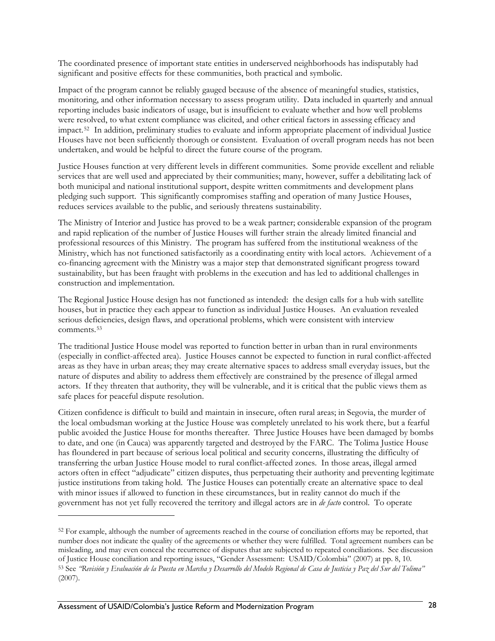<span id="page-37-0"></span>The coordinated presence of important state entities in underserved neighborhoods has indisputably had significant and positive effects for these communities, both practical and symbolic.

Impact of the program cannot be reliably gauged because of the absence of meaningful studies, statistics, monitoring, and other information necessary to assess program utility. Data included in quarterly and annual reporting includes basic indicators of usage, but is insufficient to evaluate whether and how well problems were resolved, to what extent compliance was elicited, and other critical factors in assessing efficacy and impact.[52](#page-37-0) In addition, preliminary studies to evaluate and inform appropriate placement of individual Justice Houses have not been sufficiently thorough or consistent. Evaluation of overall program needs has not been undertaken, and would be helpful to direct the future course of the program.

Justice Houses function at very different levels in different communities. Some provide excellent and reliable services that are well used and appreciated by their communities; many, however, suffer a debilitating lack of both municipal and national institutional support, despite written commitments and development plans pledging such support. This significantly compromises staffing and operation of many Justice Houses, reduces services available to the public, and seriously threatens sustainability.

The Ministry of Interior and Justice has proved to be a weak partner; considerable expansion of the program and rapid replication of the number of Justice Houses will further strain the already limited financial and professional resources of this Ministry. The program has suffered from the institutional weakness of the Ministry, which has not functioned satisfactorily as a coordinating entity with local actors. Achievement of a co-financing agreement with the Ministry was a major step that demonstrated significant progress toward sustainability, but has been fraught with problems in the execution and has led to additional challenges in construction and implementation.

The Regional Justice House design has not functioned as intended: the design calls for a hub with satellite houses, but in practice they each appear to function as individual Justice Houses. An evaluation revealed serious deficiencies, design flaws, and operational problems, which were consistent with interview comments.[53](#page-37-0)

The traditional Justice House model was reported to function better in urban than in rural environments (especially in conflict-affected area). Justice Houses cannot be expected to function in rural conflict-affected areas as they have in urban areas; they may create alternative spaces to address small everyday issues, but the nature of disputes and ability to address them effectively are constrained by the presence of illegal armed actors. If they threaten that authority, they will be vulnerable, and it is critical that the public views them as safe places for peaceful dispute resolution.

Citizen confidence is difficult to build and maintain in insecure, often rural areas; in Segovia, the murder of the local ombudsman working at the Justice House was completely unrelated to his work there, but a fearful public avoided the Justice House for months thereafter. Three Justice Houses have been damaged by bombs to date, and one (in Cauca) was apparently targeted and destroyed by the FARC. The Tolima Justice House has floundered in part because of serious local political and security concerns, illustrating the difficulty of transferring the urban Justice House model to rural conflict-affected zones. In those areas, illegal armed actors often in effect "adjudicate" citizen disputes, thus perpetuating their authority and preventing legitimate justice institutions from taking hold. The Justice Houses can potentially create an alternative space to deal with minor issues if allowed to function in these circumstances, but in reality cannot do much if the government has not yet fully recovered the territory and illegal actors are in *de facto* control. To operate

 $\overline{a}$ 

<sup>52</sup> For example, although the number of agreements reached in the course of conciliation efforts may be reported, that number does not indicate the quality of the agreements or whether they were fulfilled. Total agreement numbers can be misleading, and may even conceal the recurrence of disputes that are subjected to repeated conciliations. See discussion of Justice House conciliation and reporting issues, "Gender Assessment: USAID/Colombia" (2007) at pp. 8, 10. 53 See *"Revisión y Evaluación de la Puesta en Marcha y Desarrollo del Modelo Regional de Casa de Justicia y Paz del Sur del Tolima"* (2007).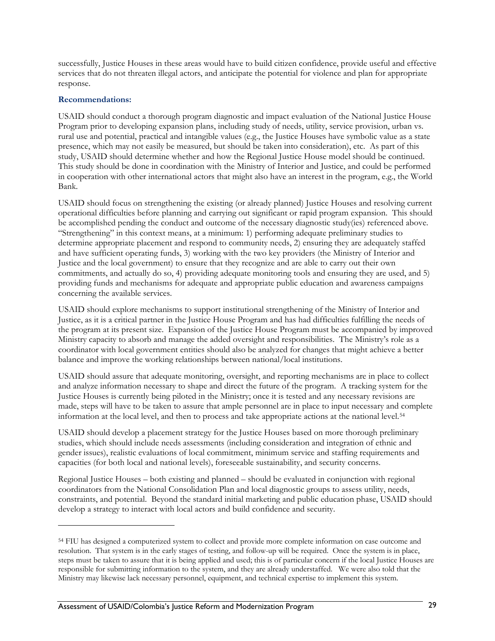<span id="page-38-0"></span>successfully, Justice Houses in these areas would have to build citizen confidence, provide useful and effective services that do not threaten illegal actors, and anticipate the potential for violence and plan for appropriate response.

#### **Recommendations:**

<u>.</u>

USAID should conduct a thorough program diagnostic and impact evaluation of the National Justice House Program prior to developing expansion plans, including study of needs, utility, service provision, urban vs. rural use and potential, practical and intangible values (e.g., the Justice Houses have symbolic value as a state presence, which may not easily be measured, but should be taken into consideration), etc. As part of this study, USAID should determine whether and how the Regional Justice House model should be continued. This study should be done in coordination with the Ministry of Interior and Justice, and could be performed in cooperation with other international actors that might also have an interest in the program, e.g., the World Bank.

USAID should focus on strengthening the existing (or already planned) Justice Houses and resolving current operational difficulties before planning and carrying out significant or rapid program expansion. This should be accomplished pending the conduct and outcome of the necessary diagnostic study(ies) referenced above. "Strengthening" in this context means, at a minimum: 1) performing adequate preliminary studies to determine appropriate placement and respond to community needs, 2) ensuring they are adequately staffed and have sufficient operating funds, 3) working with the two key providers (the Ministry of Interior and Justice and the local government) to ensure that they recognize and are able to carry out their own commitments, and actually do so, 4) providing adequate monitoring tools and ensuring they are used, and 5) providing funds and mechanisms for adequate and appropriate public education and awareness campaigns concerning the available services.

USAID should explore mechanisms to support institutional strengthening of the Ministry of Interior and Justice, as it is a critical partner in the Justice House Program and has had difficulties fulfilling the needs of the program at its present size. Expansion of the Justice House Program must be accompanied by improved Ministry capacity to absorb and manage the added oversight and responsibilities. The Ministry's role as a coordinator with local government entities should also be analyzed for changes that might achieve a better balance and improve the working relationships between national/local institutions.

USAID should assure that adequate monitoring, oversight, and reporting mechanisms are in place to collect and analyze information necessary to shape and direct the future of the program. A tracking system for the Justice Houses is currently being piloted in the Ministry; once it is tested and any necessary revisions are made, steps will have to be taken to assure that ample personnel are in place to input necessary and complete information at the local level, and then to process and take appropriate actions at the national level.[54](#page-38-0)

USAID should develop a placement strategy for the Justice Houses based on more thorough preliminary studies, which should include needs assessments (including consideration and integration of ethnic and gender issues), realistic evaluations of local commitment, minimum service and staffing requirements and capacities (for both local and national levels), foreseeable sustainability, and security concerns.

Regional Justice Houses – both existing and planned – should be evaluated in conjunction with regional coordinators from the National Consolidation Plan and local diagnostic groups to assess utility, needs, constraints, and potential. Beyond the standard initial marketing and public education phase, USAID should develop a strategy to interact with local actors and build confidence and security.

<sup>54</sup> FIU has designed a computerized system to collect and provide more complete information on case outcome and resolution. That system is in the early stages of testing, and follow-up will be required. Once the system is in place, steps must be taken to assure that it is being applied and used; this is of particular concern if the local Justice Houses are responsible for submitting information to the system, and they are already understaffed. We were also told that the Ministry may likewise lack necessary personnel, equipment, and technical expertise to implement this system.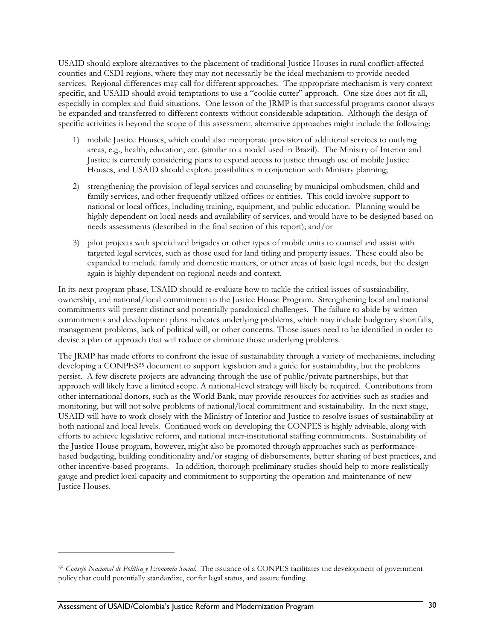<span id="page-39-0"></span>USAID should explore alternatives to the placement of traditional Justice Houses in rural conflict-affected counties and CSDI regions, where they may not necessarily be the ideal mechanism to provide needed services. Regional differences may call for different approaches. The appropriate mechanism is very context specific, and USAID should avoid temptations to use a "cookie cutter" approach. One size does not fit all, especially in complex and fluid situations. One lesson of the JRMP is that successful programs cannot always be expanded and transferred to different contexts without considerable adaptation. Although the design of specific activities is beyond the scope of this assessment, alternative approaches might include the following:

- 1) mobile Justice Houses, which could also incorporate provision of additional services to outlying areas, e.g., health, education, etc. (similar to a model used in Brazil). The Ministry of Interior and Justice is currently considering plans to expand access to justice through use of mobile Justice Houses, and USAID should explore possibilities in conjunction with Ministry planning;
- 2) strengthening the provision of legal services and counseling by municipal ombudsmen, child and family services, and other frequently utilized offices or entities. This could involve support to national or local offices, including training, equipment, and public education. Planning would be highly dependent on local needs and availability of services, and would have to be designed based on needs assessments (described in the final section of this report); and/or
- 3) pilot projects with specialized brigades or other types of mobile units to counsel and assist with targeted legal services, such as those used for land titling and property issues. These could also be expanded to include family and domestic matters, or other areas of basic legal needs, but the design again is highly dependent on regional needs and context.

In its next program phase, USAID should re-evaluate how to tackle the critical issues of sustainability, ownership, and national/local commitment to the Justice House Program. Strengthening local and national commitments will present distinct and potentially paradoxical challenges. The failure to abide by written commitments and development plans indicates underlying problems, which may include budgetary shortfalls, management problems, lack of political will, or other concerns. Those issues need to be identified in order to devise a plan or approach that will reduce or eliminate those underlying problems.

The JRMP has made efforts to confront the issue of sustainability through a variety of mechanisms, including developing a CONPES[55](#page-39-0) document to support legislation and a guide for sustainability, but the problems persist. A few discrete projects are advancing through the use of public/private partnerships, but that approach will likely have a limited scope. A national-level strategy will likely be required. Contributions from other international donors, such as the World Bank, may provide resources for activities such as studies and monitoring, but will not solve problems of national/local commitment and sustainability. In the next stage, USAID will have to work closely with the Ministry of Interior and Justice to resolve issues of sustainability at both national and local levels. Continued work on developing the CONPES is highly advisable, along with efforts to achieve legislative reform, and national inter-institutional staffing commitments. Sustainability of the Justice House program, however, might also be promoted through approaches such as performancebased budgeting, building conditionality and/or staging of disbursements, better sharing of best practices, and other incentive-based programs. In addition, thorough preliminary studies should help to more realistically gauge and predict local capacity and commitment to supporting the operation and maintenance of new Justice Houses.

 $\overline{a}$ 

<sup>55</sup> *Consejo Nacional de Política y Economía Social*. The issuance of a CONPES facilitates the development of government policy that could potentially standardize, confer legal status, and assure funding.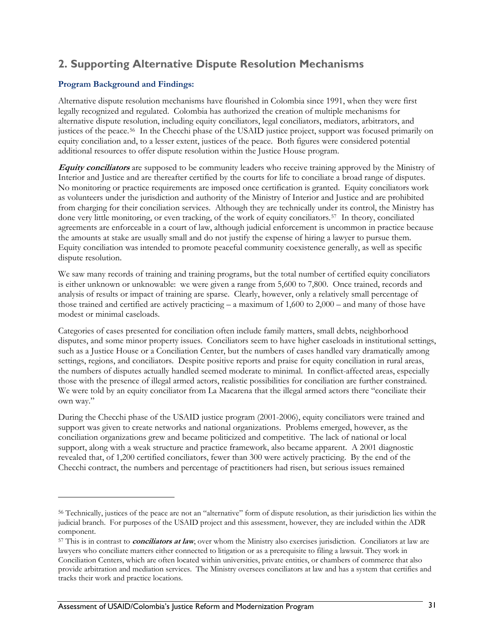## <span id="page-40-0"></span>**2. Supporting Alternative Dispute Resolution Mechanisms**

## **Program Background and Findings:**

Alternative dispute resolution mechanisms have flourished in Colombia since 1991, when they were first legally recognized and regulated. Colombia has authorized the creation of multiple mechanisms for alternative dispute resolution, including equity conciliators, legal conciliators, mediators, arbitrators, and justices of the peace.[56](#page-40-0) In the Checchi phase of the USAID justice project, support was focused primarily on equity conciliation and, to a lesser extent, justices of the peace. Both figures were considered potential additional resources to offer dispute resolution within the Justice House program.

**Equity conciliators** are supposed to be community leaders who receive training approved by the Ministry of Interior and Justice and are thereafter certified by the courts for life to conciliate a broad range of disputes. No monitoring or practice requirements are imposed once certification is granted. Equity conciliators work as volunteers under the jurisdiction and authority of the Ministry of Interior and Justice and are prohibited from charging for their conciliation services. Although they are technically under its control, the Ministry has done very little monitoring, or even tracking, of the work of equity conciliators.[57](#page-40-0) In theory, conciliated agreements are enforceable in a court of law, although judicial enforcement is uncommon in practice because the amounts at stake are usually small and do not justify the expense of hiring a lawyer to pursue them. Equity conciliation was intended to promote peaceful community coexistence generally, as well as specific dispute resolution.

We saw many records of training and training programs, but the total number of certified equity conciliators is either unknown or unknowable: we were given a range from 5,600 to 7,800. Once trained, records and analysis of results or impact of training are sparse. Clearly, however, only a relatively small percentage of those trained and certified are actively practicing – a maximum of 1,600 to 2,000 – and many of those have modest or minimal caseloads.

Categories of cases presented for conciliation often include family matters, small debts, neighborhood disputes, and some minor property issues. Conciliators seem to have higher caseloads in institutional settings, such as a Justice House or a Conciliation Center, but the numbers of cases handled vary dramatically among settings, regions, and conciliators. Despite positive reports and praise for equity conciliation in rural areas, the numbers of disputes actually handled seemed moderate to minimal. In conflict-affected areas, especially those with the presence of illegal armed actors, realistic possibilities for conciliation are further constrained. We were told by an equity conciliator from La Macarena that the illegal armed actors there "conciliate their own way."

During the Checchi phase of the USAID justice program (2001-2006), equity conciliators were trained and support was given to create networks and national organizations. Problems emerged, however, as the conciliation organizations grew and became politicized and competitive. The lack of national or local support, along with a weak structure and practice framework, also became apparent. A 2001 diagnostic revealed that, of 1,200 certified conciliators, fewer than 300 were actively practicing. By the end of the Checchi contract, the numbers and percentage of practitioners had risen, but serious issues remained

 $\overline{a}$ 

<sup>56</sup> Technically, justices of the peace are not an "alternative" form of dispute resolution, as their jurisdiction lies within the judicial branch. For purposes of the USAID project and this assessment, however, they are included within the ADR component.

<sup>57</sup> This is in contrast to **conciliators at law**, over whom the Ministry also exercises jurisdiction. Conciliators at law are lawyers who conciliate matters either connected to litigation or as a prerequisite to filing a lawsuit. They work in Conciliation Centers, which are often located within universities, private entities, or chambers of commerce that also provide arbitration and mediation services. The Ministry oversees conciliators at law and has a system that certifies and tracks their work and practice locations.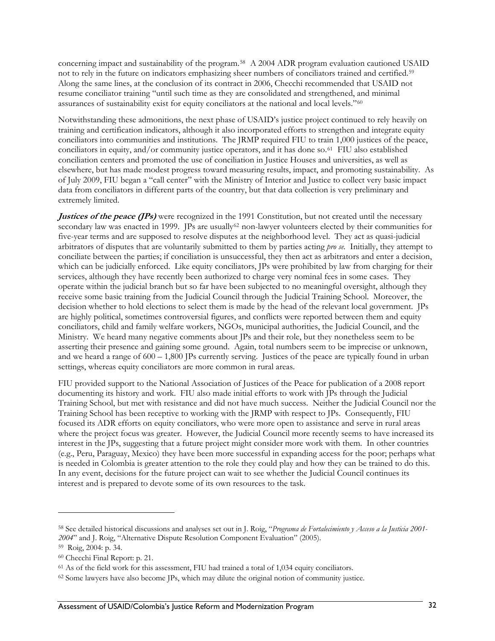<span id="page-41-0"></span>concerning impact and sustainability of the program.[58](#page-41-0) A 2004 ADR program evaluation cautioned USAID not to rely in the future on indicators emphasizing sheer numbers of conciliators trained and certified.[59](#page-41-0) Along the same lines, at the conclusion of its contract in 2006, Checchi recommended that USAID not resume conciliator training "until such time as they are consolidated and strengthened, and minimal assurances of sustainability exist for equity conciliators at the national and local levels."[60](#page-41-0)

Notwithstanding these admonitions, the next phase of USAID's justice project continued to rely heavily on training and certification indicators, although it also incorporated efforts to strengthen and integrate equity conciliators into communities and institutions. The JRMP required FIU to train 1,000 justices of the peace, conciliators in equity, and/or community justice operators, and it has done so.[61](#page-41-0) FIU also established conciliation centers and promoted the use of conciliation in Justice Houses and universities, as well as elsewhere, but has made modest progress toward measuring results, impact, and promoting sustainability. As of July 2009, FIU began a "call center" with the Ministry of Interior and Justice to collect very basic impact data from conciliators in different parts of the country, but that data collection is very preliminary and extremely limited.

**Justices of the peace (JPs)** were recognized in the 1991 Constitution, but not created until the necessary secondary law was enacted in 1999. JPs are usually<sup>[62](#page-41-0)</sup> non-lawyer volunteers elected by their communities for five-year terms and are supposed to resolve disputes at the neighborhood level. They act as quasi-judicial arbitrators of disputes that are voluntarily submitted to them by parties acting *pro se.* Initially, they attempt to conciliate between the parties; if conciliation is unsuccessful, they then act as arbitrators and enter a decision, which can be judicially enforced. Like equity conciliators, JPs were prohibited by law from charging for their services, although they have recently been authorized to charge very nominal fees in some cases. They operate within the judicial branch but so far have been subjected to no meaningful oversight, although they receive some basic training from the Judicial Council through the Judicial Training School. Moreover, the decision whether to hold elections to select them is made by the head of the relevant local government. JPs are highly political, sometimes controversial figures, and conflicts were reported between them and equity conciliators, child and family welfare workers, NGOs, municipal authorities, the Judicial Council, and the Ministry. We heard many negative comments about JPs and their role, but they nonetheless seem to be asserting their presence and gaining some ground. Again, total numbers seem to be imprecise or unknown, and we heard a range of 600 – 1,800 JPs currently serving. Justices of the peace are typically found in urban settings, whereas equity conciliators are more common in rural areas.

FIU provided support to the National Association of Justices of the Peace for publication of a 2008 report documenting its history and work. FIU also made initial efforts to work with JPs through the Judicial Training School, but met with resistance and did not have much success. Neither the Judicial Council nor the Training School has been receptive to working with the JRMP with respect to JPs. Consequently, FIU focused its ADR efforts on equity conciliators, who were more open to assistance and serve in rural areas where the project focus was greater. However, the Judicial Council more recently seems to have increased its interest in the JPs, suggesting that a future project might consider more work with them. In other countries (e.g., Peru, Paraguay, Mexico) they have been more successful in expanding access for the poor; perhaps what is needed in Colombia is greater attention to the role they could play and how they can be trained to do this. In any event, decisions for the future project can wait to see whether the Judicial Council continues its interest and is prepared to devote some of its own resources to the task.

<u>.</u>

<sup>58</sup> See detailed historical discussions and analyses set out in J. Roig, "*Programa de Fortalecimiento y Acceso a la Justicia 2001- 2004*" and J. Roig, "Alternative Dispute Resolution Component Evaluation" (2005).

<sup>59</sup> Roig, 2004: p. 34.

<sup>60</sup> Checchi Final Report: p. 21.

<sup>61</sup> As of the field work for this assessment, FIU had trained a total of 1,034 equity conciliators.

<sup>62</sup> Some lawyers have also become JPs, which may dilute the original notion of community justice.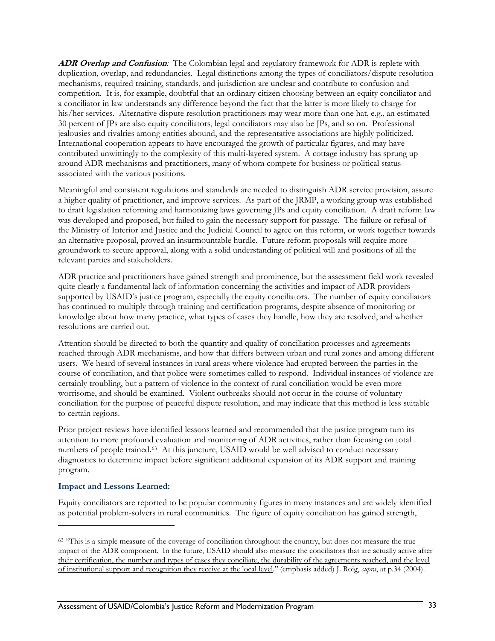<span id="page-42-0"></span>**ADR Overlap and Confusion***:* The Colombian legal and regulatory framework for ADR is replete with duplication, overlap, and redundancies. Legal distinctions among the types of conciliators/dispute resolution mechanisms, required training, standards, and jurisdiction are unclear and contribute to confusion and competition. It is, for example, doubtful that an ordinary citizen choosing between an equity conciliator and a conciliator in law understands any difference beyond the fact that the latter is more likely to charge for his/her services. Alternative dispute resolution practitioners may wear more than one hat, e.g., an estimated 30 percent of JPs are also equity conciliators, legal conciliators may also be JPs, and so on. Professional jealousies and rivalries among entities abound, and the representative associations are highly politicized. International cooperation appears to have encouraged the growth of particular figures, and may have contributed unwittingly to the complexity of this multi-layered system. A cottage industry has sprung up around ADR mechanisms and practitioners, many of whom compete for business or political status associated with the various positions.

Meaningful and consistent regulations and standards are needed to distinguish ADR service provision, assure a higher quality of practitioner, and improve services. As part of the JRMP, a working group was established to draft legislation reforming and harmonizing laws governing JPs and equity conciliation. A draft reform law was developed and proposed, but failed to gain the necessary support for passage. The failure or refusal of the Ministry of Interior and Justice and the Judicial Council to agree on this reform, or work together towards an alternative proposal, proved an insurmountable hurdle. Future reform proposals will require more groundwork to secure approval, along with a solid understanding of political will and positions of all the relevant parties and stakeholders.

ADR practice and practitioners have gained strength and prominence, but the assessment field work revealed quite clearly a fundamental lack of information concerning the activities and impact of ADR providers supported by USAID's justice program, especially the equity conciliators. The number of equity conciliators has continued to multiply through training and certification programs, despite absence of monitoring or knowledge about how many practice, what types of cases they handle, how they are resolved, and whether resolutions are carried out.

Attention should be directed to both the quantity and quality of conciliation processes and agreements reached through ADR mechanisms, and how that differs between urban and rural zones and among different users. We heard of several instances in rural areas where violence had erupted between the parties in the course of conciliation, and that police were sometimes called to respond. Individual instances of violence are certainly troubling, but a pattern of violence in the context of rural conciliation would be even more worrisome, and should be examined. Violent outbreaks should not occur in the course of voluntary conciliation for the purpose of peaceful dispute resolution, and may indicate that this method is less suitable to certain regions.

Prior project reviews have identified lessons learned and recommended that the justice program turn its attention to more profound evaluation and monitoring of ADR activities, rather than focusing on total numbers of people trained.<sup>[63](#page-42-0)</sup> At this juncture, USAID would be well advised to conduct necessary diagnostics to determine impact before significant additional expansion of its ADR support and training program.

#### **Impact and Lessons Learned:**

<u>.</u>

Equity conciliators are reported to be popular community figures in many instances and are widely identified as potential problem-solvers in rural communities. The figure of equity conciliation has gained strength,

<sup>63 &</sup>quot;This is a simple measure of the coverage of conciliation throughout the country, but does not measure the true impact of the ADR component. In the future, USAID should also measure the conciliators that are actually active after their certification, the number and types of cases they conciliate, the durability of the agreements reached, and the level of institutional support and recognition they receive at the local level." (emphasis added) J. Roig, *supra*, at p.34 (2004).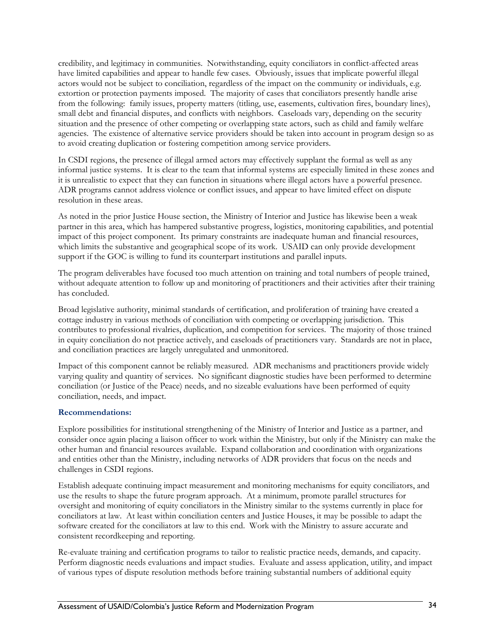credibility, and legitimacy in communities. Notwithstanding, equity conciliators in conflict-affected areas have limited capabilities and appear to handle few cases. Obviously, issues that implicate powerful illegal actors would not be subject to conciliation, regardless of the impact on the community or individuals, e.g. extortion or protection payments imposed. The majority of cases that conciliators presently handle arise from the following: family issues, property matters (titling, use, easements, cultivation fires, boundary lines), small debt and financial disputes, and conflicts with neighbors. Caseloads vary, depending on the security situation and the presence of other competing or overlapping state actors, such as child and family welfare agencies. The existence of alternative service providers should be taken into account in program design so as to avoid creating duplication or fostering competition among service providers.

In CSDI regions, the presence of illegal armed actors may effectively supplant the formal as well as any informal justice systems. It is clear to the team that informal systems are especially limited in these zones and it is unrealistic to expect that they can function in situations where illegal actors have a powerful presence. ADR programs cannot address violence or conflict issues, and appear to have limited effect on dispute resolution in these areas.

As noted in the prior Justice House section, the Ministry of Interior and Justice has likewise been a weak partner in this area, which has hampered substantive progress, logistics, monitoring capabilities, and potential impact of this project component. Its primary constraints are inadequate human and financial resources, which limits the substantive and geographical scope of its work. USAID can only provide development support if the GOC is willing to fund its counterpart institutions and parallel inputs.

The program deliverables have focused too much attention on training and total numbers of people trained, without adequate attention to follow up and monitoring of practitioners and their activities after their training has concluded.

Broad legislative authority, minimal standards of certification, and proliferation of training have created a cottage industry in various methods of conciliation with competing or overlapping jurisdiction. This contributes to professional rivalries, duplication, and competition for services. The majority of those trained in equity conciliation do not practice actively, and caseloads of practitioners vary. Standards are not in place, and conciliation practices are largely unregulated and unmonitored.

Impact of this component cannot be reliably measured. ADR mechanisms and practitioners provide widely varying quality and quantity of services. No significant diagnostic studies have been performed to determine conciliation (or Justice of the Peace) needs, and no sizeable evaluations have been performed of equity conciliation, needs, and impact.

#### **Recommendations:**

Explore possibilities for institutional strengthening of the Ministry of Interior and Justice as a partner, and consider once again placing a liaison officer to work within the Ministry, but only if the Ministry can make the other human and financial resources available. Expand collaboration and coordination with organizations and entities other than the Ministry, including networks of ADR providers that focus on the needs and challenges in CSDI regions.

Establish adequate continuing impact measurement and monitoring mechanisms for equity conciliators, and use the results to shape the future program approach. At a minimum, promote parallel structures for oversight and monitoring of equity conciliators in the Ministry similar to the systems currently in place for conciliators at law. At least within conciliation centers and Justice Houses, it may be possible to adapt the software created for the conciliators at law to this end. Work with the Ministry to assure accurate and consistent recordkeeping and reporting.

Re-evaluate training and certification programs to tailor to realistic practice needs, demands, and capacity. Perform diagnostic needs evaluations and impact studies. Evaluate and assess application, utility, and impact of various types of dispute resolution methods before training substantial numbers of additional equity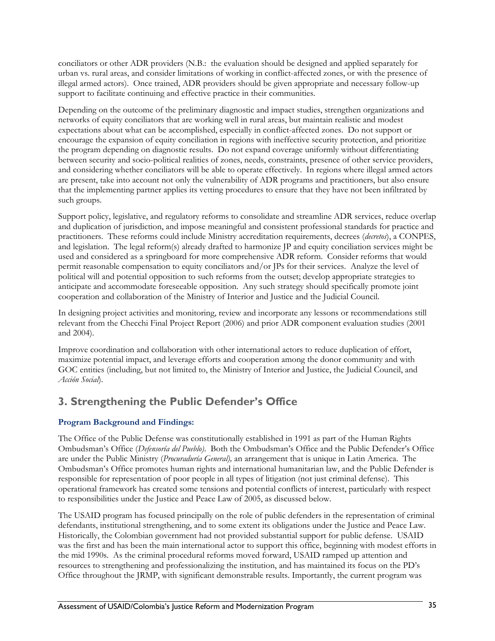conciliators or other ADR providers (N.B.: the evaluation should be designed and applied separately for urban vs. rural areas, and consider limitations of working in conflict-affected zones, or with the presence of illegal armed actors). Once trained, ADR providers should be given appropriate and necessary follow-up support to facilitate continuing and effective practice in their communities.

Depending on the outcome of the preliminary diagnostic and impact studies, strengthen organizations and networks of equity conciliators that are working well in rural areas, but maintain realistic and modest expectations about what can be accomplished, especially in conflict-affected zones. Do not support or encourage the expansion of equity conciliation in regions with ineffective security protection, and prioritize the program depending on diagnostic results. Do not expand coverage uniformly without differentiating between security and socio-political realities of zones, needs, constraints, presence of other service providers, and considering whether conciliators will be able to operate effectively. In regions where illegal armed actors are present, take into account not only the vulnerability of ADR programs and practitioners, but also ensure that the implementing partner applies its vetting procedures to ensure that they have not been infiltrated by such groups.

Support policy, legislative, and regulatory reforms to consolidate and streamline ADR services, reduce overlap and duplication of jurisdiction, and impose meaningful and consistent professional standards for practice and practitioners. These reforms could include Ministry accreditation requirements, decrees (*decretos*), a CONPES, and legislation. The legal reform(s) already drafted to harmonize JP and equity conciliation services might be used and considered as a springboard for more comprehensive ADR reform. Consider reforms that would permit reasonable compensation to equity conciliators and/or JPs for their services. Analyze the level of political will and potential opposition to such reforms from the outset; develop appropriate strategies to anticipate and accommodate foreseeable opposition. Any such strategy should specifically promote joint cooperation and collaboration of the Ministry of Interior and Justice and the Judicial Council.

In designing project activities and monitoring, review and incorporate any lessons or recommendations still relevant from the Checchi Final Project Report (2006) and prior ADR component evaluation studies (2001 and 2004).

Improve coordination and collaboration with other international actors to reduce duplication of effort, maximize potential impact, and leverage efforts and cooperation among the donor community and with GOC entities (including, but not limited to, the Ministry of Interior and Justice, the Judicial Council, and *Acción Social*).

## **3. Strengthening the Public Defender's Office**

## **Program Background and Findings:**

The Office of the Public Defense was constitutionally established in 1991 as part of the Human Rights Ombudsman's Office (*Defensoría del Pueblo)*. Both the Ombudsman's Office and the Public Defender's Office are under the Public Ministry (*Procuraduría General),* an arrangement that is unique in Latin America. The Ombudsman's Office promotes human rights and international humanitarian law, and the Public Defender is responsible for representation of poor people in all types of litigation (not just criminal defense). This operational framework has created some tensions and potential conflicts of interest, particularly with respect to responsibilities under the Justice and Peace Law of 2005, as discussed below.

The USAID program has focused principally on the role of public defenders in the representation of criminal defendants, institutional strengthening, and to some extent its obligations under the Justice and Peace Law. Historically, the Colombian government had not provided substantial support for public defense. USAID was the first and has been the main international actor to support this office, beginning with modest efforts in the mid 1990s. As the criminal procedural reforms moved forward, USAID ramped up attention and resources to strengthening and professionalizing the institution, and has maintained its focus on the PD's Office throughout the JRMP, with significant demonstrable results. Importantly, the current program was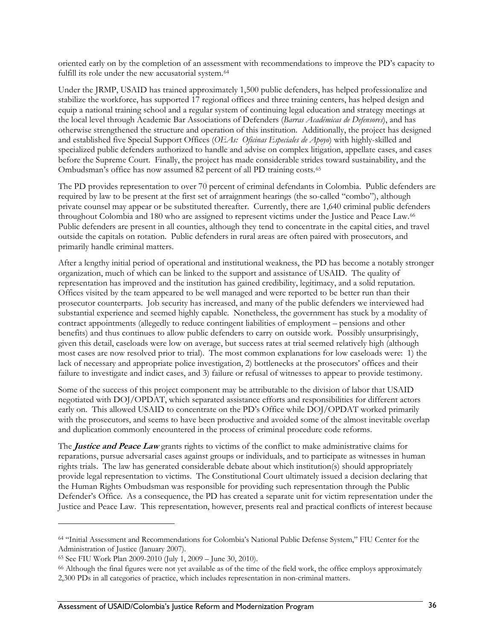<span id="page-45-0"></span>oriented early on by the completion of an assessment with recommendations to improve the PD's capacity to fulfill its role under the new accusatorial system.<sup>[64](#page-45-0)</sup>

Under the JRMP, USAID has trained approximately 1,500 public defenders, has helped professionalize and stabilize the workforce, has supported 17 regional offices and three training centers, has helped design and equip a national training school and a regular system of continuing legal education and strategy meetings at the local level through Academic Bar Associations of Defenders (*Barras Académicas de Defensores*), and has otherwise strengthened the structure and operation of this institution. Additionally, the project has designed and established five Special Support Offices (*OEAs: Oficinas Especiales de Apoyo*) with highly-skilled and specialized public defenders authorized to handle and advise on complex litigation, appellate cases, and cases before the Supreme Court. Finally, the project has made considerable strides toward sustainability, and the Ombudsman's office has now assumed 82 percent of all PD training costs.[65](#page-45-0)

The PD provides representation to over 70 percent of criminal defendants in Colombia. Public defenders are required by law to be present at the first set of arraignment hearings (the so-called "combo"), although private counsel may appear or be substituted thereafter. Currently, there are 1,640 criminal public defenders throughout Colombia and 180 who are assigned to represent victims under the Justice and Peace Law.[66](#page-45-0) Public defenders are present in all counties, although they tend to concentrate in the capital cities, and travel outside the capitals on rotation. Public defenders in rural areas are often paired with prosecutors, and primarily handle criminal matters.

After a lengthy initial period of operational and institutional weakness, the PD has become a notably stronger organization, much of which can be linked to the support and assistance of USAID. The quality of representation has improved and the institution has gained credibility, legitimacy, and a solid reputation. Offices visited by the team appeared to be well managed and were reported to be better run than their prosecutor counterparts. Job security has increased, and many of the public defenders we interviewed had substantial experience and seemed highly capable. Nonetheless, the government has stuck by a modality of contract appointments (allegedly to reduce contingent liabilities of employment – pensions and other benefits) and thus continues to allow public defenders to carry on outside work. Possibly unsurprisingly, given this detail, caseloads were low on average, but success rates at trial seemed relatively high (although most cases are now resolved prior to trial). The most common explanations for low caseloads were: 1) the lack of necessary and appropriate police investigation, 2) bottlenecks at the prosecutors' offices and their failure to investigate and indict cases, and 3) failure or refusal of witnesses to appear to provide testimony.

Some of the success of this project component may be attributable to the division of labor that USAID negotiated with DOJ/OPDAT, which separated assistance efforts and responsibilities for different actors early on. This allowed USAID to concentrate on the PD's Office while DOJ/OPDAT worked primarily with the prosecutors, and seems to have been productive and avoided some of the almost inevitable overlap and duplication commonly encountered in the process of criminal procedure code reforms.

The **Justice and Peace Law** grants rights to victims of the conflict to make administrative claims for reparations, pursue adversarial cases against groups or individuals, and to participate as witnesses in human rights trials. The law has generated considerable debate about which institution(s) should appropriately provide legal representation to victims. The Constitutional Court ultimately issued a decision declaring that the Human Rights Ombudsman was responsible for providing such representation through the Public Defender's Office. As a consequence, the PD has created a separate unit for victim representation under the Justice and Peace Law. This representation, however, presents real and practical conflicts of interest because

 $\overline{a}$ 

<sup>64 &</sup>quot;Initial Assessment and Recommendations for Colombia's National Public Defense System," FIU Center for the Administration of Justice (January 2007).

<sup>65</sup> See FIU Work Plan 2009-2010 (July 1, 2009 – June 30, 2010).

<sup>66</sup> Although the final figures were not yet available as of the time of the field work, the office employs approximately 2,300 PDs in all categories of practice, which includes representation in non-criminal matters.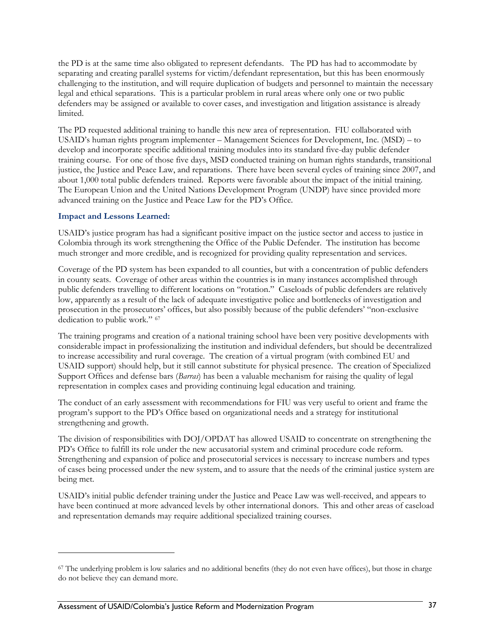<span id="page-46-0"></span>the PD is at the same time also obligated to represent defendants. The PD has had to accommodate by separating and creating parallel systems for victim/defendant representation, but this has been enormously challenging to the institution, and will require duplication of budgets and personnel to maintain the necessary legal and ethical separations. This is a particular problem in rural areas where only one or two public defenders may be assigned or available to cover cases, and investigation and litigation assistance is already limited.

The PD requested additional training to handle this new area of representation. FIU collaborated with USAID's human rights program implementer – Management Sciences for Development, Inc. (MSD) – to develop and incorporate specific additional training modules into its standard five-day public defender training course. For one of those five days, MSD conducted training on human rights standards, transitional justice, the Justice and Peace Law, and reparations. There have been several cycles of training since 2007, and about 1,000 total public defenders trained. Reports were favorable about the impact of the initial training. The European Union and the United Nations Development Program (UNDP) have since provided more advanced training on the Justice and Peace Law for the PD's Office.

#### **Impact and Lessons Learned:**

 $\overline{a}$ 

USAID's justice program has had a significant positive impact on the justice sector and access to justice in Colombia through its work strengthening the Office of the Public Defender. The institution has become much stronger and more credible, and is recognized for providing quality representation and services.

Coverage of the PD system has been expanded to all counties, but with a concentration of public defenders in county seats. Coverage of other areas within the countries is in many instances accomplished through public defenders travelling to different locations on "rotation." Caseloads of public defenders are relatively low, apparently as a result of the lack of adequate investigative police and bottlenecks of investigation and prosecution in the prosecutors' offices, but also possibly because of the public defenders' "non-exclusive dedication to public work." [67](#page-46-0)

The training programs and creation of a national training school have been very positive developments with considerable impact in professionalizing the institution and individual defenders, but should be decentralized to increase accessibility and rural coverage. The creation of a virtual program (with combined EU and USAID support) should help, but it still cannot substitute for physical presence. The creation of Specialized Support Offices and defense bars (*Barras*) has been a valuable mechanism for raising the quality of legal representation in complex cases and providing continuing legal education and training.

The conduct of an early assessment with recommendations for FIU was very useful to orient and frame the program's support to the PD's Office based on organizational needs and a strategy for institutional strengthening and growth.

The division of responsibilities with DOJ/OPDAT has allowed USAID to concentrate on strengthening the PD's Office to fulfill its role under the new accusatorial system and criminal procedure code reform. Strengthening and expansion of police and prosecutorial services is necessary to increase numbers and types of cases being processed under the new system, and to assure that the needs of the criminal justice system are being met.

USAID's initial public defender training under the Justice and Peace Law was well-received, and appears to have been continued at more advanced levels by other international donors. This and other areas of caseload and representation demands may require additional specialized training courses.

<sup>67</sup> The underlying problem is low salaries and no additional benefits (they do not even have offices), but those in charge do not believe they can demand more.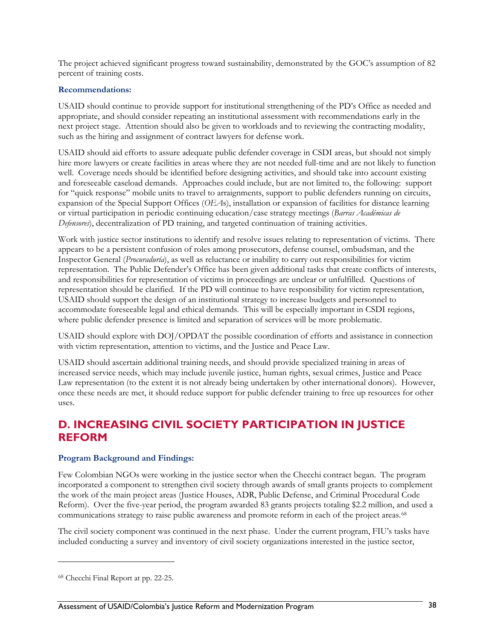<span id="page-47-0"></span>The project achieved significant progress toward sustainability, demonstrated by the GOC's assumption of 82 percent of training costs.

#### **Recommendations:**

USAID should continue to provide support for institutional strengthening of the PD's Office as needed and appropriate, and should consider repeating an institutional assessment with recommendations early in the next project stage. Attention should also be given to workloads and to reviewing the contracting modality, such as the hiring and assignment of contract lawyers for defense work.

USAID should aid efforts to assure adequate public defender coverage in CSDI areas, but should not simply hire more lawyers or create facilities in areas where they are not needed full-time and are not likely to function well. Coverage needs should be identified before designing activities, and should take into account existing and foreseeable caseload demands. Approaches could include, but are not limited to, the following: support for "quick response" mobile units to travel to arraignments, support to public defenders running on circuits, expansion of the Special Support Offices (*OEA*s), installation or expansion of facilities for distance learning or virtual participation in periodic continuing education/case strategy meetings (*Barras Académicas de Defensores*), decentralization of PD training, and targeted continuation of training activities.

Work with justice sector institutions to identify and resolve issues relating to representation of victims. There appears to be a persistent confusion of roles among prosecutors, defense counsel, ombudsman, and the Inspector General (*Procuraduría*), as well as reluctance or inability to carry out responsibilities for victim representation. The Public Defender's Office has been given additional tasks that create conflicts of interests, and responsibilities for representation of victims in proceedings are unclear or unfulfilled. Questions of representation should be clarified. If the PD will continue to have responsibility for victim representation, USAID should support the design of an institutional strategy to increase budgets and personnel to accommodate foreseeable legal and ethical demands. This will be especially important in CSDI regions, where public defender presence is limited and separation of services will be more problematic.

USAID should explore with DOJ/OPDAT the possible coordination of efforts and assistance in connection with victim representation, attention to victims, and the Justice and Peace Law.

USAID should ascertain additional training needs, and should provide specialized training in areas of increased service needs, which may include juvenile justice, human rights, sexual crimes, Justice and Peace Law representation (to the extent it is not already being undertaken by other international donors). However, once these needs are met, it should reduce support for public defender training to free up resources for other uses.

## **D. INCREASING CIVIL SOCIETY PARTICIPATION IN JUSTICE REFORM**

#### **Program Background and Findings:**

Few Colombian NGOs were working in the justice sector when the Checchi contract began. The program incorporated a component to strengthen civil society through awards of small grants projects to complement the work of the main project areas (Justice Houses, ADR, Public Defense, and Criminal Procedural Code Reform). Over the five-year period, the program awarded 83 grants projects totaling \$2.2 million, and used a communications strategy to raise public awareness and promote reform in each of the project areas.[68](#page-47-0)

The civil society component was continued in the next phase. Under the current program, FIU's tasks have included conducting a survey and inventory of civil society organizations interested in the justice sector,

 $\overline{a}$ 

<sup>68</sup> Checchi Final Report at pp. 22-25.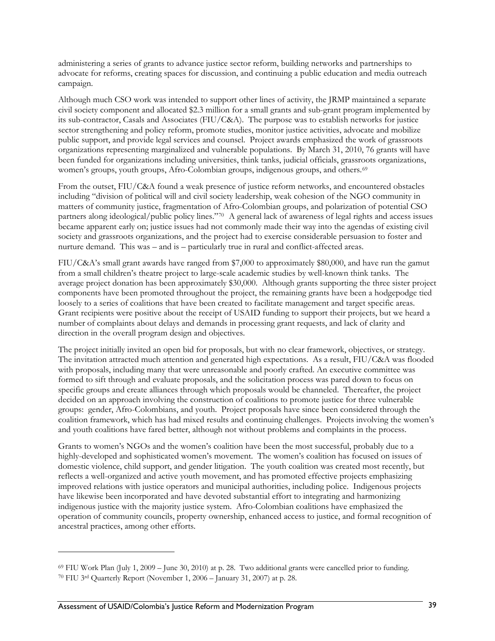<span id="page-48-0"></span>administering a series of grants to advance justice sector reform, building networks and partnerships to advocate for reforms, creating spaces for discussion, and continuing a public education and media outreach campaign.

Although much CSO work was intended to support other lines of activity, the JRMP maintained a separate civil society component and allocated \$2.3 million for a small grants and sub-grant program implemented by its sub-contractor, Casals and Associates (FIU/C&A). The purpose was to establish networks for justice sector strengthening and policy reform, promote studies, monitor justice activities, advocate and mobilize public support, and provide legal services and counsel. Project awards emphasized the work of grassroots organizations representing marginalized and vulnerable populations. By March 31, 2010, 76 grants will have been funded for organizations including universities, think tanks, judicial officials, grassroots organizations, women's groups, youth groups, Afro-Colombian groups, indigenous groups, and others.<sup>[69](#page-48-0)</sup>

From the outset, FIU/C&A found a weak presence of justice reform networks, and encountered obstacles including "division of political will and civil society leadership, weak cohesion of the NGO community in matters of community justice, fragmentation of Afro-Colombian groups, and polarization of potential CSO partners along ideological/public policy lines."[70](#page-48-0) A general lack of awareness of legal rights and access issues became apparent early on; justice issues had not commonly made their way into the agendas of existing civil society and grassroots organizations, and the project had to exercise considerable persuasion to foster and nurture demand. This was – and is – particularly true in rural and conflict-affected areas.

FIU/C&A's small grant awards have ranged from \$7,000 to approximately \$80,000, and have run the gamut from a small children's theatre project to large-scale academic studies by well-known think tanks. The average project donation has been approximately \$30,000. Although grants supporting the three sister project components have been promoted throughout the project, the remaining grants have been a hodgepodge tied loosely to a series of coalitions that have been created to facilitate management and target specific areas. Grant recipients were positive about the receipt of USAID funding to support their projects, but we heard a number of complaints about delays and demands in processing grant requests, and lack of clarity and direction in the overall program design and objectives.

The project initially invited an open bid for proposals, but with no clear framework, objectives, or strategy. The invitation attracted much attention and generated high expectations. As a result, FIU/C&A was flooded with proposals, including many that were unreasonable and poorly crafted. An executive committee was formed to sift through and evaluate proposals, and the solicitation process was pared down to focus on specific groups and create alliances through which proposals would be channeled. Thereafter, the project decided on an approach involving the construction of coalitions to promote justice for three vulnerable groups: gender, Afro-Colombians, and youth. Project proposals have since been considered through the coalition framework, which has had mixed results and continuing challenges. Projects involving the women's and youth coalitions have fared better, although not without problems and complaints in the process.

Grants to women's NGOs and the women's coalition have been the most successful, probably due to a highly-developed and sophisticated women's movement. The women's coalition has focused on issues of domestic violence, child support, and gender litigation. The youth coalition was created most recently, but reflects a well-organized and active youth movement, and has promoted effective projects emphasizing improved relations with justice operators and municipal authorities, including police. Indigenous projects have likewise been incorporated and have devoted substantial effort to integrating and harmonizing indigenous justice with the majority justice system. Afro-Colombian coalitions have emphasized the operation of community councils, property ownership, enhanced access to justice, and formal recognition of ancestral practices, among other efforts.

<u>.</u>

 $69$  FIU Work Plan (July 1, 2009 – June 30, 2010) at p. 28. Two additional grants were cancelled prior to funding. 70 FIU 3rd Quarterly Report (November 1, 2006 – January 31, 2007) at p. 28.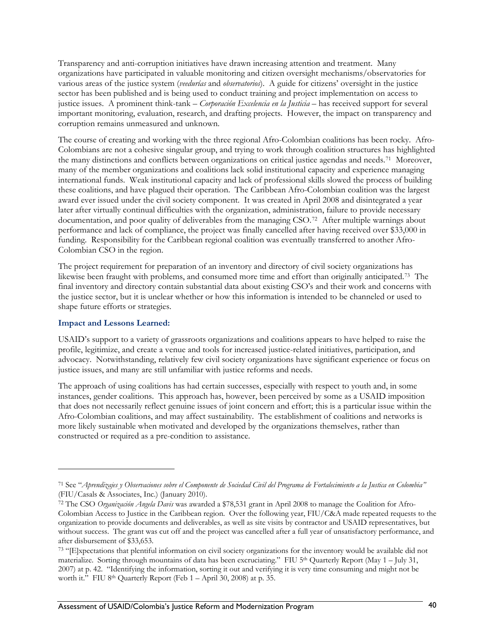<span id="page-49-0"></span>Transparency and anti-corruption initiatives have drawn increasing attention and treatment. Many organizations have participated in valuable monitoring and citizen oversight mechanisms/observatories for various areas of the justice system (*veedurías* and *observatorios*). A guide for citizens' oversight in the justice sector has been published and is being used to conduct training and project implementation on access to justice issues. A prominent think-tank – *Corporación Excelencia en la Justicia* – has received support for several important monitoring, evaluation, research, and drafting projects. However, the impact on transparency and corruption remains unmeasured and unknown.

The course of creating and working with the three regional Afro-Colombian coalitions has been rocky. Afro-Colombians are not a cohesive singular group, and trying to work through coalition structures has highlighted the many distinctions and conflicts between organizations on critical justice agendas and needs.[71](#page-49-0) Moreover, many of the member organizations and coalitions lack solid institutional capacity and experience managing international funds. Weak institutional capacity and lack of professional skills slowed the process of building these coalitions, and have plagued their operation. The Caribbean Afro-Colombian coalition was the largest award ever issued under the civil society component. It was created in April 2008 and disintegrated a year later after virtually continual difficulties with the organization, administration, failure to provide necessary documentation, and poor quality of deliverables from the managing CSO.[72](#page-49-0) After multiple warnings about performance and lack of compliance, the project was finally cancelled after having received over \$33,000 in funding. Responsibility for the Caribbean regional coalition was eventually transferred to another Afro-Colombian CSO in the region.

The project requirement for preparation of an inventory and directory of civil society organizations has likewise been fraught with problems, and consumed more time and effort than originally anticipated.[73](#page-49-0) The final inventory and directory contain substantial data about existing CSO's and their work and concerns with the justice sector, but it is unclear whether or how this information is intended to be channeled or used to shape future efforts or strategies.

#### **Impact and Lessons Learned:**

<u>.</u>

USAID's support to a variety of grassroots organizations and coalitions appears to have helped to raise the profile, legitimize, and create a venue and tools for increased justice-related initiatives, participation, and advocacy. Notwithstanding, relatively few civil society organizations have significant experience or focus on justice issues, and many are still unfamiliar with justice reforms and needs.

The approach of using coalitions has had certain successes, especially with respect to youth and, in some instances, gender coalitions. This approach has, however, been perceived by some as a USAID imposition that does not necessarily reflect genuine issues of joint concern and effort; this is a particular issue within the Afro-Colombian coalitions, and may affect sustainability. The establishment of coalitions and networks is more likely sustainable when motivated and developed by the organizations themselves, rather than constructed or required as a pre-condition to assistance.

<sup>71</sup> See "*Aprendizajes y Observaciones sobre el Componente de Sociedad Civil del Programa de Fortalecimiento a la Justica en Colombia"* (FIU/Casals & Associates, Inc.) (January 2010).

<sup>72</sup> The CSO *Organización Angela Davis* was awarded a \$78,531 grant in April 2008 to manage the Coalition for Afro-Colombian Access to Justice in the Caribbean region. Over the following year, FIU/C&A made repeated requests to the organization to provide documents and deliverables, as well as site visits by contractor and USAID representatives, but without success. The grant was cut off and the project was cancelled after a full year of unsatisfactory performance, and after disbursement of \$33,653.

<sup>73 &</sup>quot;[E]xpectations that plentiful information on civil society organizations for the inventory would be available did not materialize. Sorting through mountains of data has been excruciating." FIU  $5<sup>th</sup>$  Quarterly Report (May  $1 - \text{July } 31$ , 2007) at p. 42. "Identifying the information, sorting it out and verifying it is very time consuming and might not be worth it." FIU 8<sup>th</sup> Quarterly Report (Feb 1 – April 30, 2008) at p. 35.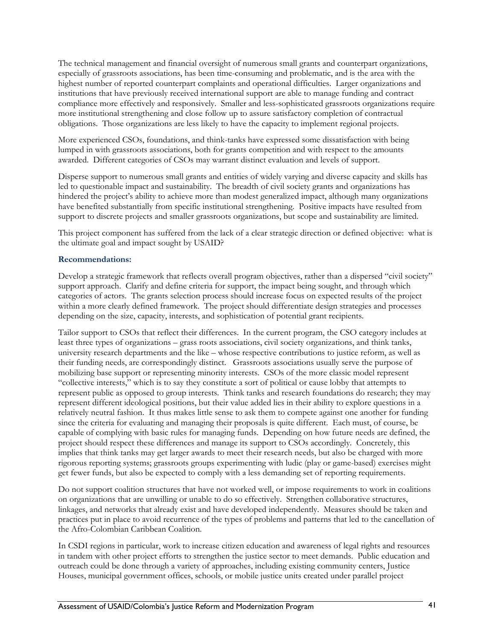The technical management and financial oversight of numerous small grants and counterpart organizations, especially of grassroots associations, has been time-consuming and problematic, and is the area with the highest number of reported counterpart complaints and operational difficulties. Larger organizations and institutions that have previously received international support are able to manage funding and contract compliance more effectively and responsively. Smaller and less-sophisticated grassroots organizations require more institutional strengthening and close follow up to assure satisfactory completion of contractual obligations. Those organizations are less likely to have the capacity to implement regional projects.

More experienced CSOs, foundations, and think-tanks have expressed some dissatisfaction with being lumped in with grassroots associations, both for grants competition and with respect to the amounts awarded. Different categories of CSOs may warrant distinct evaluation and levels of support.

Disperse support to numerous small grants and entities of widely varying and diverse capacity and skills has led to questionable impact and sustainability. The breadth of civil society grants and organizations has hindered the project's ability to achieve more than modest generalized impact, although many organizations have benefited substantially from specific institutional strengthening. Positive impacts have resulted from support to discrete projects and smaller grassroots organizations, but scope and sustainability are limited.

This project component has suffered from the lack of a clear strategic direction or defined objective: what is the ultimate goal and impact sought by USAID?

#### **Recommendations:**

Develop a strategic framework that reflects overall program objectives, rather than a dispersed "civil society" support approach. Clarify and define criteria for support, the impact being sought, and through which categories of actors. The grants selection process should increase focus on expected results of the project within a more clearly defined framework. The project should differentiate design strategies and processes depending on the size, capacity, interests, and sophistication of potential grant recipients.

Tailor support to CSOs that reflect their differences. In the current program, the CSO category includes at least three types of organizations – grass roots associations, civil society organizations, and think tanks, university research departments and the like – whose respective contributions to justice reform, as well as their funding needs, are correspondingly distinct. Grassroots associations usually serve the purpose of mobilizing base support or representing minority interests. CSOs of the more classic model represent "collective interests," which is to say they constitute a sort of political or cause lobby that attempts to represent public as opposed to group interests. Think tanks and research foundations do research; they may represent different ideological positions, but their value added lies in their ability to explore questions in a relatively neutral fashion. It thus makes little sense to ask them to compete against one another for funding since the criteria for evaluating and managing their proposals is quite different. Each must, of course, be capable of complying with basic rules for managing funds. Depending on how future needs are defined, the project should respect these differences and manage its support to CSOs accordingly. Concretely, this implies that think tanks may get larger awards to meet their research needs, but also be charged with more rigorous reporting systems; grassroots groups experimenting with ludic (play or game-based) exercises might get fewer funds, but also be expected to comply with a less demanding set of reporting requirements.

Do not support coalition structures that have not worked well, or impose requirements to work in coalitions on organizations that are unwilling or unable to do so effectively. Strengthen collaborative structures, linkages, and networks that already exist and have developed independently. Measures should be taken and practices put in place to avoid recurrence of the types of problems and patterns that led to the cancellation of the Afro-Colombian Caribbean Coalition.

In CSDI regions in particular, work to increase citizen education and awareness of legal rights and resources in tandem with other project efforts to strengthen the justice sector to meet demands. Public education and outreach could be done through a variety of approaches, including existing community centers, Justice Houses, municipal government offices, schools, or mobile justice units created under parallel project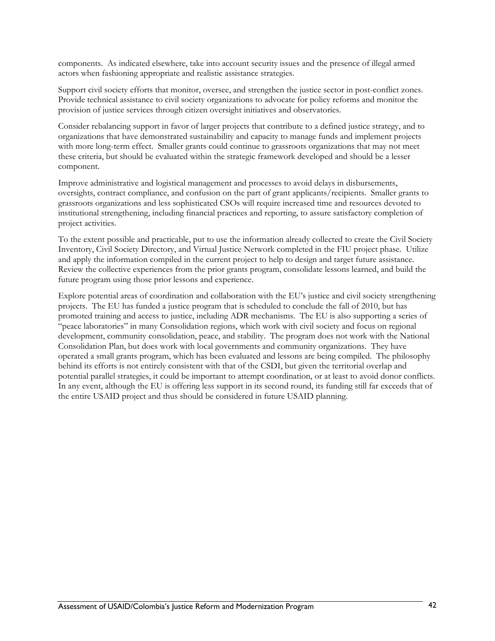components. As indicated elsewhere, take into account security issues and the presence of illegal armed actors when fashioning appropriate and realistic assistance strategies.

Support civil society efforts that monitor, oversee, and strengthen the justice sector in post-conflict zones. Provide technical assistance to civil society organizations to advocate for policy reforms and monitor the provision of justice services through citizen oversight initiatives and observatories.

Consider rebalancing support in favor of larger projects that contribute to a defined justice strategy, and to organizations that have demonstrated sustainability and capacity to manage funds and implement projects with more long-term effect. Smaller grants could continue to grassroots organizations that may not meet these criteria, but should be evaluated within the strategic framework developed and should be a lesser component.

Improve administrative and logistical management and processes to avoid delays in disbursements, oversights, contract compliance, and confusion on the part of grant applicants/recipients. Smaller grants to grassroots organizations and less sophisticated CSOs will require increased time and resources devoted to institutional strengthening, including financial practices and reporting, to assure satisfactory completion of project activities.

To the extent possible and practicable, put to use the information already collected to create the Civil Society Inventory, Civil Society Directory, and Virtual Justice Network completed in the FIU project phase. Utilize and apply the information compiled in the current project to help to design and target future assistance. Review the collective experiences from the prior grants program, consolidate lessons learned, and build the future program using those prior lessons and experience.

Explore potential areas of coordination and collaboration with the EU's justice and civil society strengthening projects. The EU has funded a justice program that is scheduled to conclude the fall of 2010, but has promoted training and access to justice, including ADR mechanisms. The EU is also supporting a series of "peace laboratories" in many Consolidation regions, which work with civil society and focus on regional development, community consolidation, peace, and stability. The program does not work with the National Consolidation Plan, but does work with local governments and community organizations. They have operated a small grants program, which has been evaluated and lessons are being compiled. The philosophy behind its efforts is not entirely consistent with that of the CSDI, but given the territorial overlap and potential parallel strategies, it could be important to attempt coordination, or at least to avoid donor conflicts. In any event, although the EU is offering less support in its second round, its funding still far exceeds that of the entire USAID project and thus should be considered in future USAID planning.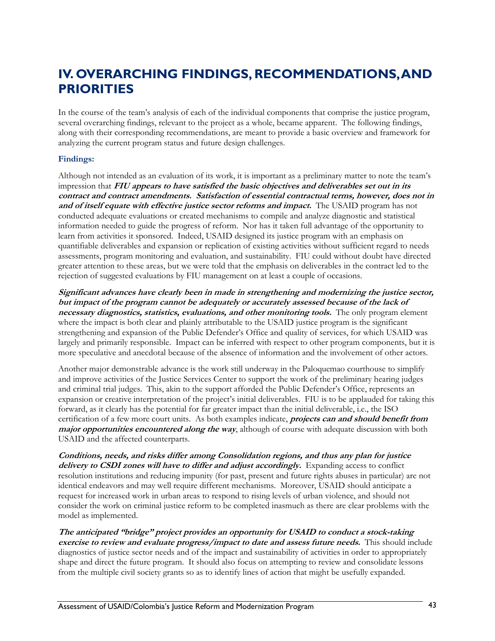## **IV. OVERARCHING FINDINGS, RECOMMENDATIONS, AND PRIORITIES**

In the course of the team's analysis of each of the individual components that comprise the justice program, several overarching findings, relevant to the project as a whole, became apparent. The following findings, along with their corresponding recommendations, are meant to provide a basic overview and framework for analyzing the current program status and future design challenges.

#### **Findings:**

Although not intended as an evaluation of its work, it is important as a preliminary matter to note the team's impression that **FIU appears to have satisfied the basic objectives and deliverables set out in its contract and contract amendments. Satisfaction of essential contractual terms, however, does not in and of itself equate with effective justice sector reforms and impact.** The USAID program has not conducted adequate evaluations or created mechanisms to compile and analyze diagnostic and statistical information needed to guide the progress of reform. Nor has it taken full advantage of the opportunity to learn from activities it sponsored. Indeed, USAID designed its justice program with an emphasis on quantifiable deliverables and expansion or replication of existing activities without sufficient regard to needs assessments, program monitoring and evaluation, and sustainability. FIU could without doubt have directed greater attention to these areas, but we were told that the emphasis on deliverables in the contract led to the rejection of suggested evaluations by FIU management on at least a couple of occasions.

**Significant advances have clearly been in made in strengthening and modernizing the justice sector, but impact of the program cannot be adequately or accurately assessed because of the lack of necessary diagnostics, statistics, evaluations, and other monitoring tools.** The only program element where the impact is both clear and plainly attributable to the USAID justice program is the significant strengthening and expansion of the Public Defender's Office and quality of services, for which USAID was largely and primarily responsible. Impact can be inferred with respect to other program components, but it is more speculative and anecdotal because of the absence of information and the involvement of other actors.

Another major demonstrable advance is the work still underway in the Paloquemao courthouse to simplify and improve activities of the Justice Services Center to support the work of the preliminary hearing judges and criminal trial judges. This, akin to the support afforded the Public Defender's Office, represents an expansion or creative interpretation of the project's initial deliverables. FIU is to be applauded for taking this forward, as it clearly has the potential for far greater impact than the initial deliverable, i.e., the ISO certification of a few more court units. As both examples indicate, **projects can and should benefit from major opportunities encountered along the way**, although of course with adequate discussion with both USAID and the affected counterparts.

**Conditions, needs, and risks differ among Consolidation regions, and thus any plan for justice**  delivery to **CSDI** zones will have to differ and adjust accordingly. Expanding access to conflict resolution institutions and reducing impunity (for past, present and future rights abuses in particular) are not identical endeavors and may well require different mechanisms. Moreover, USAID should anticipate a request for increased work in urban areas to respond to rising levels of urban violence, and should not consider the work on criminal justice reform to be completed inasmuch as there are clear problems with the model as implemented.

**The anticipated "bridge" project provides an opportunity for USAID to conduct a stock-taking exercise to review and evaluate progress/impact to date and assess future needs.** This should include diagnostics of justice sector needs and of the impact and sustainability of activities in order to appropriately shape and direct the future program. It should also focus on attempting to review and consolidate lessons from the multiple civil society grants so as to identify lines of action that might be usefully expanded.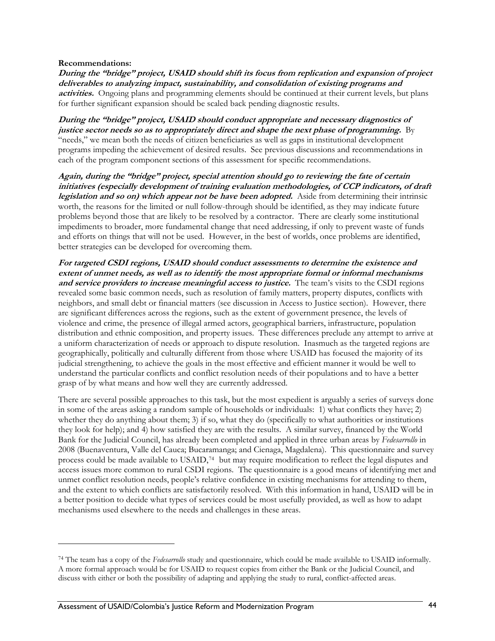#### <span id="page-53-0"></span>**Recommendations:**

<u>.</u>

**During the "bridge" project, USAID should shift its focus from replication and expansion of project deliverables to analyzing impact, sustainability, and consolidation of existing programs and**  activities. Ongoing plans and programming elements should be continued at their current levels, but plans for further significant expansion should be scaled back pending diagnostic results.

**During the "bridge" project, USAID should conduct appropriate and necessary diagnostics of justice sector needs so as to appropriately direct and shape the next phase of programming.** By "needs," we mean both the needs of citizen beneficiaries as well as gaps in institutional development programs impeding the achievement of desired results. See previous discussions and recommendations in each of the program component sections of this assessment for specific recommendations.

**Again, during the "bridge" project, special attention should go to reviewing the fate of certain initiatives (especially development of training evaluation methodologies, of CCP indicators, of draft legislation and so on) which appear not be have been adopted.** Aside from determining their intrinsic worth, the reasons for the limited or null follow-through should be identified, as they may indicate future problems beyond those that are likely to be resolved by a contractor. There are clearly some institutional impediments to broader, more fundamental change that need addressing, if only to prevent waste of funds and efforts on things that will not be used. However, in the best of worlds, once problems are identified, better strategies can be developed for overcoming them.

**For targeted CSDI regions, USAID should conduct assessments to determine the existence and extent of unmet needs, as well as to identify the most appropriate formal or informal mechanisms and service providers to increase meaningful access to justice.** The team's visits to the CSDI regions revealed some basic common needs, such as resolution of family matters, property disputes, conflicts with neighbors, and small debt or financial matters (see discussion in Access to Justice section). However, there are significant differences across the regions, such as the extent of government presence, the levels of violence and crime, the presence of illegal armed actors, geographical barriers, infrastructure, population distribution and ethnic composition, and property issues. These differences preclude any attempt to arrive at a uniform characterization of needs or approach to dispute resolution. Inasmuch as the targeted regions are geographically, politically and culturally different from those where USAID has focused the majority of its judicial strengthening, to achieve the goals in the most effective and efficient manner it would be well to understand the particular conflicts and conflict resolution needs of their populations and to have a better grasp of by what means and how well they are currently addressed.

There are several possible approaches to this task, but the most expedient is arguably a series of surveys done in some of the areas asking a random sample of households or individuals: 1) what conflicts they have; 2) whether they do anything about them; 3) if so, what they do (specifically to what authorities or institutions they look for help); and 4) how satisfied they are with the results. A similar survey, financed by the World Bank for the Judicial Council, has already been completed and applied in three urban areas by *Fedesarrollo* in 2008 (Buenaventura, Valle del Cauca; Bucaramanga; and Cienaga, Magdalena). This questionnaire and survey process could be made available to USAID,[74](#page-53-0) but may require modification to reflect the legal disputes and access issues more common to rural CSDI regions. The questionnaire is a good means of identifying met and unmet conflict resolution needs, people's relative confidence in existing mechanisms for attending to them, and the extent to which conflicts are satisfactorily resolved. With this information in hand, USAID will be in a better position to decide what types of services could be most usefully provided, as well as how to adapt mechanisms used elsewhere to the needs and challenges in these areas.

<sup>74</sup> The team has a copy of the *Fedesarrollo* study and questionnaire, which could be made available to USAID informally. A more formal approach would be for USAID to request copies from either the Bank or the Judicial Council, and discuss with either or both the possibility of adapting and applying the study to rural, conflict-affected areas.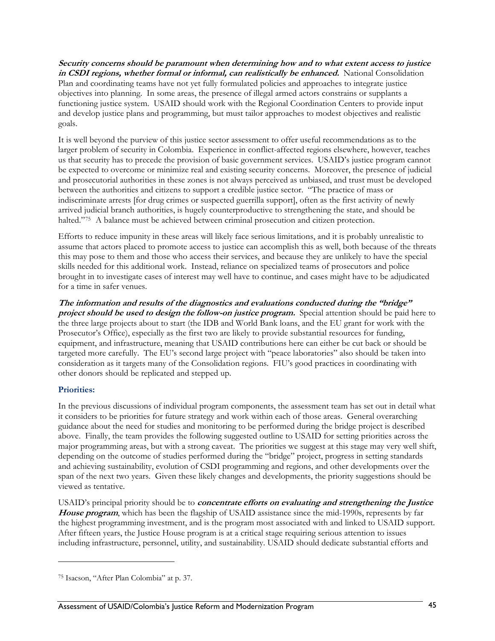<span id="page-54-0"></span>**Security concerns should be paramount when determining how and to what extent access to justice in CSDI regions, whether formal or informal, can realistically be enhanced.** National Consolidation Plan and coordinating teams have not yet fully formulated policies and approaches to integrate justice objectives into planning. In some areas, the presence of illegal armed actors constrains or supplants a functioning justice system. USAID should work with the Regional Coordination Centers to provide input and develop justice plans and programming, but must tailor approaches to modest objectives and realistic goals.

It is well beyond the purview of this justice sector assessment to offer useful recommendations as to the larger problem of security in Colombia. Experience in conflict-affected regions elsewhere, however, teaches us that security has to precede the provision of basic government services. USAID's justice program cannot be expected to overcome or minimize real and existing security concerns. Moreover, the presence of judicial and prosecutorial authorities in these zones is not always perceived as unbiased, and trust must be developed between the authorities and citizens to support a credible justice sector. "The practice of mass or indiscriminate arrests [for drug crimes or suspected guerrilla support], often as the first activity of newly arrived judicial branch authorities, is hugely counterproductive to strengthening the state, and should be halted."<sup>[75](#page-54-0)</sup> A balance must be achieved between criminal prosecution and citizen protection.

Efforts to reduce impunity in these areas will likely face serious limitations, and it is probably unrealistic to assume that actors placed to promote access to justice can accomplish this as well, both because of the threats this may pose to them and those who access their services, and because they are unlikely to have the special skills needed for this additional work. Instead, reliance on specialized teams of prosecutors and police brought in to investigate cases of interest may well have to continue, and cases might have to be adjudicated for a time in safer venues.

**The information and results of the diagnostics and evaluations conducted during the "bridge" project should be used to design the follow-on justice program.** Special attention should be paid here to the three large projects about to start (the IDB and World Bank loans, and the EU grant for work with the Prosecutor's Office), especially as the first two are likely to provide substantial resources for funding, equipment, and infrastructure, meaning that USAID contributions here can either be cut back or should be targeted more carefully. The EU's second large project with "peace laboratories" also should be taken into consideration as it targets many of the Consolidation regions. FIU's good practices in coordinating with other donors should be replicated and stepped up.

## **Priorities:**

<u>.</u>

In the previous discussions of individual program components, the assessment team has set out in detail what it considers to be priorities for future strategy and work within each of those areas. General overarching guidance about the need for studies and monitoring to be performed during the bridge project is described above. Finally, the team provides the following suggested outline to USAID for setting priorities across the major programming areas, but with a strong caveat. The priorities we suggest at this stage may very well shift, depending on the outcome of studies performed during the "bridge" project, progress in setting standards and achieving sustainability, evolution of CSDI programming and regions, and other developments over the span of the next two years. Given these likely changes and developments, the priority suggestions should be viewed as tentative.

USAID's principal priority should be to **concentrate efforts on evaluating and strengthening the Justice House program**, which has been the flagship of USAID assistance since the mid-1990s, represents by far the highest programming investment, and is the program most associated with and linked to USAID support. After fifteen years, the Justice House program is at a critical stage requiring serious attention to issues including infrastructure, personnel, utility, and sustainability. USAID should dedicate substantial efforts and

<sup>75</sup> Isacson, "After Plan Colombia" at p. 37.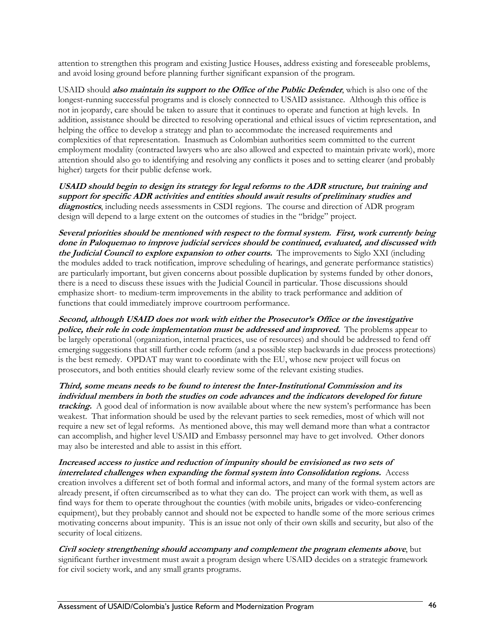attention to strengthen this program and existing Justice Houses, address existing and foreseeable problems, and avoid losing ground before planning further significant expansion of the program.

USAID should **also maintain its support to the Office of the Public Defender**, which is also one of the longest-running successful programs and is closely connected to USAID assistance. Although this office is not in jeopardy, care should be taken to assure that it continues to operate and function at high levels. In addition, assistance should be directed to resolving operational and ethical issues of victim representation, and helping the office to develop a strategy and plan to accommodate the increased requirements and complexities of that representation. Inasmuch as Colombian authorities seem committed to the current employment modality (contracted lawyers who are also allowed and expected to maintain private work), more attention should also go to identifying and resolving any conflicts it poses and to setting clearer (and probably higher) targets for their public defense work.

**USAID should begin to design its strategy for legal reforms to the ADR structure, but training and support for specific ADR activities and entities should await results of preliminary studies and diagnostics**, including needs assessments in CSDI regions. The course and direction of ADR program design will depend to a large extent on the outcomes of studies in the "bridge" project.

**Several priorities should be mentioned with respect to the formal system. First, work currently being done in Paloquemao to improve judicial services should be continued, evaluated, and discussed with the Judicial Council to explore expansion to other courts.** The improvements to Siglo XXI (including the modules added to track notification, improve scheduling of hearings, and generate performance statistics) are particularly important, but given concerns about possible duplication by systems funded by other donors, there is a need to discuss these issues with the Judicial Council in particular. Those discussions should emphasize short- to medium-term improvements in the ability to track performance and addition of functions that could immediately improve courtroom performance.

**Second, although USAID does not work with either the Prosecutor's Office or the investigative police, their role in code implementation must be addressed and improved.** The problems appear to be largely operational (organization, internal practices, use of resources) and should be addressed to fend off emerging suggestions that still further code reform (and a possible step backwards in due process protections) is the best remedy. OPDAT may want to coordinate with the EU, whose new project will focus on prosecutors, and both entities should clearly review some of the relevant existing studies.

**Third, some means needs to be found to interest the Inter-Institutional Commission and its individual members in both the studies on code advances and the indicators developed for future tracking.** A good deal of information is now available about where the new system's performance has been weakest. That information should be used by the relevant parties to seek remedies, most of which will not require a new set of legal reforms. As mentioned above, this may well demand more than what a contractor can accomplish, and higher level USAID and Embassy personnel may have to get involved. Other donors may also be interested and able to assist in this effort.

**Increased access to justice and reduction of impunity should be envisioned as two sets of interrelated challenges when expanding the formal system into Consolidation regions.** Access creation involves a different set of both formal and informal actors, and many of the formal system actors are already present, if often circumscribed as to what they can do. The project can work with them, as well as find ways for them to operate throughout the counties (with mobile units, brigades or video-conferencing equipment), but they probably cannot and should not be expected to handle some of the more serious crimes motivating concerns about impunity. This is an issue not only of their own skills and security, but also of the security of local citizens.

**Civil society strengthening should accompany and complement the program elements above**, but significant further investment must await a program design where USAID decides on a strategic framework for civil society work, and any small grants programs.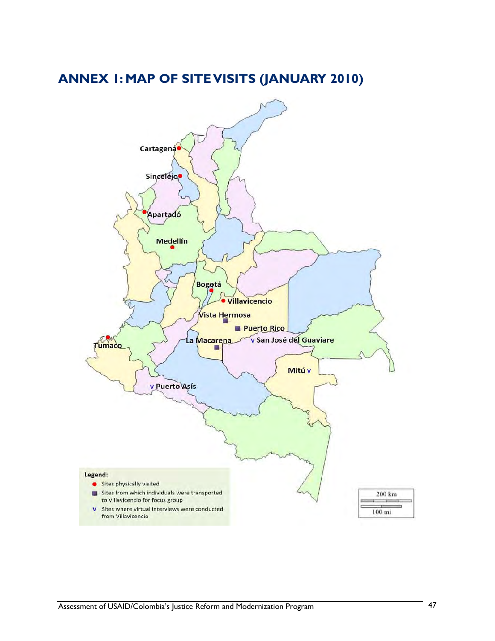# **ANNEX 1: MAP OF SITE VISITS (JANUARY 2010)**

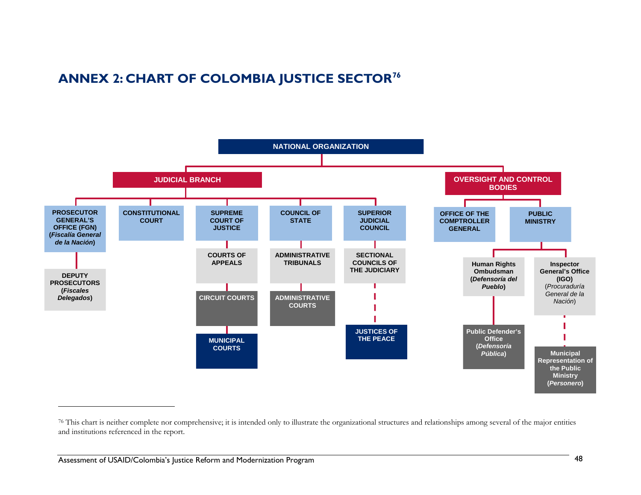# **ANNEX 2: CHART OF COLOMBIA JUSTICE SECTOR[76](#page-57-0)**



<span id="page-57-0"></span><sup>&</sup>lt;sup>76</sup> This chart is neither complete nor comprehensive; it is intended only to illustrate the organizational structures and relationships among several of the major entities and institutions referenced in the report.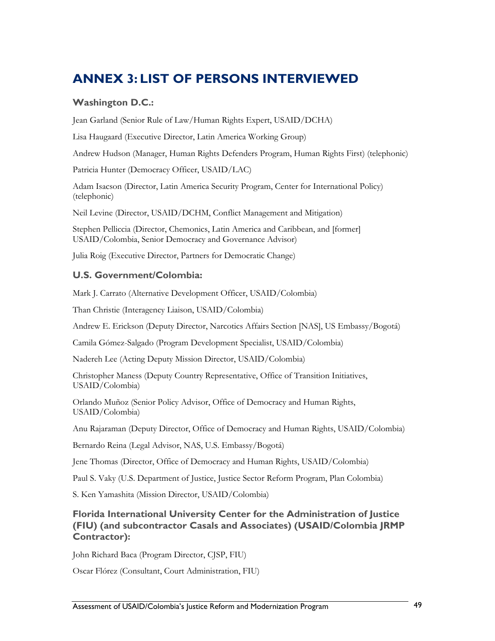# **ANNEX 3: LIST OF PERSONS INTERVIEWED**

## **Washington D.C.:**

Jean Garland (Senior Rule of Law/Human Rights Expert, USAID/DCHA)

Lisa Haugaard (Executive Director, Latin America Working Group)

Andrew Hudson (Manager, Human Rights Defenders Program, Human Rights First) (telephonic)

Patricia Hunter (Democracy Officer, USAID/LAC)

Adam Isacson (Director, Latin America Security Program, Center for International Policy) (telephonic)

Neil Levine (Director, USAID/DCHM, Conflict Management and Mitigation)

Stephen Pelliccia (Director, Chemonics, Latin America and Caribbean, and [former] USAID/Colombia, Senior Democracy and Governance Advisor)

Julia Roig (Executive Director, Partners for Democratic Change)

## **U.S. Government/Colombia:**

Mark J. Carrato (Alternative Development Officer, USAID/Colombia)

Than Christie (Interagency Liaison, USAID/Colombia)

Andrew E. Erickson (Deputy Director, Narcotics Affairs Section [NAS], US Embassy/Bogotá)

Camila Gómez-Salgado (Program Development Specialist, USAID/Colombia)

Nadereh Lee (Acting Deputy Mission Director, USAID/Colombia)

Christopher Maness (Deputy Country Representative, Office of Transition Initiatives, USAID/Colombia)

Orlando Muñoz (Senior Policy Advisor, Office of Democracy and Human Rights, USAID/Colombia)

Anu Rajaraman (Deputy Director, Office of Democracy and Human Rights, USAID/Colombia)

Bernardo Reina (Legal Advisor, NAS, U.S. Embassy/Bogotá)

Jene Thomas (Director, Office of Democracy and Human Rights, USAID/Colombia)

Paul S. Vaky (U.S. Department of Justice, Justice Sector Reform Program, Plan Colombia)

S. Ken Yamashita (Mission Director, USAID/Colombia)

## **Florida International University Center for the Administration of Justice (FIU) (and subcontractor Casals and Associates) (USAID/Colombia JRMP Contractor):**

John Richard Baca (Program Director, CJSP, FIU)

Oscar Flórez (Consultant, Court Administration, FIU)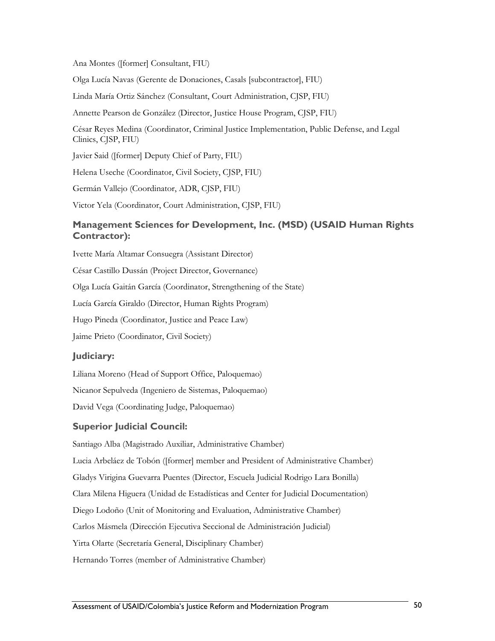Ana Montes ([former] Consultant, FIU)

Olga Lucía Navas (Gerente de Donaciones, Casals [subcontractor], FIU)

Linda María Ortiz Sánchez (Consultant, Court Administration, CJSP, FIU)

Annette Pearson de González (Director, Justice House Program, CJSP, FIU)

César Reyes Medina (Coordinator, Criminal Justice Implementation, Public Defense, and Legal Clinics, CJSP, FIU)

Javier Said ([former] Deputy Chief of Party, FIU)

Helena Useche (Coordinator, Civil Society, CJSP, FIU)

Germán Vallejo (Coordinator, ADR, CJSP, FIU)

Victor Yela (Coordinator, Court Administration, CJSP, FIU)

## **Management Sciences for Development, Inc. (MSD) (USAID Human Rights Contractor):**

Ivette María Altamar Consuegra (Assistant Director)

César Castillo Dussán (Project Director, Governance)

Olga Lucía Gaitán García (Coordinator, Strengthening of the State)

Lucía García Giraldo (Director, Human Rights Program)

Hugo Pineda (Coordinator, Justice and Peace Law)

Jaime Prieto (Coordinator, Civil Society)

## **Judiciary:**

Liliana Moreno (Head of Support Office, Paloquemao)

Nicanor Sepulveda (Ingeniero de Sistemas, Paloquemao)

David Vega (Coordinating Judge, Paloquemao)

#### **Superior Judicial Council:**

Santiago Alba (Magistrado Auxiliar, Administrative Chamber)

Lucia Arbeláez de Tobón ([former] member and President of Administrative Chamber)

Gladys Virigina Guevarra Puentes (Director, Escuela Judicial Rodrigo Lara Bonilla)

Clara Milena Higuera (Unidad de Estadísticas and Center for Judicial Documentation)

Diego Lodoño (Unit of Monitoring and Evaluation, Administrative Chamber)

Carlos Másmela (Dirección Ejecutiva Seccional de Administración Judicial)

Yirta Olarte (Secretaría General, Disciplinary Chamber)

Hernando Torres (member of Administrative Chamber)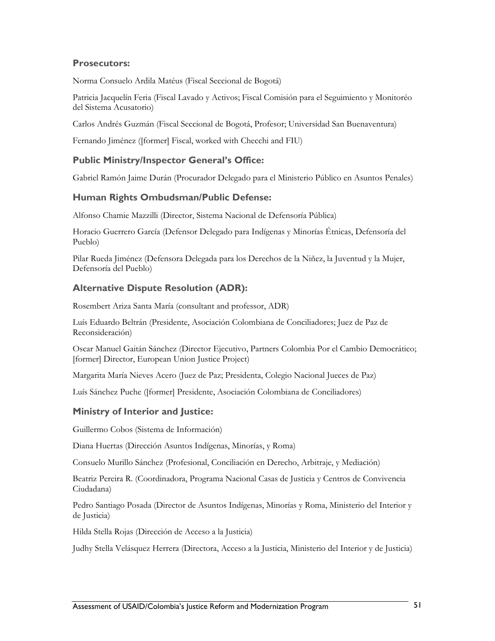## **Prosecutors:**

Norma Consuelo Ardila Matéus (Fiscal Seccional de Bogotá)

Patricia Jacquelín Feria (Fiscal Lavado y Activos; Fiscal Comisión para el Seguimiento y Monitoréo del Sistema Acusatorio)

Carlos Andrés Guzmán (Fiscal Seccional de Bogotá, Profesor; Universidad San Buenaventura)

Fernando Jiménez ([former] Fiscal, worked with Checchi and FIU)

### **Public Ministry/Inspector General's Office:**

Gabriel Ramón Jaime Durán (Procurador Delegado para el Ministerio Público en Asuntos Penales)

## **Human Rights Ombudsman/Public Defense:**

Alfonso Chamie Mazzilli (Director, Sistema Nacional de Defensoría Pública)

Horacio Guerrero García (Defensor Delegado para Indígenas y Minorías Étnicas, Defensoría del Pueblo)

Pilar Rueda Jiménez (Defensora Delegada para los Derechos de la Niñez, la Juventud y la Mujer, Defensoría del Pueblo)

## **Alternative Dispute Resolution (ADR):**

Rosembert Ariza Santa María (consultant and professor, ADR)

Luís Eduardo Beltrán (Presidente, Asociación Colombiana de Conciliadores; Juez de Paz de Reconsideración)

Oscar Manuel Gaitán Sánchez (Director Ejecutivo, Partners Colombia Por el Cambio Democrático; [former] Director, European Union Justice Project)

Margarita María Nieves Acero (Juez de Paz; Presidenta, Colegio Nacional Jueces de Paz)

Luís Sánchez Puche ([former] Presidente, Asociación Colombiana de Conciliadores)

## **Ministry of Interior and Justice:**

Guillermo Cobos (Sistema de Información)

Diana Huertas (Dirección Asuntos Indígenas, Minorías, y Roma)

Consuelo Murillo Sánchez (Profesional, Conciliación en Derecho, Arbitraje, y Mediación)

Beatriz Pereira R. (Coordinadora, Programa Nacional Casas de Justicia y Centros de Convivencia Ciudadana)

Pedro Santiago Posada (Director de Asuntos Indígenas, Minorías y Roma, Ministerio del Interior y de Justicia)

Hilda Stella Rojas (Dirección de Acceso a la Justicia)

Judhy Stella Velásquez Herrera (Directora, Acceso a la Justicia, Ministerio del Interior y de Justicia)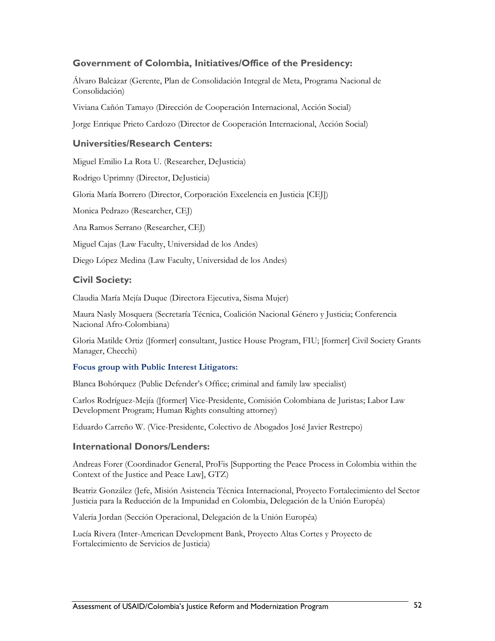## **Government of Colombia, Initiatives/Office of the Presidency:**

Álvaro Balcázar (Gerente, Plan de Consolidación Integral de Meta, Programa Nacional de Consolidación)

Viviana Cañón Tamayo (Dirección de Cooperación Internacional, Acción Social)

Jorge Enrique Prieto Cardozo (Director de Cooperación Internacional, Acción Social)

### **Universities/Research Centers:**

Miguel Emilio La Rota U. (Researcher, DeJusticia)

Rodrigo Uprimny (Director, DeJusticia)

Gloria María Borrero (Director, Corporación Excelencia en Justicia [CEJ])

Monica Pedrazo (Researcher, CEJ)

Ana Ramos Serrano (Researcher, CEJ)

Miguel Cajas (Law Faculty, Universidad de los Andes)

Diego López Medina (Law Faculty, Universidad de los Andes)

#### **Civil Society:**

Claudia María Mejía Duque (Directora Ejecutiva, Sisma Mujer)

Maura Nasly Mosquera (Secretaría Técnica, Coalición Nacional Género y Justicia; Conferencia Nacional Afro-Colombiana)

Gloria Matilde Ortiz ([former] consultant, Justice House Program, FIU; [former] Civil Society Grants Manager, Checchi)

#### **Focus group with Public Interest Litigators:**

Blanca Bohórquez (Public Defender's Office; criminal and family law specialist)

Carlos Rodríguez-Mejía ([former] Vice-Presidente, Comisión Colombiana de Juristas; Labor Law Development Program; Human Rights consulting attorney)

Eduardo Carreño W. (Vice-Presidente, Colectivo de Abogados José Javier Restrepo)

#### **International Donors/Lenders:**

Andreas Forer (Coordinador General, ProFis [Supporting the Peace Process in Colombia within the Context of the Justice and Peace Law], GTZ)

Beatriz González (Jefe, Misión Asistencia Técnica Internacional, Proyecto Fortalecimiento del Sector Justicia para la Reducción de la Impunidad en Colombia, Delegación de la Unión Européa)

Valeria Jordan (Sección Operacional, Delegación de la Unión Européa)

Lucía Rivera (Inter-American Development Bank, Proyecto Altas Cortes y Proyecto de Fortalecimiento de Servicios de Justicia)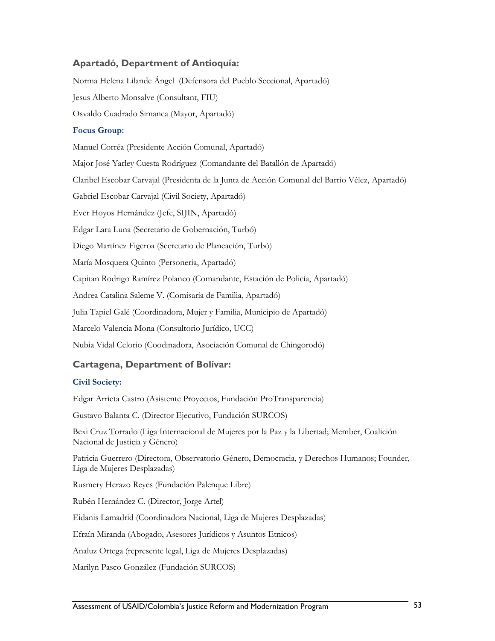## **Apartadó, Department of Antioquía:**

Norma Helena Lilande Ángel (Defensora del Pueblo Seccional, Apartadó)

Jesus Alberto Monsalve (Consultant, FIU)

Osvaldo Cuadrado Simanca (Mayor, Apartadó)

#### **Focus Group:**

Manuel Corréa (Presidente Acción Comunal, Apartadó)

Major José Yarley Cuesta Rodríguez (Comandante del Batallón de Apartadó)

Claribel Escobar Carvajal (Presidenta de la Junta de Acción Comunal del Barrio Vélez, Apartadó)

Gabriel Escobar Carvajal (Civil Society, Apartadó)

Ever Hoyos Hernández (Jefe, SIJIN, Apartadó)

Edgar Lara Luna (Secretario de Gobernación, Turbó)

Diego Martínez Figeroa (Secretario de Planeación, Turbó)

María Mosquera Quinto (Personería, Apartadó)

Capitan Rodrigo Ramírez Polanco (Comandante, Estación de Policía, Apartadó)

Andrea Catalina Saleme V. (Comisaría de Familia, Apartadó)

Julia Tapiel Galé (Coordinadora, Mujer y Familia, Municipio de Apartadó)

Marcelo Valencia Mona (Consultorio Jurídico, UCC)

Nubia Vidal Celorio (Coodinadora, Asociación Comunal de Chingorodó)

## **Cartagena, Department of Bolívar:**

#### **Civil Society:**

Edgar Arrieta Castro (Asistente Proyectos, Fundación ProTransparencia)

Gustavo Balanta C. (Director Ejecutivo, Fundación SURCOS)

Bexi Cruz Torrado (Liga Internacional de Mujeres por la Paz y la Libertad; Member, Coalición Nacional de Justicia y Género)

Patricia Guerrero (Directora, Observatorio Género, Democracia, y Derechos Humanos; Founder, Liga de Mujeres Desplazadas)

Rusmery Herazo Reyes (Fundación Palenque Libre)

Rubén Hernández C. (Director, Jorge Artel)

Eidanis Lamadrid (Coordinadora Nacional, Liga de Mujeres Desplazadas)

Efraín Miranda (Abogado, Asesores Jurídicos y Asuntos Etnicos)

Analuz Ortega (represente legal, Liga de Mujeres Desplazadas)

Marilyn Pasco González (Fundación SURCOS)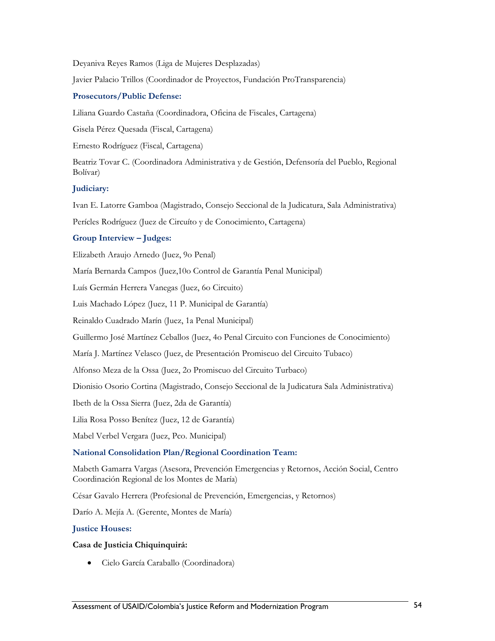Deyaniva Reyes Ramos (Liga de Mujeres Desplazadas)

Javier Palacio Trillos (Coordinador de Proyectos, Fundación ProTransparencia)

#### **Prosecutors/Public Defense:**

Liliana Guardo Castaña (Coordinadora, Oficina de Fiscales, Cartagena)

Gisela Pérez Quesada (Fiscal, Cartagena)

Ernesto Rodríguez (Fiscal, Cartagena)

Beatriz Tovar C. (Coordinadora Administrativa y de Gestión, Defensoría del Pueblo, Regional Bolívar)

#### **Judiciary:**

Ivan E. Latorre Gamboa (Magistrado, Consejo Seccional de la Judicatura, Sala Administrativa)

Perícles Rodríguez (Juez de Circuíto y de Conocimiento, Cartagena)

## **Group Interview – Judges:**

Elizabeth Araujo Arnedo (Juez, 9o Penal)

María Bernarda Campos (Juez,10o Control de Garantía Penal Municipal)

Luís Germán Herrera Vanegas (Juez, 6o Circuito)

Luis Machado López (Juez, 11 P. Municipal de Garantía)

Reinaldo Cuadrado Marín (Juez, 1a Penal Municipal)

Guillermo José Martínez Ceballos (Juez, 4o Penal Circuito con Funciones de Conocimiento)

María J. Martínez Velasco (Juez, de Presentación Promiscuo del Circuito Tubaco)

Alfonso Meza de la Ossa (Juez, 2o Promiscuo del Circuito Turbaco)

Dionisio Osorio Cortina (Magistrado, Consejo Seccional de la Judicatura Sala Administrativa)

Ibeth de la Ossa Sierra (Juez, 2da de Garantía)

Lilia Rosa Posso Benítez (Juez, 12 de Garantía)

Mabel Verbel Vergara (Juez, Pco. Municipal)

## **National Consolidation Plan/Regional Coordination Team:**

Mabeth Gamarra Vargas (Asesora, Prevención Emergencias y Retornos, Acción Social, Centro Coordinación Regional de los Montes de María)

César Gavalo Herrera (Profesional de Prevención, Emergencias, y Retornos)

Darío A. Mejía A. (Gerente, Montes de María)

#### **Justice Houses:**

## **Casa de Justicia Chiquinquirá:**

• Cielo García Caraballo (Coordinadora)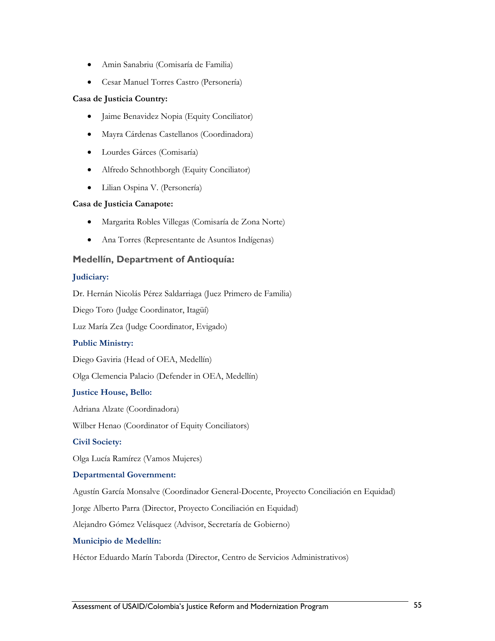- Amin Sanabriu (Comisaría de Familia)
- Cesar Manuel Torres Castro (Personería)

#### **Casa de Justicia Country:**

- Jaime Benavidez Nopia (Equity Conciliator)
- Mayra Cárdenas Castellanos (Coordinadora)
- Lourdes Gárces (Comisaría)
- Alfredo Schnothborgh (Equity Conciliator)
- Lilian Ospina V. (Personería)

#### **Casa de Justicia Canapote:**

- Margarita Robles Villegas (Comisaría de Zona Norte)
- Ana Torres (Representante de Asuntos Indígenas)

## **Medellín, Department of Antioquía:**

#### **Judiciary:**

Dr. Hernán Nicolás Pérez Saldarriaga (Juez Primero de Familia)

Diego Toro (Judge Coordinator, Itagüí)

Luz María Zea (Judge Coordinator, Evigado)

## **Public Ministry:**

Diego Gaviria (Head of OEA, Medellín)

Olga Clemencia Palacio (Defender in OEA, Medellín)

## **Justice House, Bello:**

Adriana Alzate (Coordinadora)

Wilber Henao (Coordinator of Equity Conciliators)

**Civil Society:** 

Olga Lucía Ramírez (Vamos Mujeres)

#### **Departmental Government:**

Agustín García Monsalve (Coordinador General-Docente, Proyecto Conciliación en Equidad)

Jorge Alberto Parra (Director, Proyecto Conciliación en Equidad)

Alejandro Gómez Velásquez (Advisor, Secretaría de Gobierno)

#### **Municipio de Medellín:**

Héctor Eduardo Marín Taborda (Director, Centro de Servicios Administrativos)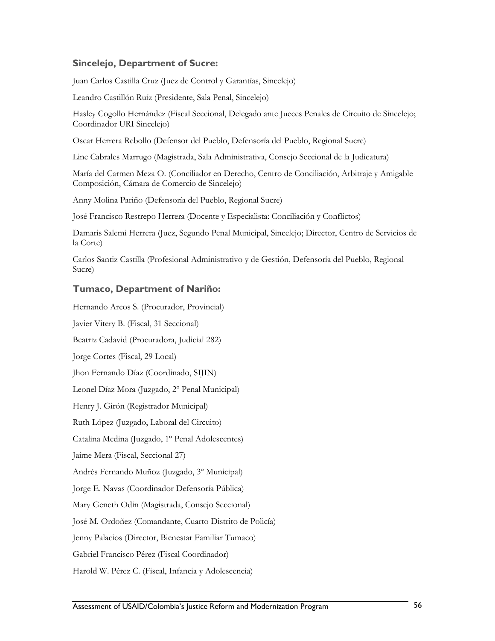## **Sincelejo, Department of Sucre:**

Juan Carlos Castilla Cruz (Juez de Control y Garantías, Sincelejo)

Leandro Castillón Ruíz (Presidente, Sala Penal, Sincelejo)

Hasley Cogollo Hernández (Fiscal Seccional, Delegado ante Jueces Penales de Circuito de Sincelejo; Coordinador URI Sincelejo)

Oscar Herrera Rebollo (Defensor del Pueblo, Defensoría del Pueblo, Regional Sucre)

Line Cabrales Marrugo (Magistrada, Sala Administrativa, Consejo Seccional de la Judicatura)

María del Carmen Meza O. (Conciliador en Derecho, Centro de Conciliación, Arbitraje y Amigable Composición, Cámara de Comercio de Sincelejo)

Anny Molina Pariño (Defensoría del Pueblo, Regional Sucre)

José Francisco Restrepo Herrera (Docente y Especialista: Conciliación y Conflictos)

Damaris Salemi Herrera (Juez, Segundo Penal Municipal, Sincelejo; Director, Centro de Servicios de la Corte)

Carlos Santiz Castilla (Profesional Administrativo y de Gestión, Defensoría del Pueblo, Regional Sucre)

## **Tumaco, Department of Nariño:**

Hernando Arcos S. (Procurador, Provincial)

Javier Vitery B. (Fiscal, 31 Seccional)

Beatriz Cadavid (Procuradora, Judicial 282)

Jorge Cortes (Fiscal, 29 Local)

Jhon Fernando Díaz (Coordinado, SIJIN)

Leonel Díaz Mora (Juzgado, 2º Penal Municipal)

Henry J. Girón (Registrador Municipal)

Ruth López (Juzgado, Laboral del Circuito)

Catalina Medina (Juzgado, 1º Penal Adolescentes)

Jaime Mera (Fiscal, Seccional 27)

Andrés Fernando Muñoz (Juzgado, 3º Municipal)

Jorge E. Navas (Coordinador Defensoría Pública)

Mary Geneth Odin (Magistrada, Consejo Seccional)

José M. Ordoñez (Comandante, Cuarto Distrito de Policía)

Jenny Palacios (Director, Bienestar Familiar Tumaco)

Gabriel Francisco Pérez (Fiscal Coordinador)

Harold W. Pérez C. (Fiscal, Infancia y Adolescencia)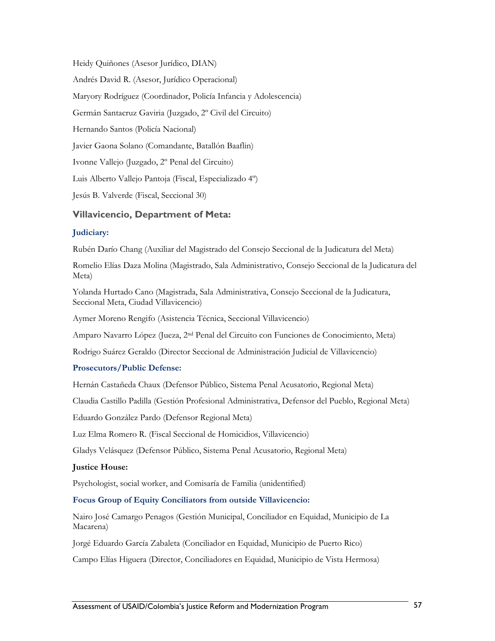Heidy Quiñones (Asesor Jurídico, DIAN) Andrés David R. (Asesor, Jurídico Operacional) Maryory Rodríguez (Coordinador, Policía Infancia y Adolescencia) Germán Santacruz Gaviria (Juzgado, 2º Civil del Circuito) Hernando Santos (Policía Nacional) Javier Gaona Solano (Comandante, Batallón Baaflin) Ivonne Vallejo (Juzgado, 2º Penal del Circuito) Luis Alberto Vallejo Pantoja (Fiscal, Especializado 4º) Jesús B. Valverde (Fiscal, Seccional 30)

## **Villavicencio, Department of Meta:**

#### **Judiciary:**

Rubén Darío Chang (Auxiliar del Magistrado del Consejo Seccional de la Judicatura del Meta)

Romelio Elías Daza Molina (Magistrado, Sala Administrativo, Consejo Seccional de la Judicatura del Meta)

Yolanda Hurtado Cano (Magistrada, Sala Administrativa, Consejo Seccional de la Judicatura, Seccional Meta, Ciudad Villavicencio)

Aymer Moreno Rengifo (Asistencia Técnica, Seccional Villavicencio)

Amparo Navarro López (Jueza, 2nd Penal del Circuito con Funciones de Conocimiento, Meta)

Rodrigo Suárez Geraldo (Director Seccional de Administración Judicial de Villavicencio)

#### **Prosecutors/Public Defense:**

Hernán Castañeda Chaux (Defensor Público, Sistema Penal Acusatorio, Regional Meta)

Claudia Castillo Padilla (Gestión Profesional Administrativa, Defensor del Pueblo, Regional Meta)

Eduardo González Pardo (Defensor Regional Meta)

Luz Elma Romero R. (Fiscal Seccional de Homicidios, Villavicencio)

Gladys Velásquez (Defensor Público, Sistema Penal Acusatorio, Regional Meta)

#### **Justice House:**

Psychologist, social worker, and Comisaría de Familia (unidentified)

#### **Focus Group of Equity Conciliators from outside Villavicencio:**

Nairo José Camargo Penagos (Gestión Municipal, Conciliador en Equidad, Municipio de La Macarena)

Jorgé Eduardo García Zabaleta (Conciliador en Equidad, Municipio de Puerto Rico)

Campo Elías Higuera (Director, Conciliadores en Equidad, Municipio de Vista Hermosa)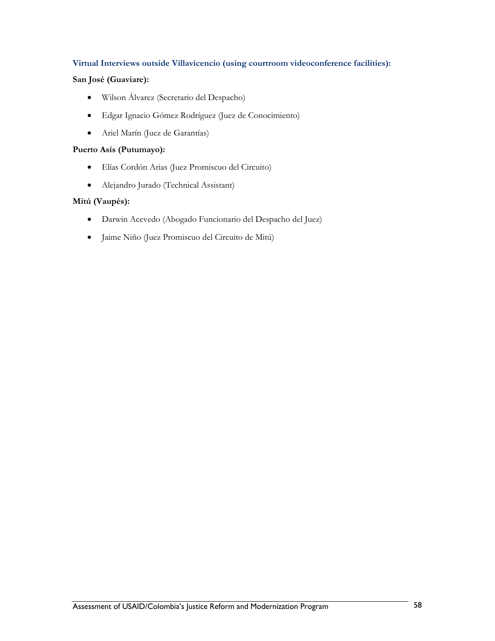#### **Virtual Interviews outside Villavicencio (using courtroom videoconference facilities):**

## **San José (Guaviare):**

- Wilson Álvarez (Secretario del Despacho)
- Edgar Ignacio Gómez Rodríguez (Juez de Conocimiento)
- Ariel Marín (Juez de Garantías)

#### **Puerto Asís (Putumayo):**

- Elías Cordón Arias (Juez Promiscuo del Circuito)
- Alejandro Jurado (Technical Assistant)

#### **Mitú (Vaupés):**

- Darwin Acevedo (Abogado Funcionario del Despacho del Juez)
- Jaime Niño (Juez Promiscuo del Circuito de Mitú)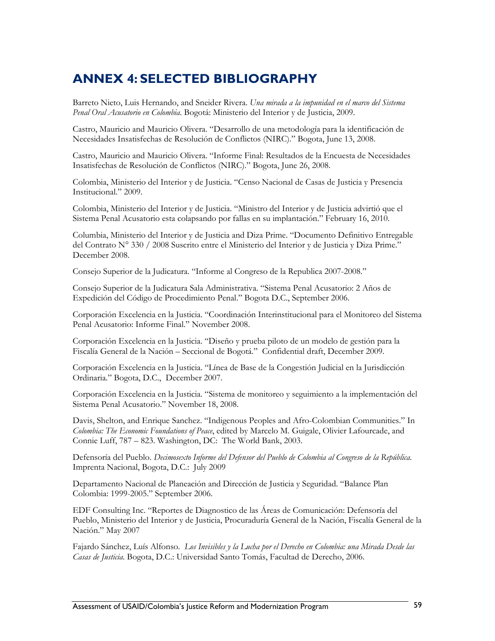# **ANNEX 4: SELECTED BIBLIOGRAPHY**

Barreto Nieto, Luis Hernando, and Sneider Rivera. *Una mirada a la impunidad en el marco del Sistema Penal Oral Acusatorio en Colombia*. Bogotá: Ministerio del Interior y de Justicia, 2009.

Castro, Mauricio and Mauricio Olivera. "Desarrollo de una metodología para la identificación de Necesidades Insatisfechas de Resolución de Conflictos (NIRC)." Bogota, June 13, 2008.

Castro, Mauricio and Mauricio Olivera. "Informe Final: Resultados de la Encuesta de Necesidades Insatisfechas de Resolución de Conflictos (NIRC)." Bogota, June 26, 2008.

Colombia, Ministerio del Interior y de Justicia. "Censo Nacional de Casas de Justicia y Presencia Institucional." 2009.

Colombia, Ministerio del Interior y de Justicia. "Ministro del Interior y de Justicia advirtió que el Sistema Penal Acusatorio esta colapsando por fallas en su implantación." February 16, 2010.

Columbia, Ministerio del Interior y de Justicia and Diza Prime. "Documento Definitivo Entregable del Contrato N° 330 / 2008 Suscrito entre el Ministerio del Interior y de Justicia y Diza Prime." December 2008.

Consejo Superior de la Judicatura. "Informe al Congreso de la Republica 2007-2008."

Consejo Superior de la Judicatura Sala Administrativa. "Sistema Penal Acusatorio: 2 Años de Expedición del Código de Procedimiento Penal." Bogota D.C., September 2006.

Corporación Excelencia en la Justicia. "Coordinación Interinstitucional para el Monitoreo del Sistema Penal Acusatorio: Informe Final." November 2008.

Corporación Excelencia en la Justicia. "Diseño y prueba piloto de un modelo de gestión para la Fiscalía General de la Nación – Seccional de Bogotá." Confidential draft, December 2009.

Corporación Excelencia en la Justicia. "Línea de Base de la Congestión Judicial en la Jurisdicción Ordinaria." Bogota, D.C., December 2007.

Corporación Excelencia en la Justicia. "Sistema de monitoreo y seguimiento a la implementación del Sistema Penal Acusatorio." November 18, 2008.

Davis, Shelton, and Enrique Sanchez. "Indigenous Peoples and Afro-Colombian Communities." In *Colombia: The Economic Foundations of Peace*, edited by Marcelo M. Guigale, Olivier Lafourcade, and Connie Luff, 787 – 823. Washington, DC: The World Bank, 2003.

Defensoría del Pueblo. *Decimosexto Informe del Defensor del Pueblo de Colombia al Congreso de la República.* Imprenta Nacional, Bogota, D.C.: July 2009

Departamento Nacional de Planeación and Dirección de Justicia y Seguridad. "Balance Plan Colombia: 1999-2005." September 2006.

EDF Consulting Inc. "Reportes de Diagnostico de las Áreas de Comunicación: Defensoría del Pueblo, Ministerio del Interior y de Justicia, Procuraduría General de la Nación, Fiscalía General de la Nación." May 2007

Fajardo Sánchez, Luís Alfonso. *Los Invisibles y la Lucha por el Derecho en Colombia: una Mirada Desde las Casas de Justicia*. Bogota, D.C.: Universidad Santo Tomás, Facultad de Derecho, 2006.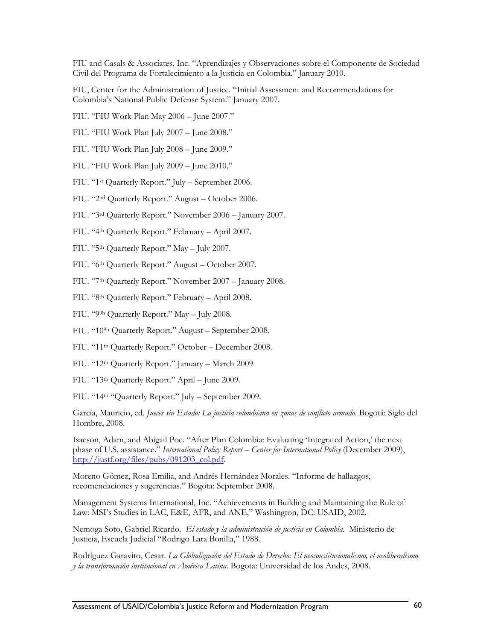FIU and Casals & Associates, Inc. "Aprendizajes y Observaciones sobre el Componente de Sociedad Civil del Programa de Fortalecimiento a la Justicia en Colombia." January 2010.

FIU, Center for the Administration of Justice. "Initial Assessment and Recommendations for Colombia's National Public Defense System." January 2007.

- FIU. "FIU Work Plan May 2006 June 2007."
- FIU. "FIU Work Plan July 2007 June 2008."
- FIU. "FIU Work Plan July 2008 June 2009."
- FIU. "FIU Work Plan July 2009 June 2010."
- FIU. "1st Quarterly Report." July September 2006.
- FIU. "2nd Quarterly Report." August October 2006.
- FIU. "3rd Quarterly Report." November 2006 January 2007.
- FIU. "4th Quarterly Report." February April 2007.
- FIU. "5th Quarterly Report." May July 2007.
- FIU. "6th Quarterly Report." August October 2007.
- FIU. "7th Quarterly Report." November 2007 January 2008.
- FIU. "8th Quarterly Report." February April 2008.
- FIU. "99h Quarterly Report." May July 2008.
- FIU. "109h Quarterly Report." August September 2008.
- FIU. "11th Quarterly Report." October December 2008.
- FIU. "12th Quarterly Report." January March 2009
- FIU. "13th Quarterly Report." April June 2009.

FIU. "14th "Quarterly Report." July – September 2009.

García, Mauricio, ed. *Jueces sin Estado: La justicia colombiana en zonas de conflicto armado*. Bogotá: Siglo del Hombre, 2008.

Isacson, Adam, and Abigail Poe. "After Plan Colombia: Evaluating 'Integrated Action,' the next phase of U.S. assistance." *International Policy Report – Center for International Policy* (December 2009), [http://justf.org/files/pubs/091203\\_col.pdf.](http://justf.org/files/pubs/091203_col.pdf)

Moreno Gómez, Rosa Emilia, and Andrés Hernández Morales. "Informe de hallazgos, recomendaciones y sugerencias*.*" Bogota: September 2008.

Management Systems International, Inc. "Achievements in Building and Maintaining the Rule of Law: MSI's Studies in LAC, E&E, AFR, and ANE," Washington, DC: USAID, 2002.

Nemoga Soto, Gabriel Ricardo. *El estado y la administración de justicia en Colombia.* Ministerio de Justicia, Escuela Judicial "Rodrigo Lara Bonilla," 1988.

Rodríguez Garavito, Cesar. *La Globalización del Estado de Derecho: El neoconstitucionalismo, el neoliberalismo y la transformación institucional en América Latina*. Bogota: Universidad de los Andes, 2008.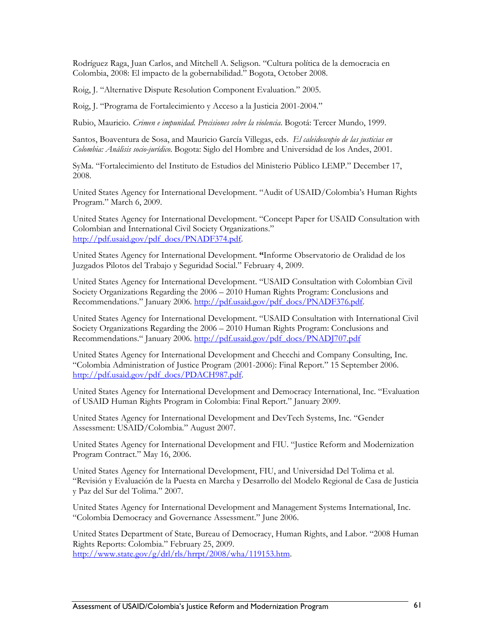Rodríguez Raga, Juan Carlos, and Mitchell A. Seligson. "Cultura política de la democracia en Colombia, 2008: El impacto de la gobernabilidad." Bogota, October 2008.

Roig, J. "Alternative Dispute Resolution Component Evaluation." 2005.

Roig, J. "Programa de Fortalecimiento y Acceso a la Justicia 2001-2004."

Rubio, Mauricio. *Crimen e impunidad. Precisiones sobre la violencia*. Bogotá: Tercer Mundo, 1999.

Santos, Boaventura de Sosa, and Mauricio García Villegas, eds. *El caleidoscopio de las justicias en Colombia: Análisis socio-jurídico*. Bogota: Siglo del Hombre and Universidad de los Andes, 2001.

SyMa. "Fortalecimiento del Instituto de Estudios del Ministerio Público LEMP." December 17, 2008.

United States Agency for International Development. "Audit of USAID/Colombia's Human Rights Program." March 6, 2009.

United States Agency for International Development. "Concept Paper for USAID Consultation with Colombian and International Civil Society Organizations." [http://pdf.usaid.gov/pdf\\_docs/PNADF374.pdf](http://pdf.usaid.gov/pdf_docs/PNADF374.pdf).

United States Agency for International Development. **"**Informe Observatorio de Oralidad de los Juzgados Pilotos del Trabajo y Seguridad Social." February 4, 2009.

United States Agency for International Development. "USAID Consultation with Colombian Civil Society Organizations Regarding the 2006 – 2010 Human Rights Program: Conclusions and Recommendations." January 2006. [http://pdf.usaid.gov/pdf\\_docs/PNADF376.pdf.](http://pdf.usaid.gov/pdf_docs/PNADF376.pdf)

United States Agency for International Development. "USAID Consultation with International Civil Society Organizations Regarding the 2006 – 2010 Human Rights Program: Conclusions and Recommendations." January 2006. [http://pdf.usaid.gov/pdf\\_docs/PNADJ707.pdf](http://pdf.usaid.gov/pdf_docs/PNADJ707.pdf)

United States Agency for International Development and Checchi and Company Consulting, Inc. "Colombia Administration of Justice Program (2001-2006): Final Report." 15 September 2006. [http://pdf.usaid.gov/pdf\\_docs/PDACH987.pdf.](http://pdf.usaid.gov/pdf_docs/PDACH987.pdf)

United States Agency for International Development and Democracy International, Inc. "Evaluation of USAID Human Rights Program in Colombia: Final Report." January 2009.

United States Agency for International Development and DevTech Systems, Inc. "Gender Assessment: USAID/Colombia." August 2007.

United States Agency for International Development and FIU. "Justice Reform and Modernization Program Contract." May 16, 2006.

United States Agency for International Development, FIU, and Universidad Del Tolima et al. "Revisión y Evaluación de la Puesta en Marcha y Desarrollo del Modelo Regional de Casa de Justicia y Paz del Sur del Tolima." 2007.

United States Agency for International Development and Management Systems International, Inc. "Colombia Democracy and Governance Assessment." June 2006.

United States Department of State, Bureau of Democracy, Human Rights, and Labor. "2008 Human Rights Reports: Colombia." February 25, 2009. [http://www.state.gov/g/drl/rls/hrrpt/2008/wha/119153.htm.](http://www.state.gov/g/drl/rls/hrrpt/2008/wha/119153.htm)